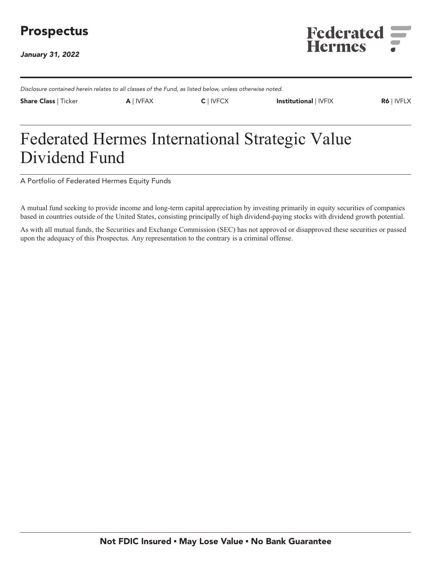# **Prospectus**

**January 31, 2022**



**Disclosure contained herein relates to all classes of the Fund, as listed below, unless otherwise noted.**

**Share Class | Ticker A | IVFAX C | IVFCX Institutional | IVFIX R6 | IVFLX**

# **Federated Hermes International Strategic Value Dividend Fund**

**A Portfolio of Federated Hermes Equity Funds**

**A mutual fund seeking to provide income and long-term capital appreciation by investing primarily in equity securities of companies based in countries outside of the United States, consisting principally of high dividend-paying stocks with dividend growth potential.**

**As with all mutual funds, the Securities and Exchange Commission (SEC) has not approved or disapproved these securities or passed upon the adequacy of this Prospectus. Any representation to the contrary is a criminal offense.**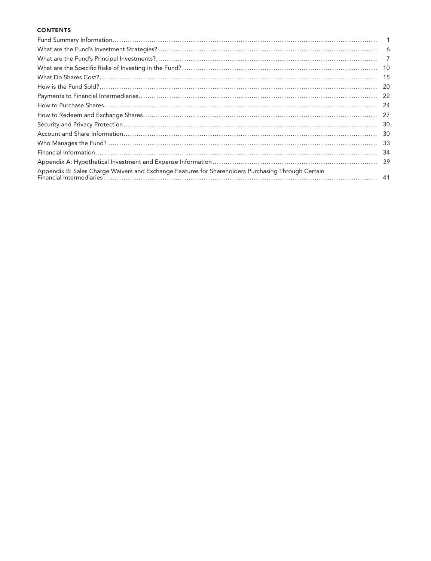### **CONTENTS**

|                                                                                                    | -10 |
|----------------------------------------------------------------------------------------------------|-----|
|                                                                                                    | 15  |
|                                                                                                    | -20 |
|                                                                                                    | -22 |
|                                                                                                    | -24 |
|                                                                                                    | -27 |
|                                                                                                    | -30 |
|                                                                                                    | -30 |
|                                                                                                    | -33 |
|                                                                                                    | -34 |
|                                                                                                    | -39 |
| Appendix B: Sales Charge Waivers and Exchange Features for Shareholders Purchasing Through Certain |     |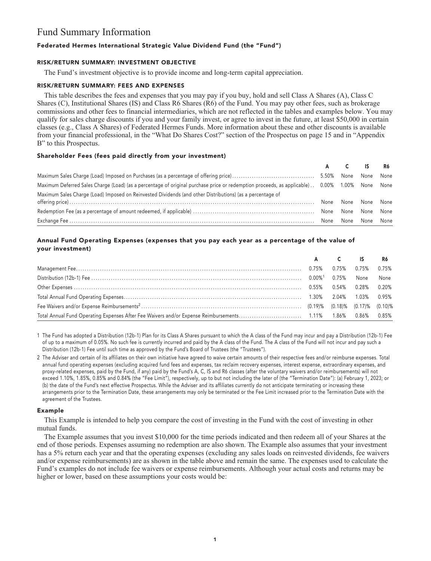# **Fund Summary Information**

### **Federated Hermes International Strategic Value Dividend Fund (the "Fund")**

### **RISK/RETURN SUMMARY: INVESTMENT OBJECTIVE**

**The Fund's investment objective is to provide income and long-term capital appreciation.**

### **RISK/RETURN SUMMARY: FEES AND EXPENSES**

**This table describes the fees and expenses that you may pay if you buy, hold and sell Class A Shares (A), Class C Shares (C), Institutional Shares (IS) and Class R6 Shares (R6) of the Fund. You may pay other fees, such as brokerage commissions and other fees to financial intermediaries, which are not reflected in the tables and examples below. You may qualify for sales charge discounts if you and your family invest, or agree to invest in the future, at least \$50,000 in certain classes (e.g., Class A Shares) of Federated Hermes Funds. More information about these and other discounts is available from your financial professional, in the "What Do Shares Cost?" section of the Prospectus on page 15 and in "Appendix B" to this Prospectus.**

### **Shareholder Fees (fees paid directly from your investment)**

|                                                                                                                                               |      | A C IS R6 |                |  |
|-----------------------------------------------------------------------------------------------------------------------------------------------|------|-----------|----------------|--|
|                                                                                                                                               |      |           | None None      |  |
| Maximum Deferred Sales Charge (Load) (as a percentage of original purchase price or redemption proceeds, as applicable) 0.00% 1.00% None None |      |           |                |  |
| Maximum Sales Charge (Load) Imposed on Reinvested Dividends (and other Distributions) (as a percentage of                                     |      |           |                |  |
|                                                                                                                                               | None |           | None None None |  |
|                                                                                                                                               |      | None      | None None      |  |
|                                                                                                                                               | None | None      | None None      |  |

### **Annual Fund Operating Expenses (expenses that you pay each year as a percentage of the value of your investment)**

|  | A C IS R6 |  |
|--|-----------|--|
|  |           |  |
|  |           |  |
|  |           |  |
|  |           |  |
|  |           |  |
|  |           |  |

**1 The Fund has adopted a Distribution (12b-1) Plan for its Class A Shares pursuant to which the A class of the Fund may incur and pay a Distribution (12b-1) Fee of up to a maximum of 0.05%. No such fee is currently incurred and paid by the A class of the Fund. The A class of the Fund will not incur and pay such a Distribution (12b-1) Fee until such time as approved by the Fund's Board of Trustees (the "Trustees").**

**2 The Adviser and certain of its affiliates on their own initiative have agreed to waive certain amounts of their respective fees and/or reimburse expenses. Total annual fund operating expenses (excluding acquired fund fees and expenses, tax reclaim recovery expenses, interest expense, extraordinary expenses, and proxy-related expenses, paid by the Fund, if any) paid by the Fund's A, C, IS and R6 classes (after the voluntary waivers and/or reimbursements) will not exceed 1.10%, 1.85%, 0.85% and 0.84% (the "Fee Limit"), respectively, up to but not including the later of (the "Termination Date"): (a) February 1, 2023; or (b) the date of the Fund's next effective Prospectus. While the Adviser and its affiliates currently do not anticipate terminating or increasing these arrangements prior to the Termination Date, these arrangements may only be terminated or the Fee Limit increased prior to the Termination Date with the agreement of the Trustees.**

### **Example**

**This Example is intended to help you compare the cost of investing in the Fund with the cost of investing in other mutual funds.**

**The Example assumes that you invest \$10,000 for the time periods indicated and then redeem all of your Shares at the end of those periods. Expenses assuming no redemption are also shown. The Example also assumes that your investment has a 5% return each year and that the operating expenses (excluding any sales loads on reinvested dividends, fee waivers and/or expense reimbursements) are as shown in the table above and remain the same. The expenses used to calculate the Fund's examples do not include fee waivers or expense reimbursements. Although your actual costs and returns may be higher or lower, based on these assumptions your costs would be:**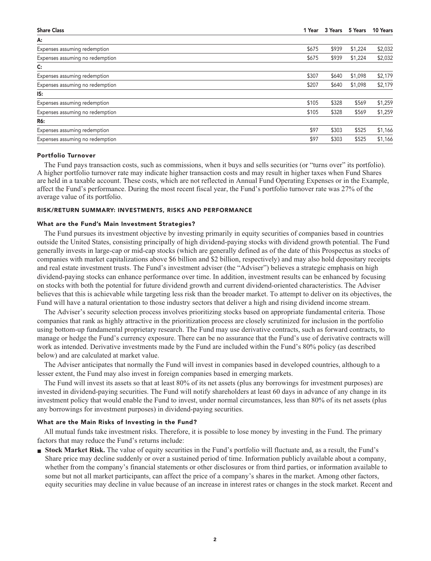| <b>Share Class</b>              | 1 Year | 3 Years | 5 Years | 10 Years |
|---------------------------------|--------|---------|---------|----------|
| A:                              |        |         |         |          |
| Expenses assuming redemption    | \$675  | \$939   | \$1,224 | \$2,032  |
| Expenses assuming no redemption | \$675  | \$939   | \$1,224 | \$2,032  |
| $\mathsf{C}$ :                  |        |         |         |          |
| Expenses assuming redemption    | \$307  | \$640   | \$1,098 | \$2,179  |
| Expenses assuming no redemption | \$207  | \$640   | \$1,098 | \$2,179  |
| IS:                             |        |         |         |          |
| Expenses assuming redemption    | \$105  | \$328   | \$569   | \$1,259  |
| Expenses assuming no redemption | \$105  | \$328   | \$569   | \$1,259  |
| R6:                             |        |         |         |          |
| Expenses assuming redemption    | \$97   | \$303   | \$525   | \$1,166  |
| Expenses assuming no redemption | \$97   | \$303   | \$525   | \$1,166  |
|                                 |        |         |         |          |

#### **Portfolio Turnover**

**The Fund pays transaction costs, such as commissions, when it buys and sells securities (or "turns over" its portfolio). A higher portfolio turnover rate may indicate higher transaction costs and may result in higher taxes when Fund Shares are held in a taxable account. These costs, which are not reflected in Annual Fund Operating Expenses or in the Example, affect the Fund's performance. During the most recent fiscal year, the Fund's portfolio turnover rate was 27% of the average value of its portfolio.**

### **RISK/RETURN SUMMARY: INVESTMENTS, RISKS AND PERFORMANCE**

### **What are the Fund's Main Investment Strategies?**

**The Fund pursues its investment objective by investing primarily in equity securities of companies based in countries outside the United States, consisting principally of high dividend-paying stocks with dividend growth potential. The Fund generally invests in large-cap or mid-cap stocks (which are generally defined as of the date of this Prospectus as stocks of companies with market capitalizations above \$6 billion and \$2 billion, respectively) and may also hold depositary receipts and real estate investment trusts. The Fund's investment adviser (the "Adviser") believes a strategic emphasis on high dividend-paying stocks can enhance performance over time. In addition, investment results can be enhanced by focusing on stocks with both the potential for future dividend growth and current dividend-oriented characteristics. The Adviser believes that this is achievable while targeting less risk than the broader market. To attempt to deliver on its objectives, the Fund will have a natural orientation to those industry sectors that deliver a high and rising dividend income stream.**

**The Adviser's security selection process involves prioritizing stocks based on appropriate fundamental criteria. Those companies that rank as highly attractive in the prioritization process are closely scrutinized for inclusion in the portfolio using bottom-up fundamental proprietary research. The Fund may use derivative contracts, such as forward contracts, to manage or hedge the Fund's currency exposure. There can be no assurance that the Fund's use of derivative contracts will work as intended. Derivative investments made by the Fund are included within the Fund's 80% policy (as described below) and are calculated at market value.**

**The Adviser anticipates that normally the Fund will invest in companies based in developed countries, although to a lesser extent, the Fund may also invest in foreign companies based in emerging markets.**

**The Fund will invest its assets so that at least 80% of its net assets (plus any borrowings for investment purposes) are invested in dividend-paying securities. The Fund will notify shareholders at least 60 days in advance of any change in its investment policy that would enable the Fund to invest, under normal circumstances, less than 80% of its net assets (plus any borrowings for investment purposes) in dividend-paying securities.**

### **What are the Main Risks of Investing in the Fund?**

**All mutual funds take investment risks. Therefore, it is possible to lose money by investing in the Fund. The primary factors that may reduce the Fund's returns include:**

**■ Stock Market Risk. The value of equity securities in the Fund's portfolio will fluctuate and, as a result, the Fund's Share price may decline suddenly or over a sustained period of time. Information publicly available about a company, whether from the company's financial statements or other disclosures or from third parties, or information available to some but not all market participants, can affect the price of a company's shares in the market. Among other factors, equity securities may decline in value because of an increase in interest rates or changes in the stock market. Recent and**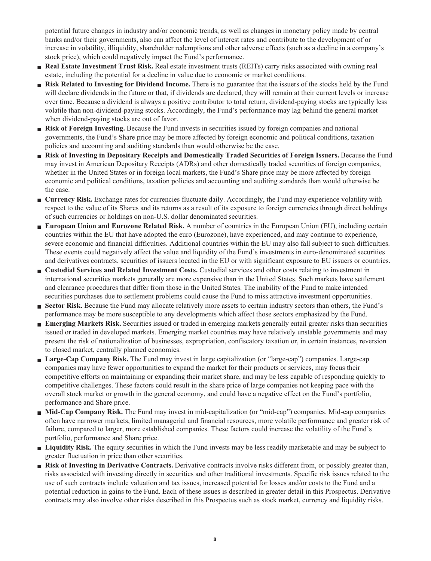**potential future changes in industry and/or economic trends, as well as changes in monetary policy made by central banks and/or their governments, also can affect the level of interest rates and contribute to the development of or increase in volatility, illiquidity, shareholder redemptions and other adverse effects (such as a decline in a company's stock price), which could negatively impact the Fund's performance.**

- **■ Real Estate Investment Trust Risk. Real estate investment trusts (REITs) carry risks associated with owning real estate, including the potential for a decline in value due to economic or market conditions.**
- **■ Risk Related to Investing for Dividend Income. There is no guarantee that the issuers of the stocks held by the Fund will declare dividends in the future or that, if dividends are declared, they will remain at their current levels or increase over time. Because a dividend is always a positive contributor to total return, dividend-paying stocks are typically less volatile than non-dividend-paying stocks. Accordingly, the Fund's performance may lag behind the general market when dividend-paying stocks are out of favor.**
- **Risk of Foreign Investing.** Because the Fund invests in securities issued by foreign companies and national **governments, the Fund's Share price may be more affected by foreign economic and political conditions, taxation policies and accounting and auditing standards than would otherwise be the case.**
- **■ Risk of Investing in Depositary Receipts and Domestically Traded Securities of Foreign Issuers. Because the Fund may invest in American Depositary Receipts (ADRs) and other domestically traded securities of foreign companies, whether in the United States or in foreign local markets, the Fund's Share price may be more affected by foreign economic and political conditions, taxation policies and accounting and auditing standards than would otherwise be the case.**
- **■ Currency Risk. Exchange rates for currencies fluctuate daily. Accordingly, the Fund may experience volatility with respect to the value of its Shares and its returns as a result of its exposure to foreign currencies through direct holdings of such currencies or holdings on non-U.S. dollar denominated securities.**
- **■ European Union and Eurozone Related Risk. A number of countries in the European Union (EU), including certain countries within the EU that have adopted the euro (Eurozone), have experienced, and may continue to experience, severe economic and financial difficulties. Additional countries within the EU may also fall subject to such difficulties. These events could negatively affect the value and liquidity of the Fund's investments in euro-denominated securities and derivatives contracts, securities of issuers located in the EU or with significant exposure to EU issuers or countries.**
- **■ Custodial Services and Related Investment Costs. Custodial services and other costs relating to investment in international securities markets generally are more expensive than in the United States. Such markets have settlement and clearance procedures that differ from those in the United States. The inability of the Fund to make intended securities purchases due to settlement problems could cause the Fund to miss attractive investment opportunities.**
- **■ Sector Risk. Because the Fund may allocate relatively more assets to certain industry sectors than others, the Fund's performance may be more susceptible to any developments which affect those sectors emphasized by the Fund.**
- **■ Emerging Markets Risk. Securities issued or traded in emerging markets generally entail greater risks than securities issued or traded in developed markets. Emerging market countries may have relatively unstable governments and may present the risk of nationalization of businesses, expropriation, confiscatory taxation or, in certain instances, reversion to closed market, centrally planned economies.**
- **■ Large-Cap Company Risk. The Fund may invest in large capitalization (or "large-cap") companies. Large-cap companies may have fewer opportunities to expand the market for their products or services, may focus their competitive efforts on maintaining or expanding their market share, and may be less capable of responding quickly to competitive challenges. These factors could result in the share price of large companies not keeping pace with the overall stock market or growth in the general economy, and could have a negative effect on the Fund's portfolio, performance and Share price.**
- **■ Mid-Cap Company Risk. The Fund may invest in mid-capitalization (or "mid-cap") companies. Mid-cap companies often have narrower markets, limited managerial and financial resources, more volatile performance and greater risk of failure, compared to larger, more established companies. These factors could increase the volatility of the Fund's portfolio, performance and Share price.**
- **■ Liquidity Risk. The equity securities in which the Fund invests may be less readily marketable and may be subject to greater fluctuation in price than other securities.**
- **Risk of Investing in Derivative Contracts.** Derivative contracts involve risks different from, or possibly greater than, **risks associated with investing directly in securities and other traditional investments. Specific risk issues related to the use of such contracts include valuation and tax issues, increased potential for losses and/or costs to the Fund and a potential reduction in gains to the Fund. Each of these issues is described in greater detail in this Prospectus. Derivative contracts may also involve other risks described in this Prospectus such as stock market, currency and liquidity risks.**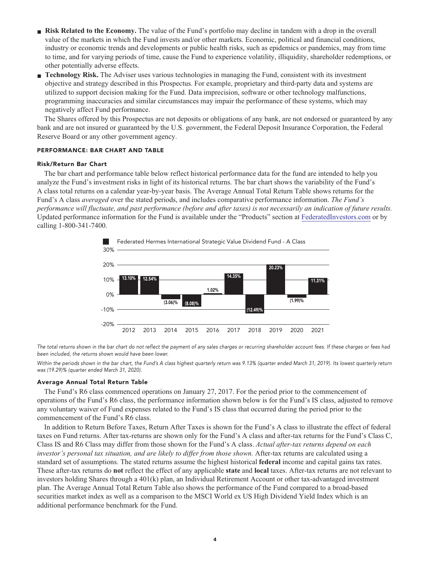- **Risk Related to the Economy.** The value of the Fund's portfolio may decline in tandem with a drop in the overall **value of the markets in which the Fund invests and/or other markets. Economic, political and financial conditions, industry or economic trends and developments or public health risks, such as epidemics or pandemics, may from time to time, and for varying periods of time, cause the Fund to experience volatility, illiquidity, shareholder redemptions, or other potentially adverse effects.**
- **■ Technology Risk. The Adviser uses various technologies in managing the Fund, consistent with its investment objective and strategy described in this Prospectus. For example, proprietary and third-party data and systems are utilized to support decision making for the Fund. Data imprecision, software or other technology malfunctions, programming inaccuracies and similar circumstances may impair the performance of these systems, which may negatively affect Fund performance.**

**The Shares offered by this Prospectus are not deposits or obligations of any bank, are not endorsed or guaranteed by any bank and are not insured or guaranteed by the U.S. government, the Federal Deposit Insurance Corporation, the Federal Reserve Board or any other government agency.**

#### **PERFORMANCE: BAR CHART AND TABLE**

#### **Risk/Return Bar Chart**

**The bar chart and performance table below reflect historical performance data for the fund are intended to help you analyze the Fund's investment risks in light of its historical returns. The bar chart shows the variability of the Fund's A class total returns on a calendar year-by-year basis. The Average Annual Total Return Table shows returns for the Fund's A class** *averaged* **over the stated periods, and includes comparative performance information.** *The Fund's performance will fluctuate, and past performance (before and after taxes) is not necessarily an indication of future results.* **Updated performance information for the Fund is available under the "Products" section at [FederatedInvestors.com](https://www.federatedinvestors.com/home.do) or by calling 1-800-341-7400.**



**The total returns shown in the bar chart do not reflect the payment of any sales charges or recurring shareholder account fees. If these charges or fees had been included, the returns shown would have been lower.**

**Within the periods shown in the bar chart, the Fund's A class highest quarterly return was 9.13% (quarter ended March 31, 2019). Its lowest quarterly return was (19.29)% (quarter ended March 31, 2020).**

#### **Average Annual Total Return Table**

**The Fund's R6 class commenced operations on January 27, 2017. For the period prior to the commencement of operations of the Fund's R6 class, the performance information shown below is for the Fund's IS class, adjusted to remove any voluntary waiver of Fund expenses related to the Fund's IS class that occurred during the period prior to the commencement of the Fund's R6 class.**

**In addition to Return Before Taxes, Return After Taxes is shown for the Fund's A class to illustrate the effect of federal taxes on Fund returns. After tax-returns are shown only for the Fund's A class and after-tax returns for the Fund's Class C, Class IS and R6 Class may differ from those shown for the Fund's A class.** *Actual after-tax returns depend on each investor's personal tax situation, and are likely to differ from those shown.* **After-tax returns are calculated using a standard set of assumptions. The stated returns assume the highest historical federal income and capital gains tax rates. These after-tax returns do not reflect the effect of any applicable state and local taxes. After-tax returns are not relevant to investors holding Shares through a 401(k) plan, an Individual Retirement Account or other tax-advantaged investment plan. The Average Annual Total Return Table also shows the performance of the Fund compared to a broad-based securities market index as well as a comparison to the MSCI World ex US High Dividend Yield Index which is an additional performance benchmark for the Fund.**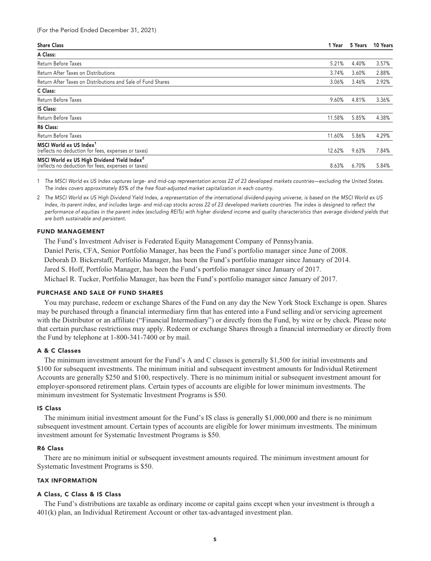| <b>Share Class</b>                                                                                             | 1 Year | 5 Years | 10 Years |
|----------------------------------------------------------------------------------------------------------------|--------|---------|----------|
| A Class:                                                                                                       |        |         |          |
| Return Before Taxes                                                                                            | 5.21%  | 4.40%   | 3.57%    |
| Return After Taxes on Distributions                                                                            | 3.74%  | 3.60%   | 2.88%    |
| Return After Taxes on Distributions and Sale of Fund Shares                                                    | 3.06%  | 3.46%   | 2.92%    |
| C Class:                                                                                                       |        |         |          |
| Return Before Taxes                                                                                            | 9.60%  | 4.81%   | 3.36%    |
| <b>IS Class:</b>                                                                                               |        |         |          |
| Return Before Taxes                                                                                            | 11.58% | 5.85%   | 4.38%    |
| <b>R6 Class:</b>                                                                                               |        |         |          |
| Return Before Taxes                                                                                            | 11.60% | 5.86%   | 4.29%    |
| MSCI World ex US Index <sup>1</sup><br>(reflects no deduction for fees, expenses or taxes)                     | 12.62% | 9.63%   | 7.84%    |
| MSCI World ex US High Dividend Yield Index <sup>2</sup><br>(reflects no deduction for fees, expenses or taxes) | 8.63%  | 6.70%   | 5.84%    |

**1 The MSCI World ex US Index captures large- and mid-cap representation across 22 of 23 developed markets countries—excluding the United States. The index covers approximately 85% of the free float-adjusted market capitalization in each country.**

**2 The MSCI World ex US High Dividend Yield Index, a representation of the international dividend-paying universe, is based on the MSCI World ex US Index, its parent index, and includes large- and mid-cap stocks across 22 of 23 developed markets countries. The index is designed to reflect the performance of equities in the parent index (excluding REITs) with higher dividend income and quality characteristics than average dividend yields that are both sustainable and persistent.**

#### **FUND MANAGEMENT**

**The Fund's Investment Adviser is Federated Equity Management Company of Pennsylvania. Daniel Peris, CFA, Senior Portfolio Manager, has been the Fund's portfolio manager since June of 2008. Deborah D. Bickerstaff, Portfolio Manager, has been the Fund's portfolio manager since January of 2014. Jared S. Hoff, Portfolio Manager, has been the Fund's portfolio manager since January of 2017. Michael R. Tucker, Portfolio Manager, has been the Fund's portfolio manager since January of 2017.**

#### **PURCHASE AND SALE OF FUND SHARES**

**You may purchase, redeem or exchange Shares of the Fund on any day the New York Stock Exchange is open. Shares may be purchased through a financial intermediary firm that has entered into a Fund selling and/or servicing agreement with the Distributor or an affiliate ("Financial Intermediary") or directly from the Fund, by wire or by check. Please note that certain purchase restrictions may apply. Redeem or exchange Shares through a financial intermediary or directly from the Fund by telephone at 1-800-341-7400 or by mail.**

### **A & C Classes**

**The minimum investment amount for the Fund's A and C classes is generally \$1,500 for initial investments and \$100 for subsequent investments. The minimum initial and subsequent investment amounts for Individual Retirement Accounts are generally \$250 and \$100, respectively. There is no minimum initial or subsequent investment amount for employer-sponsored retirement plans. Certain types of accounts are eligible for lower minimum investments. The minimum investment for Systematic Investment Programs is \$50.**

#### **IS Class**

**The minimum initial investment amount for the Fund's IS class is generally \$1,000,000 and there is no minimum subsequent investment amount. Certain types of accounts are eligible for lower minimum investments. The minimum investment amount for Systematic Investment Programs is \$50.**

#### **R6 Class**

**There are no minimum initial or subsequent investment amounts required. The minimum investment amount for Systematic Investment Programs is \$50.**

#### **TAX INFORMATION**

### **A Class, C Class & IS Class**

**The Fund's distributions are taxable as ordinary income or capital gains except when your investment is through a 401(k) plan, an Individual Retirement Account or other tax-advantaged investment plan.**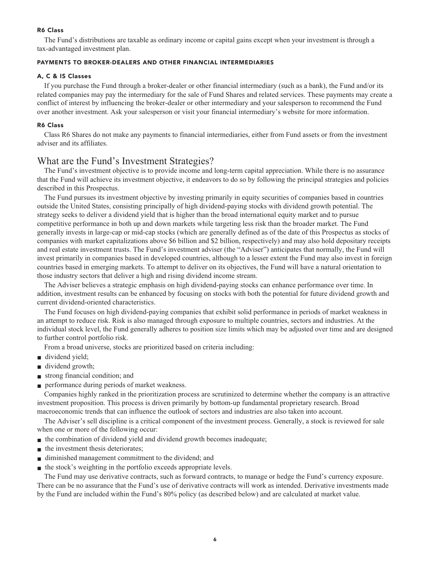### **R6 Class**

**The Fund's distributions are taxable as ordinary income or capital gains except when your investment is through a tax-advantaged investment plan.**

### **PAYMENTS TO BROKER-DEALERS AND OTHER FINANCIAL INTERMEDIARIES**

### **A, C & IS Classes**

**If you purchase the Fund through a broker-dealer or other financial intermediary (such as a bank), the Fund and/or its related companies may pay the intermediary for the sale of Fund Shares and related services. These payments may create a conflict of interest by influencing the broker-dealer or other intermediary and your salesperson to recommend the Fund over another investment. Ask your salesperson or visit your financial intermediary's website for more information.**

### **R6 Class**

**Class R6 Shares do not make any payments to financial intermediaries, either from Fund assets or from the investment adviser and its affiliates.**

## **What are the Fund's Investment Strategies?**

**The Fund's investment objective is to provide income and long-term capital appreciation. While there is no assurance that the Fund will achieve its investment objective, it endeavors to do so by following the principal strategies and policies described in this Prospectus.**

**The Fund pursues its investment objective by investing primarily in equity securities of companies based in countries outside the United States, consisting principally of high dividend-paying stocks with dividend growth potential. The strategy seeks to deliver a dividend yield that is higher than the broad international equity market and to pursue competitive performance in both up and down markets while targeting less risk than the broader market. The Fund generally invests in large-cap or mid-cap stocks (which are generally defined as of the date of this Prospectus as stocks of companies with market capitalizations above \$6 billion and \$2 billion, respectively) and may also hold depositary receipts and real estate investment trusts. The Fund's investment adviser (the "Adviser") anticipates that normally, the Fund will invest primarily in companies based in developed countries, although to a lesser extent the Fund may also invest in foreign countries based in emerging markets. To attempt to deliver on its objectives, the Fund will have a natural orientation to those industry sectors that deliver a high and rising dividend income stream.**

**The Adviser believes a strategic emphasis on high dividend-paying stocks can enhance performance over time. In addition, investment results can be enhanced by focusing on stocks with both the potential for future dividend growth and current dividend-oriented characteristics.**

**The Fund focuses on high dividend-paying companies that exhibit solid performance in periods of market weakness in an attempt to reduce risk. Risk is also managed through exposure to multiple countries, sectors and industries. At the individual stock level, the Fund generally adheres to position size limits which may be adjusted over time and are designed to further control portfolio risk.**

**From a broad universe, stocks are prioritized based on criteria including:**

- **■ dividend yield;**
- **■ dividend growth;**
- **■ strong financial condition; and**
- **■ performance during periods of market weakness.**

**Companies highly ranked in the prioritization process are scrutinized to determine whether the company is an attractive investment proposition. This process is driven primarily by bottom-up fundamental proprietary research. Broad macroeconomic trends that can influence the outlook of sectors and industries are also taken into account.**

**The Adviser's sell discipline is a critical component of the investment process. Generally, a stock is reviewed for sale when one or more of the following occur:**

- $\blacksquare$  the combination of dividend yield and dividend growth becomes inadequate;
- **■ the investment thesis deteriorates;**
- **■ diminished management commitment to the dividend; and**
- **the stock's weighting in the portfolio exceeds appropriate levels.**

**The Fund may use derivative contracts, such as forward contracts, to manage or hedge the Fund's currency exposure. There can be no assurance that the Fund's use of derivative contracts will work as intended. Derivative investments made by the Fund are included within the Fund's 80% policy (as described below) and are calculated at market value.**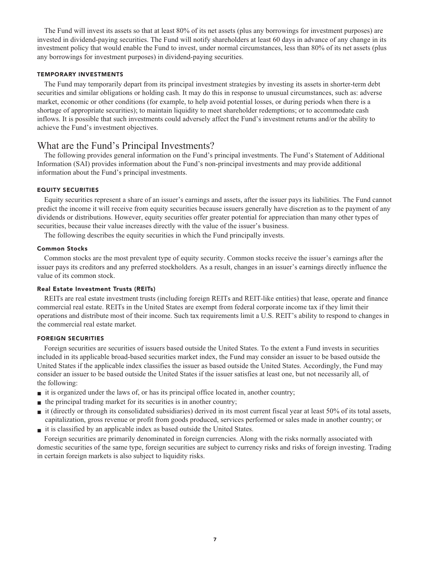**The Fund will invest its assets so that at least 80% of its net assets (plus any borrowings for investment purposes) are invested in dividend-paying securities. The Fund will notify shareholders at least 60 days in advance of any change in its investment policy that would enable the Fund to invest, under normal circumstances, less than 80% of its net assets (plus any borrowings for investment purposes) in dividend-paying securities.**

#### **TEMPORARY INVESTMENTS**

**The Fund may temporarily depart from its principal investment strategies by investing its assets in shorter-term debt securities and similar obligations or holding cash. It may do this in response to unusual circumstances, such as: adverse market, economic or other conditions (for example, to help avoid potential losses, or during periods when there is a shortage of appropriate securities); to maintain liquidity to meet shareholder redemptions; or to accommodate cash inflows. It is possible that such investments could adversely affect the Fund's investment returns and/or the ability to achieve the Fund's investment objectives.**

### **What are the Fund's Principal Investments?**

**The following provides general information on the Fund's principal investments. The Fund's Statement of Additional Information (SAI) provides information about the Fund's non-principal investments and may provide additional information about the Fund's principal investments.**

### **EQUITY SECURITIES**

**Equity securities represent a share of an issuer's earnings and assets, after the issuer pays its liabilities. The Fund cannot predict the income it will receive from equity securities because issuers generally have discretion as to the payment of any dividends or distributions. However, equity securities offer greater potential for appreciation than many other types of securities, because their value increases directly with the value of the issuer's business.**

**The following describes the equity securities in which the Fund principally invests.**

#### **Common Stocks**

**Common stocks are the most prevalent type of equity security. Common stocks receive the issuer's earnings after the issuer pays its creditors and any preferred stockholders. As a result, changes in an issuer's earnings directly influence the value of its common stock.**

### **Real Estate Investment Trusts (REITs)**

**REITs are real estate investment trusts (including foreign REITs and REIT-like entities) that lease, operate and finance commercial real estate. REITs in the United States are exempt from federal corporate income tax if they limit their operations and distribute most of their income. Such tax requirements limit a U.S. REIT's ability to respond to changes in the commercial real estate market.**

### **FOREIGN SECURITIES**

**Foreign securities are securities of issuers based outside the United States. To the extent a Fund invests in securities included in its applicable broad-based securities market index, the Fund may consider an issuer to be based outside the United States if the applicable index classifies the issuer as based outside the United States. Accordingly, the Fund may consider an issuer to be based outside the United States if the issuer satisfies at least one, but not necessarily all, of the following:**

- **■ it is organized under the laws of, or has its principal office located in, another country;**
- **■ the principal trading market for its securities is in another country;**
- **■ it (directly or through its consolidated subsidiaries) derived in its most current fiscal year at least 50% of its total assets, capitalization, gross revenue or profit from goods produced, services performed or sales made in another country; or**
- **■ it is classified by an applicable index as based outside the United States.**

**Foreign securities are primarily denominated in foreign currencies. Along with the risks normally associated with domestic securities of the same type, foreign securities are subject to currency risks and risks of foreign investing. Trading in certain foreign markets is also subject to liquidity risks.**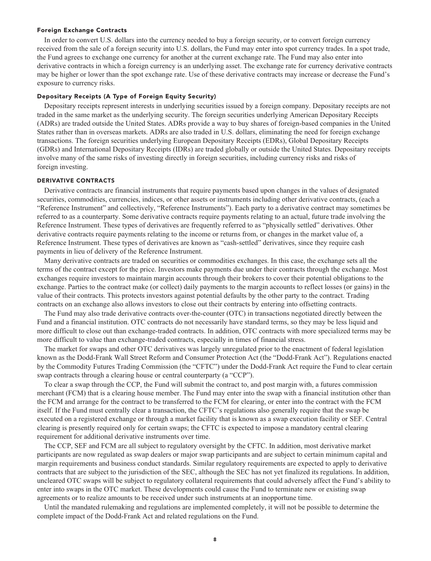#### **Foreign Exchange Contracts**

**In order to convert U.S. dollars into the currency needed to buy a foreign security, or to convert foreign currency received from the sale of a foreign security into U.S. dollars, the Fund may enter into spot currency trades. In a spot trade, the Fund agrees to exchange one currency for another at the current exchange rate. The Fund may also enter into derivative contracts in which a foreign currency is an underlying asset. The exchange rate for currency derivative contracts may be higher or lower than the spot exchange rate. Use of these derivative contracts may increase or decrease the Fund's exposure to currency risks.**

#### **Depositary Receipts (A Type of Foreign Equity Security)**

**Depositary receipts represent interests in underlying securities issued by a foreign company. Depositary receipts are not traded in the same market as the underlying security. The foreign securities underlying American Depositary Receipts (ADRs) are traded outside the United States. ADRs provide a way to buy shares of foreign-based companies in the United States rather than in overseas markets. ADRs are also traded in U.S. dollars, eliminating the need for foreign exchange transactions. The foreign securities underlying European Depositary Receipts (EDRs), Global Depositary Receipts (GDRs) and International Depositary Receipts (IDRs) are traded globally or outside the United States. Depositary receipts involve many of the same risks of investing directly in foreign securities, including currency risks and risks of foreign investing.**

### **DERIVATIVE CONTRACTS**

**Derivative contracts are financial instruments that require payments based upon changes in the values of designated securities, commodities, currencies, indices, or other assets or instruments including other derivative contracts, (each a "Reference Instrument" and collectively, "Reference Instruments"). Each party to a derivative contract may sometimes be referred to as a counterparty. Some derivative contracts require payments relating to an actual, future trade involving the Reference Instrument. These types of derivatives are frequently referred to as "physically settled" derivatives. Other derivative contracts require payments relating to the income or returns from, or changes in the market value of, a Reference Instrument. These types of derivatives are known as "cash-settled" derivatives, since they require cash payments in lieu of delivery of the Reference Instrument.**

**Many derivative contracts are traded on securities or commodities exchanges. In this case, the exchange sets all the terms of the contract except for the price. Investors make payments due under their contracts through the exchange. Most exchanges require investors to maintain margin accounts through their brokers to cover their potential obligations to the exchange. Parties to the contract make (or collect) daily payments to the margin accounts to reflect losses (or gains) in the value of their contracts. This protects investors against potential defaults by the other party to the contract. Trading contracts on an exchange also allows investors to close out their contracts by entering into offsetting contracts.**

**The Fund may also trade derivative contracts over-the-counter (OTC) in transactions negotiated directly between the Fund and a financial institution. OTC contracts do not necessarily have standard terms, so they may be less liquid and more difficult to close out than exchange-traded contracts. In addition, OTC contracts with more specialized terms may be more difficult to value than exchange-traded contracts, especially in times of financial stress.**

**The market for swaps and other OTC derivatives was largely unregulated prior to the enactment of federal legislation known as the Dodd-Frank Wall Street Reform and Consumer Protection Act (the "Dodd-Frank Act"). Regulations enacted by the Commodity Futures Trading Commission (the "CFTC") under the Dodd-Frank Act require the Fund to clear certain swap contracts through a clearing house or central counterparty (a "CCP").**

**To clear a swap through the CCP, the Fund will submit the contract to, and post margin with, a futures commission merchant (FCM) that is a clearing house member. The Fund may enter into the swap with a financial institution other than the FCM and arrange for the contract to be transferred to the FCM for clearing, or enter into the contract with the FCM itself. If the Fund must centrally clear a transaction, the CFTC's regulations also generally require that the swap be executed on a registered exchange or through a market facility that is known as a swap execution facility or SEF. Central clearing is presently required only for certain swaps; the CFTC is expected to impose a mandatory central clearing requirement for additional derivative instruments over time.**

**The CCP, SEF and FCM are all subject to regulatory oversight by the CFTC. In addition, most derivative market participants are now regulated as swap dealers or major swap participants and are subject to certain minimum capital and margin requirements and business conduct standards. Similar regulatory requirements are expected to apply to derivative contracts that are subject to the jurisdiction of the SEC, although the SEC has not yet finalized its regulations. In addition, uncleared OTC swaps will be subject to regulatory collateral requirements that could adversely affect the Fund's ability to enter into swaps in the OTC market. These developments could cause the Fund to terminate new or existing swap agreements or to realize amounts to be received under such instruments at an inopportune time.**

**Until the mandated rulemaking and regulations are implemented completely, it will not be possible to determine the complete impact of the Dodd-Frank Act and related regulations on the Fund.**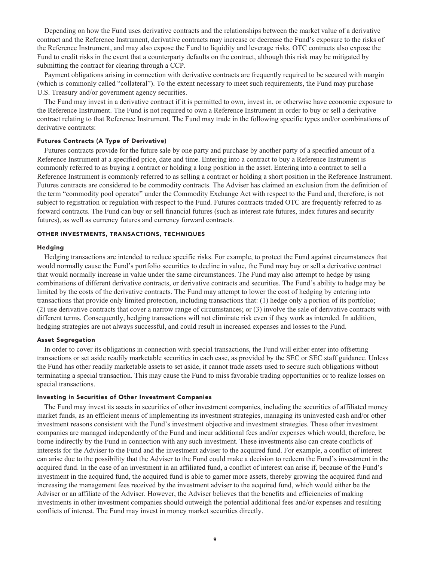**Depending on how the Fund uses derivative contracts and the relationships between the market value of a derivative contract and the Reference Instrument, derivative contracts may increase or decrease the Fund's exposure to the risks of the Reference Instrument, and may also expose the Fund to liquidity and leverage risks. OTC contracts also expose the Fund to credit risks in the event that a counterparty defaults on the contract, although this risk may be mitigated by submitting the contract for clearing through a CCP.**

**Payment obligations arising in connection with derivative contracts are frequently required to be secured with margin (which is commonly called "collateral"). To the extent necessary to meet such requirements, the Fund may purchase U.S. Treasury and/or government agency securities.**

**The Fund may invest in a derivative contract if it is permitted to own, invest in, or otherwise have economic exposure to the Reference Instrument. The Fund is not required to own a Reference Instrument in order to buy or sell a derivative contract relating to that Reference Instrument. The Fund may trade in the following specific types and/or combinations of derivative contracts:**

### **Futures Contracts (A Type of Derivative)**

**Futures contracts provide for the future sale by one party and purchase by another party of a specified amount of a Reference Instrument at a specified price, date and time. Entering into a contract to buy a Reference Instrument is commonly referred to as buying a contract or holding a long position in the asset. Entering into a contract to sell a Reference Instrument is commonly referred to as selling a contract or holding a short position in the Reference Instrument. Futures contracts are considered to be commodity contracts. The Adviser has claimed an exclusion from the definition of the term "commodity pool operator" under the Commodity Exchange Act with respect to the Fund and, therefore, is not subject to registration or regulation with respect to the Fund. Futures contracts traded OTC are frequently referred to as forward contracts. The Fund can buy or sell financial futures (such as interest rate futures, index futures and security futures), as well as currency futures and currency forward contracts.**

#### **OTHER INVESTMENTS, TRANSACTIONS, TECHNIQUES**

#### **Hedging**

**Hedging transactions are intended to reduce specific risks. For example, to protect the Fund against circumstances that would normally cause the Fund's portfolio securities to decline in value, the Fund may buy or sell a derivative contract that would normally increase in value under the same circumstances. The Fund may also attempt to hedge by using combinations of different derivative contracts, or derivative contracts and securities. The Fund's ability to hedge may be limited by the costs of the derivative contracts. The Fund may attempt to lower the cost of hedging by entering into transactions that provide only limited protection, including transactions that: (1) hedge only a portion of its portfolio; (2) use derivative contracts that cover a narrow range of circumstances; or (3) involve the sale of derivative contracts with different terms. Consequently, hedging transactions will not eliminate risk even if they work as intended. In addition, hedging strategies are not always successful, and could result in increased expenses and losses to the Fund.**

#### **Asset Segregation**

**In order to cover its obligations in connection with special transactions, the Fund will either enter into offsetting transactions or set aside readily marketable securities in each case, as provided by the SEC or SEC staff guidance. Unless the Fund has other readily marketable assets to set aside, it cannot trade assets used to secure such obligations without terminating a special transaction. This may cause the Fund to miss favorable trading opportunities or to realize losses on special transactions.**

### **Investing in Securities of Other Investment Companies**

**The Fund may invest its assets in securities of other investment companies, including the securities of affiliated money market funds, as an efficient means of implementing its investment strategies, managing its uninvested cash and/or other investment reasons consistent with the Fund's investment objective and investment strategies. These other investment companies are managed independently of the Fund and incur additional fees and/or expenses which would, therefore, be borne indirectly by the Fund in connection with any such investment. These investments also can create conflicts of interests for the Adviser to the Fund and the investment adviser to the acquired fund. For example, a conflict of interest can arise due to the possibility that the Adviser to the Fund could make a decision to redeem the Fund's investment in the acquired fund. In the case of an investment in an affiliated fund, a conflict of interest can arise if, because of the Fund's investment in the acquired fund, the acquired fund is able to garner more assets, thereby growing the acquired fund and increasing the management fees received by the investment adviser to the acquired fund, which would either be the Adviser or an affiliate of the Adviser. However, the Adviser believes that the benefits and efficiencies of making investments in other investment companies should outweigh the potential additional fees and/or expenses and resulting conflicts of interest. The Fund may invest in money market securities directly.**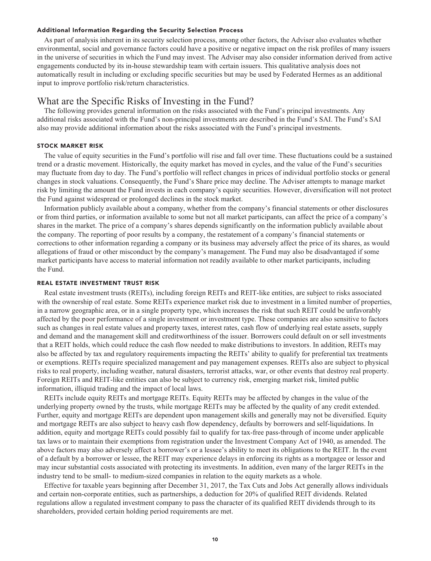### **Additional Information Regarding the Security Selection Process**

**As part of analysis inherent in its security selection process, among other factors, the Adviser also evaluates whether environmental, social and governance factors could have a positive or negative impact on the risk profiles of many issuers in the universe of securities in which the Fund may invest. The Adviser may also consider information derived from active engagements conducted by its in-house stewardship team with certain issuers. This qualitative analysis does not automatically result in including or excluding specific securities but may be used by Federated Hermes as an additional input to improve portfolio risk/return characteristics.**

### **What are the Specific Risks of Investing in the Fund?**

**The following provides general information on the risks associated with the Fund's principal investments. Any additional risks associated with the Fund's non-principal investments are described in the Fund's SAI. The Fund's SAI also may provide additional information about the risks associated with the Fund's principal investments.**

#### **STOCK MARKET RISK**

**The value of equity securities in the Fund's portfolio will rise and fall over time. These fluctuations could be a sustained trend or a drastic movement. Historically, the equity market has moved in cycles, and the value of the Fund's securities may fluctuate from day to day. The Fund's portfolio will reflect changes in prices of individual portfolio stocks or general changes in stock valuations. Consequently, the Fund's Share price may decline. The Adviser attempts to manage market risk by limiting the amount the Fund invests in each company's equity securities. However, diversification will not protect the Fund against widespread or prolonged declines in the stock market.**

**Information publicly available about a company, whether from the company's financial statements or other disclosures or from third parties, or information available to some but not all market participants, can affect the price of a company's shares in the market. The price of a company's shares depends significantly on the information publicly available about the company. The reporting of poor results by a company, the restatement of a company's financial statements or corrections to other information regarding a company or its business may adversely affect the price of its shares, as would allegations of fraud or other misconduct by the company's management. The Fund may also be disadvantaged if some market participants have access to material information not readily available to other market participants, including the Fund.**

#### **REAL ESTATE INVESTMENT TRUST RISK**

**Real estate investment trusts (REITs), including foreign REITs and REIT-like entities, are subject to risks associated with the ownership of real estate. Some REITs experience market risk due to investment in a limited number of properties, in a narrow geographic area, or in a single property type, which increases the risk that such REIT could be unfavorably affected by the poor performance of a single investment or investment type. These companies are also sensitive to factors such as changes in real estate values and property taxes, interest rates, cash flow of underlying real estate assets, supply and demand and the management skill and creditworthiness of the issuer. Borrowers could default on or sell investments that a REIT holds, which could reduce the cash flow needed to make distributions to investors. In addition, REITs may also be affected by tax and regulatory requirements impacting the REITs' ability to qualify for preferential tax treatments or exemptions. REITs require specialized management and pay management expenses. REITs also are subject to physical risks to real property, including weather, natural disasters, terrorist attacks, war, or other events that destroy real property. Foreign REITs and REIT-like entities can also be subject to currency risk, emerging market risk, limited public information, illiquid trading and the impact of local laws.**

**REITs include equity REITs and mortgage REITs. Equity REITs may be affected by changes in the value of the underlying property owned by the trusts, while mortgage REITs may be affected by the quality of any credit extended. Further, equity and mortgage REITs are dependent upon management skills and generally may not be diversified. Equity and mortgage REITs are also subject to heavy cash flow dependency, defaults by borrowers and self-liquidations. In addition, equity and mortgage REITs could possibly fail to qualify for tax-free pass-through of income under applicable tax laws or to maintain their exemptions from registration under the Investment Company Act of 1940, as amended. The above factors may also adversely affect a borrower's or a lessee's ability to meet its obligations to the REIT. In the event of a default by a borrower or lessee, the REIT may experience delays in enforcing its rights as a mortgagee or lessor and may incur substantial costs associated with protecting its investments. In addition, even many of the larger REITs in the industry tend to be small- to medium-sized companies in relation to the equity markets as a whole.**

**Effective for taxable years beginning after December 31, 2017, the Tax Cuts and Jobs Act generally allows individuals and certain non-corporate entities, such as partnerships, a deduction for 20% of qualified REIT dividends. Related regulations allow a regulated investment company to pass the character of its qualified REIT dividends through to its shareholders, provided certain holding period requirements are met.**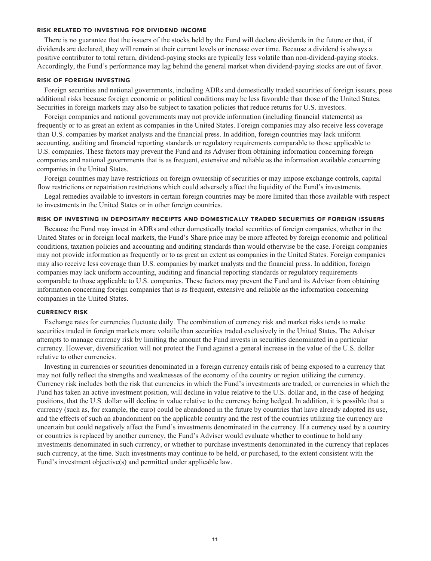#### **RISK RELATED TO INVESTING FOR DIVIDEND INCOME**

**There is no guarantee that the issuers of the stocks held by the Fund will declare dividends in the future or that, if dividends are declared, they will remain at their current levels or increase over time. Because a dividend is always a positive contributor to total return, dividend-paying stocks are typically less volatile than non-dividend-paying stocks. Accordingly, the Fund's performance may lag behind the general market when dividend-paying stocks are out of favor.**

#### **RISK OF FOREIGN INVESTING**

**Foreign securities and national governments, including ADRs and domestically traded securities of foreign issuers, pose additional risks because foreign economic or political conditions may be less favorable than those of the United States. Securities in foreign markets may also be subject to taxation policies that reduce returns for U.S. investors.**

**Foreign companies and national governments may not provide information (including financial statements) as frequently or to as great an extent as companies in the United States. Foreign companies may also receive less coverage than U.S. companies by market analysts and the financial press. In addition, foreign countries may lack uniform accounting, auditing and financial reporting standards or regulatory requirements comparable to those applicable to U.S. companies. These factors may prevent the Fund and its Adviser from obtaining information concerning foreign companies and national governments that is as frequent, extensive and reliable as the information available concerning companies in the United States.**

**Foreign countries may have restrictions on foreign ownership of securities or may impose exchange controls, capital flow restrictions or repatriation restrictions which could adversely affect the liquidity of the Fund's investments.**

**Legal remedies available to investors in certain foreign countries may be more limited than those available with respect to investments in the United States or in other foreign countries.**

#### **RISK OF INVESTING IN DEPOSITARY RECEIPTS AND DOMESTICALLY TRADED SECURITIES OF FOREIGN ISSUERS**

**Because the Fund may invest in ADRs and other domestically traded securities of foreign companies, whether in the United States or in foreign local markets, the Fund's Share price may be more affected by foreign economic and political conditions, taxation policies and accounting and auditing standards than would otherwise be the case. Foreign companies may not provide information as frequently or to as great an extent as companies in the United States. Foreign companies may also receive less coverage than U.S. companies by market analysts and the financial press. In addition, foreign companies may lack uniform accounting, auditing and financial reporting standards or regulatory requirements comparable to those applicable to U.S. companies. These factors may prevent the Fund and its Adviser from obtaining information concerning foreign companies that is as frequent, extensive and reliable as the information concerning companies in the United States.**

### **CURRENCY RISK**

**Exchange rates for currencies fluctuate daily. The combination of currency risk and market risks tends to make securities traded in foreign markets more volatile than securities traded exclusively in the United States. The Adviser attempts to manage currency risk by limiting the amount the Fund invests in securities denominated in a particular currency. However, diversification will not protect the Fund against a general increase in the value of the U.S. dollar relative to other currencies.**

**Investing in currencies or securities denominated in a foreign currency entails risk of being exposed to a currency that may not fully reflect the strengths and weaknesses of the economy of the country or region utilizing the currency. Currency risk includes both the risk that currencies in which the Fund's investments are traded, or currencies in which the Fund has taken an active investment position, will decline in value relative to the U.S. dollar and, in the case of hedging positions, that the U.S. dollar will decline in value relative to the currency being hedged. In addition, it is possible that a currency (such as, for example, the euro) could be abandoned in the future by countries that have already adopted its use, and the effects of such an abandonment on the applicable country and the rest of the countries utilizing the currency are uncertain but could negatively affect the Fund's investments denominated in the currency. If a currency used by a country or countries is replaced by another currency, the Fund's Adviser would evaluate whether to continue to hold any investments denominated in such currency, or whether to purchase investments denominated in the currency that replaces such currency, at the time. Such investments may continue to be held, or purchased, to the extent consistent with the Fund's investment objective(s) and permitted under applicable law.**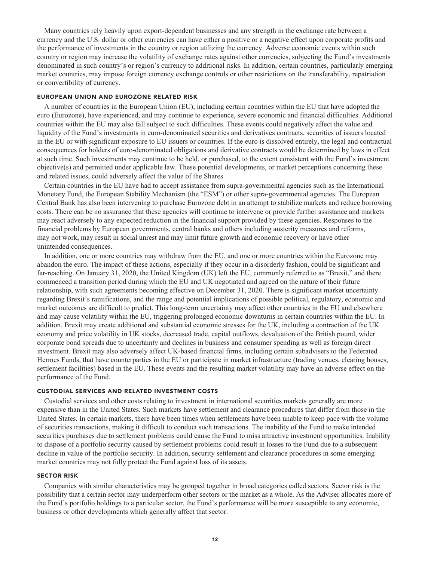**Many countries rely heavily upon export-dependent businesses and any strength in the exchange rate between a currency and the U.S. dollar or other currencies can have either a positive or a negative effect upon corporate profits and the performance of investments in the country or region utilizing the currency. Adverse economic events within such country or region may increase the volatility of exchange rates against other currencies, subjecting the Fund's investments denominated in such country's or region's currency to additional risks. In addition, certain countries, particularly emerging market countries, may impose foreign currency exchange controls or other restrictions on the transferability, repatriation or convertibility of currency.**

#### **EUROPEAN UNION AND EUROZONE RELATED RISK**

**A number of countries in the European Union (EU), including certain countries within the EU that have adopted the euro (Eurozone), have experienced, and may continue to experience, severe economic and financial difficulties. Additional countries within the EU may also fall subject to such difficulties. These events could negatively affect the value and liquidity of the Fund's investments in euro-denominated securities and derivatives contracts, securities of issuers located in the EU or with significant exposure to EU issuers or countries. If the euro is dissolved entirely, the legal and contractual consequences for holders of euro-denominated obligations and derivative contracts would be determined by laws in effect at such time. Such investments may continue to be held, or purchased, to the extent consistent with the Fund's investment objective(s) and permitted under applicable law. These potential developments, or market perceptions concerning these and related issues, could adversely affect the value of the Shares.**

**Certain countries in the EU have had to accept assistance from supra-governmental agencies such as the International Monetary Fund, the European Stability Mechanism (the "ESM") or other supra-governmental agencies. The European Central Bank has also been intervening to purchase Eurozone debt in an attempt to stabilize markets and reduce borrowing costs. There can be no assurance that these agencies will continue to intervene or provide further assistance and markets may react adversely to any expected reduction in the financial support provided by these agencies. Responses to the financial problems by European governments, central banks and others including austerity measures and reforms, may not work, may result in social unrest and may limit future growth and economic recovery or have other unintended consequences.**

**In addition, one or more countries may withdraw from the EU, and one or more countries within the Eurozone may abandon the euro. The impact of these actions, especially if they occur in a disorderly fashion, could be significant and far-reaching. On January 31, 2020, the United Kingdom (UK) left the EU, commonly referred to as "Brexit," and there commenced a transition period during which the EU and UK negotiated and agreed on the nature of their future relationship, with such agreements becoming effective on December 31, 2020. There is significant market uncertainty regarding Brexit's ramifications, and the range and potential implications of possible political, regulatory, economic and market outcomes are difficult to predict. This long-term uncertainty may affect other countries in the EU and elsewhere and may cause volatility within the EU, triggering prolonged economic downturns in certain countries within the EU. In addition, Brexit may create additional and substantial economic stresses for the UK, including a contraction of the UK economy and price volatility in UK stocks, decreased trade, capital outflows, devaluation of the British pound, wider corporate bond spreads due to uncertainty and declines in business and consumer spending as well as foreign direct investment. Brexit may also adversely affect UK-based financial firms, including certain subadvisers to the Federated Hermes Funds, that have counterparties in the EU or participate in market infrastructure (trading venues, clearing houses, settlement facilities) based in the EU. These events and the resulting market volatility may have an adverse effect on the performance of the Fund.**

### **CUSTODIAL SERVICES AND RELATED INVESTMENT COSTS**

**Custodial services and other costs relating to investment in international securities markets generally are more expensive than in the United States. Such markets have settlement and clearance procedures that differ from those in the United States. In certain markets, there have been times when settlements have been unable to keep pace with the volume of securities transactions, making it difficult to conduct such transactions. The inability of the Fund to make intended securities purchases due to settlement problems could cause the Fund to miss attractive investment opportunities. Inability to dispose of a portfolio security caused by settlement problems could result in losses to the Fund due to a subsequent decline in value of the portfolio security. In addition, security settlement and clearance procedures in some emerging market countries may not fully protect the Fund against loss of its assets.**

#### **SECTOR RISK**

**Companies with similar characteristics may be grouped together in broad categories called sectors. Sector risk is the possibility that a certain sector may underperform other sectors or the market as a whole. As the Adviser allocates more of the Fund's portfolio holdings to a particular sector, the Fund's performance will be more susceptible to any economic, business or other developments which generally affect that sector.**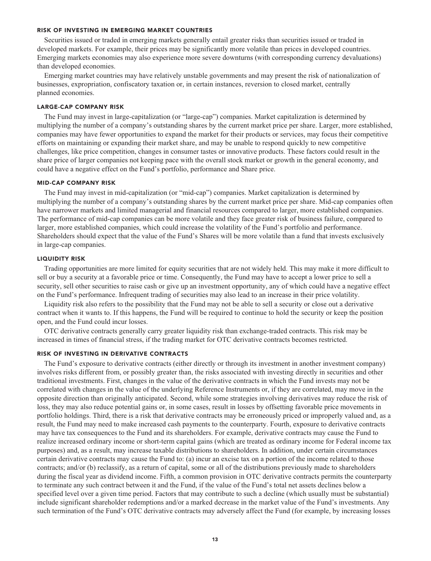#### **RISK OF INVESTING IN EMERGING MARKET COUNTRIES**

**Securities issued or traded in emerging markets generally entail greater risks than securities issued or traded in developed markets. For example, their prices may be significantly more volatile than prices in developed countries. Emerging markets economies may also experience more severe downturns (with corresponding currency devaluations) than developed economies.**

**Emerging market countries may have relatively unstable governments and may present the risk of nationalization of businesses, expropriation, confiscatory taxation or, in certain instances, reversion to closed market, centrally planned economies.**

#### **LARGE-CAP COMPANY RISK**

**The Fund may invest in large-capitalization (or "large-cap") companies. Market capitalization is determined by multiplying the number of a company's outstanding shares by the current market price per share. Larger, more established, companies may have fewer opportunities to expand the market for their products or services, may focus their competitive efforts on maintaining or expanding their market share, and may be unable to respond quickly to new competitive challenges, like price competition, changes in consumer tastes or innovative products. These factors could result in the share price of larger companies not keeping pace with the overall stock market or growth in the general economy, and could have a negative effect on the Fund's portfolio, performance and Share price.**

#### **MID-CAP COMPANY RISK**

**The Fund may invest in mid-capitalization (or "mid-cap") companies. Market capitalization is determined by multiplying the number of a company's outstanding shares by the current market price per share. Mid-cap companies often have narrower markets and limited managerial and financial resources compared to larger, more established companies. The performance of mid-cap companies can be more volatile and they face greater risk of business failure, compared to larger, more established companies, which could increase the volatility of the Fund's portfolio and performance. Shareholders should expect that the value of the Fund's Shares will be more volatile than a fund that invests exclusively in large-cap companies.**

#### **LIQUIDITY RISK**

**Trading opportunities are more limited for equity securities that are not widely held. This may make it more difficult to sell or buy a security at a favorable price or time. Consequently, the Fund may have to accept a lower price to sell a security, sell other securities to raise cash or give up an investment opportunity, any of which could have a negative effect on the Fund's performance. Infrequent trading of securities may also lead to an increase in their price volatility.**

**Liquidity risk also refers to the possibility that the Fund may not be able to sell a security or close out a derivative contract when it wants to. If this happens, the Fund will be required to continue to hold the security or keep the position open, and the Fund could incur losses.**

**OTC derivative contracts generally carry greater liquidity risk than exchange-traded contracts. This risk may be increased in times of financial stress, if the trading market for OTC derivative contracts becomes restricted.**

#### **RISK OF INVESTING IN DERIVATIVE CONTRACTS**

**The Fund's exposure to derivative contracts (either directly or through its investment in another investment company) involves risks different from, or possibly greater than, the risks associated with investing directly in securities and other traditional investments. First, changes in the value of the derivative contracts in which the Fund invests may not be correlated with changes in the value of the underlying Reference Instruments or, if they are correlated, may move in the opposite direction than originally anticipated. Second, while some strategies involving derivatives may reduce the risk of loss, they may also reduce potential gains or, in some cases, result in losses by offsetting favorable price movements in portfolio holdings. Third, there is a risk that derivative contracts may be erroneously priced or improperly valued and, as a result, the Fund may need to make increased cash payments to the counterparty. Fourth, exposure to derivative contracts may have tax consequences to the Fund and its shareholders. For example, derivative contracts may cause the Fund to realize increased ordinary income or short-term capital gains (which are treated as ordinary income for Federal income tax purposes) and, as a result, may increase taxable distributions to shareholders. In addition, under certain circumstances certain derivative contracts may cause the Fund to: (a) incur an excise tax on a portion of the income related to those contracts; and/or (b) reclassify, as a return of capital, some or all of the distributions previously made to shareholders during the fiscal year as dividend income. Fifth, a common provision in OTC derivative contracts permits the counterparty to terminate any such contract between it and the Fund, if the value of the Fund's total net assets declines below a specified level over a given time period. Factors that may contribute to such a decline (which usually must be substantial) include significant shareholder redemptions and/or a marked decrease in the market value of the Fund's investments. Any such termination of the Fund's OTC derivative contracts may adversely affect the Fund (for example, by increasing losses**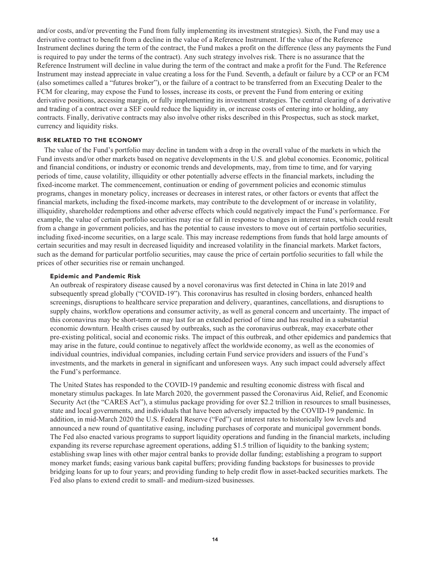**and/or costs, and/or preventing the Fund from fully implementing its investment strategies). Sixth, the Fund may use a derivative contract to benefit from a decline in the value of a Reference Instrument. If the value of the Reference Instrument declines during the term of the contract, the Fund makes a profit on the difference (less any payments the Fund is required to pay under the terms of the contract). Any such strategy involves risk. There is no assurance that the Reference Instrument will decline in value during the term of the contract and make a profit for the Fund. The Reference Instrument may instead appreciate in value creating a loss for the Fund. Seventh, a default or failure by a CCP or an FCM (also sometimes called a "futures broker"), or the failure of a contract to be transferred from an Executing Dealer to the FCM for clearing, may expose the Fund to losses, increase its costs, or prevent the Fund from entering or exiting derivative positions, accessing margin, or fully implementing its investment strategies. The central clearing of a derivative and trading of a contract over a SEF could reduce the liquidity in, or increase costs of entering into or holding, any contracts. Finally, derivative contracts may also involve other risks described in this Prospectus, such as stock market, currency and liquidity risks.**

### **RISK RELATED TO THE ECONOMY**

**The value of the Fund's portfolio may decline in tandem with a drop in the overall value of the markets in which the Fund invests and/or other markets based on negative developments in the U.S. and global economies. Economic, political and financial conditions, or industry or economic trends and developments, may, from time to time, and for varying periods of time, cause volatility, illiquidity or other potentially adverse effects in the financial markets, including the fixed-income market. The commencement, continuation or ending of government policies and economic stimulus programs, changes in monetary policy, increases or decreases in interest rates, or other factors or events that affect the financial markets, including the fixed-income markets, may contribute to the development of or increase in volatility, illiquidity, shareholder redemptions and other adverse effects which could negatively impact the Fund's performance. For example, the value of certain portfolio securities may rise or fall in response to changes in interest rates, which could result from a change in government policies, and has the potential to cause investors to move out of certain portfolio securities, including fixed-income securities, on a large scale. This may increase redemptions from funds that hold large amounts of certain securities and may result in decreased liquidity and increased volatility in the financial markets. Market factors, such as the demand for particular portfolio securities, may cause the price of certain portfolio securities to fall while the prices of other securities rise or remain unchanged.**

#### **Epidemic and Pandemic Risk**

**An outbreak of respiratory disease caused by a novel coronavirus was first detected in China in late 2019 and subsequently spread globally ("COVID-19"). This coronavirus has resulted in closing borders, enhanced health screenings, disruptions to healthcare service preparation and delivery, quarantines, cancellations, and disruptions to supply chains, workflow operations and consumer activity, as well as general concern and uncertainty. The impact of this coronavirus may be short-term or may last for an extended period of time and has resulted in a substantial economic downturn. Health crises caused by outbreaks, such as the coronavirus outbreak, may exacerbate other pre-existing political, social and economic risks. The impact of this outbreak, and other epidemics and pandemics that may arise in the future, could continue to negatively affect the worldwide economy, as well as the economies of individual countries, individual companies, including certain Fund service providers and issuers of the Fund's investments, and the markets in general in significant and unforeseen ways. Any such impact could adversely affect the Fund's performance.**

**The United States has responded to the COVID-19 pandemic and resulting economic distress with fiscal and monetary stimulus packages. In late March 2020, the government passed the Coronavirus Aid, Relief, and Economic Security Act (the "CARES Act"), a stimulus package providing for over \$2.2 trillion in resources to small businesses, state and local governments, and individuals that have been adversely impacted by the COVID-19 pandemic. In addition, in mid-March 2020 the U.S. Federal Reserve ("Fed") cut interest rates to historically low levels and announced a new round of quantitative easing, including purchases of corporate and municipal government bonds. The Fed also enacted various programs to support liquidity operations and funding in the financial markets, including expanding its reverse repurchase agreement operations, adding \$1.5 trillion of liquidity to the banking system; establishing swap lines with other major central banks to provide dollar funding; establishing a program to support money market funds; easing various bank capital buffers; providing funding backstops for businesses to provide bridging loans for up to four years; and providing funding to help credit flow in asset-backed securities markets. The Fed also plans to extend credit to small- and medium-sized businesses.**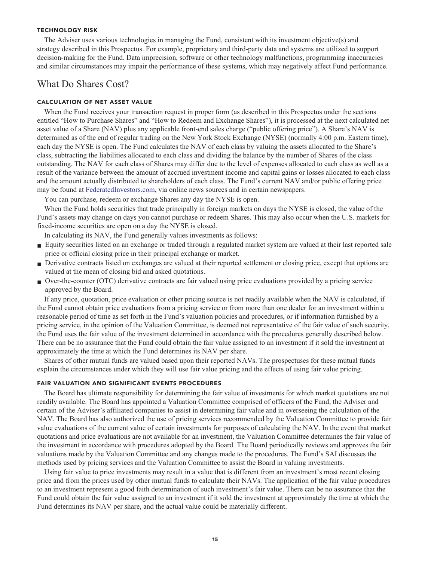#### **TECHNOLOGY RISK**

**The Adviser uses various technologies in managing the Fund, consistent with its investment objective(s) and strategy described in this Prospectus. For example, proprietary and third-party data and systems are utilized to support decision-making for the Fund. Data imprecision, software or other technology malfunctions, programming inaccuracies and similar circumstances may impair the performance of these systems, which may negatively affect Fund performance.**

## **What Do Shares Cost?**

### **CALCULATION OF NET ASSET VALUE**

**When the Fund receives your transaction request in proper form (as described in this Prospectus under the sections entitled "How to Purchase Shares" and "How to Redeem and Exchange Shares"), it is processed at the next calculated net asset value of a Share (NAV) plus any applicable front-end sales charge ("public offering price"). A Share's NAV is determined as of the end of regular trading on the New York Stock Exchange (NYSE) (normally 4:00 p.m. Eastern time), each day the NYSE is open. The Fund calculates the NAV of each class by valuing the assets allocated to the Share's class, subtracting the liabilities allocated to each class and dividing the balance by the number of Shares of the class outstanding. The NAV for each class of Shares may differ due to the level of expenses allocated to each class as well as a result of the variance between the amount of accrued investment income and capital gains or losses allocated to each class and the amount actually distributed to shareholders of each class. The Fund's current NAV and/or public offering price may be found at [FederatedInvestors.com,](https://www.federatedinvestors.com/home.do) via online news sources and in certain newspapers.**

**You can purchase, redeem or exchange Shares any day the NYSE is open.**

When the Fund holds securities that trade principally in foreign markets on days the NYSE is closed, the value of the **Fund's assets may change on days you cannot purchase or redeem Shares. This may also occur when the U.S. markets for fixed-income securities are open on a day the NYSE is closed.**

**In calculating its NAV, the Fund generally values investments as follows:**

- **■ Equity securities listed on an exchange or traded through a regulated market system are valued at their last reported sale price or official closing price in their principal exchange or market.**
- Derivative contracts listed on exchanges are valued at their reported settlement or closing price, except that options are **valued at the mean of closing bid and asked quotations.**
- **■ Over-the-counter (OTC) derivative contracts are fair valued using price evaluations provided by a pricing service approved by the Board.**

**If any price, quotation, price evaluation or other pricing source is not readily available when the NAV is calculated, if the Fund cannot obtain price evaluations from a pricing service or from more than one dealer for an investment within a reasonable period of time as set forth in the Fund's valuation policies and procedures, or if information furnished by a pricing service, in the opinion of the Valuation Committee, is deemed not representative of the fair value of such security, the Fund uses the fair value of the investment determined in accordance with the procedures generally described below. There can be no assurance that the Fund could obtain the fair value assigned to an investment if it sold the investment at approximately the time at which the Fund determines its NAV per share.**

**Shares of other mutual funds are valued based upon their reported NAVs. The prospectuses for these mutual funds explain the circumstances under which they will use fair value pricing and the effects of using fair value pricing.**

### **FAIR VALUATION AND SIGNIFICANT EVENTS PROCEDURES**

**The Board has ultimate responsibility for determining the fair value of investments for which market quotations are not readily available. The Board has appointed a Valuation Committee comprised of officers of the Fund, the Adviser and certain of the Adviser's affiliated companies to assist in determining fair value and in overseeing the calculation of the NAV. The Board has also authorized the use of pricing services recommended by the Valuation Committee to provide fair value evaluations of the current value of certain investments for purposes of calculating the NAV. In the event that market quotations and price evaluations are not available for an investment, the Valuation Committee determines the fair value of the investment in accordance with procedures adopted by the Board. The Board periodically reviews and approves the fair valuations made by the Valuation Committee and any changes made to the procedures. The Fund's SAI discusses the methods used by pricing services and the Valuation Committee to assist the Board in valuing investments.**

**Using fair value to price investments may result in a value that is different from an investment's most recent closing price and from the prices used by other mutual funds to calculate their NAVs. The application of the fair value procedures to an investment represent a good faith determination of such investment's fair value. There can be no assurance that the Fund could obtain the fair value assigned to an investment if it sold the investment at approximately the time at which the Fund determines its NAV per share, and the actual value could be materially different.**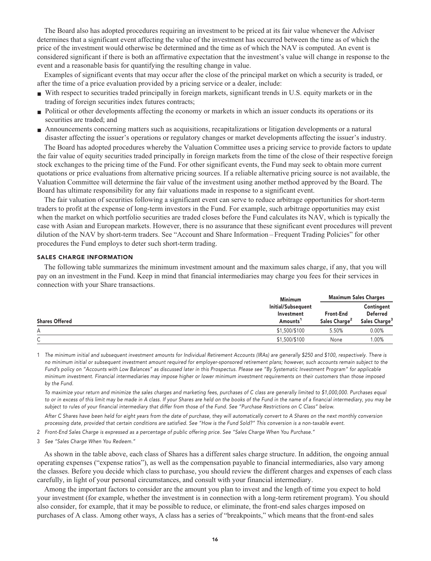**The Board also has adopted procedures requiring an investment to be priced at its fair value whenever the Adviser determines that a significant event affecting the value of the investment has occurred between the time as of which the price of the investment would otherwise be determined and the time as of which the NAV is computed. An event is considered significant if there is both an affirmative expectation that the investment's value will change in response to the event and a reasonable basis for quantifying the resulting change in value.**

**Examples of significant events that may occur after the close of the principal market on which a security is traded, or after the time of a price evaluation provided by a pricing service or a dealer, include:**

- **■ With respect to securities traded principally in foreign markets, significant trends in U.S. equity markets or in the trading of foreign securities index futures contracts;**
- **• Political or other developments affecting the economy or markets in which an issuer conducts its operations or its securities are traded; and**
- **■ Announcements concerning matters such as acquisitions, recapitalizations or litigation developments or a natural disaster affecting the issuer's operations or regulatory changes or market developments affecting the issuer's industry.**

**The Board has adopted procedures whereby the Valuation Committee uses a pricing service to provide factors to update the fair value of equity securities traded principally in foreign markets from the time of the close of their respective foreign stock exchanges to the pricing time of the Fund. For other significant events, the Fund may seek to obtain more current quotations or price evaluations from alternative pricing sources. If a reliable alternative pricing source is not available, the Valuation Committee will determine the fair value of the investment using another method approved by the Board. The Board has ultimate responsibility for any fair valuations made in response to a significant event.**

**The fair valuation of securities following a significant event can serve to reduce arbitrage opportunities for short-term traders to profit at the expense of long-term investors in the Fund. For example, such arbitrage opportunities may exist when the market on which portfolio securities are traded closes before the Fund calculates its NAV, which is typically the case with Asian and European markets. However, there is no assurance that these significant event procedures will prevent dilution of the NAV by short-term traders. See "Account and Share Information – Frequent Trading Policies" for other procedures the Fund employs to deter such short-term trading.**

### **SALES CHARGE INFORMATION**

**The following table summarizes the minimum investment amount and the maximum sales charge, if any, that you will pay on an investment in the Fund. Keep in mind that financial intermediaries may charge you fees for their services in connection with your Share transactions.**

|                       | <b>Minimum</b>                                           | <b>Maximum Sales Charges</b>                  |                                                            |
|-----------------------|----------------------------------------------------------|-----------------------------------------------|------------------------------------------------------------|
| <b>Shares Offered</b> | Initial/Subsequent<br>Investment<br>Amounts <sup>1</sup> | <b>Front-End</b><br>Sales Charge <sup>2</sup> | Contingent<br><b>Deferred</b><br>Sales Charge <sup>3</sup> |
| А                     | \$1,500/\$100                                            | 5.50%                                         | $0.00\%$                                                   |
| ⌒<br>◡                | \$1,500/\$100                                            | None                                          | 1.00%                                                      |

**1 The minimum initial and subsequent investment amounts for Individual Retirement Accounts (IRAs) are generally \$250 and \$100, respectively. There is no minimum initial or subsequent investment amount required for employer-sponsored retirement plans; however, such accounts remain subject to the Fund's policy on "Accounts with Low Balances" as discussed later in this Prospectus. Please see "By Systematic Investment Program" for applicable minimum investment. Financial intermediaries may impose higher or lower minimum investment requirements on their customers than those imposed by the Fund.**

 **To maximize your return and minimize the sales charges and marketing fees, purchases of C class are generally limited to \$1,000,000. Purchases equal to or in excess of this limit may be made in A class. If your Shares are held on the books of the Fund in the name of a financial intermediary, you may be subject to rules of your financial intermediary that differ from those of the Fund. See "Purchase Restrictions on C Class" below.**

 **After C Shares have been held for eight years from the date of purchase, they will automatically convert to A Shares on the next monthly conversion processing date, provided that certain conditions are satisfied. See "How is the Fund Sold?" This conversion is a non-taxable event.**

**2 Front-End Sales Charge is expressed as a percentage of public offering price. See "Sales Charge When You Purchase."**

**3 See "Sales Charge When You Redeem."**

**As shown in the table above, each class of Shares has a different sales charge structure. In addition, the ongoing annual operating expenses ("expense ratios"), as well as the compensation payable to financial intermediaries, also vary among the classes. Before you decide which class to purchase, you should review the different charges and expenses of each class carefully, in light of your personal circumstances, and consult with your financial intermediary.**

**Among the important factors to consider are the amount you plan to invest and the length of time you expect to hold your investment (for example, whether the investment is in connection with a long-term retirement program). You should also consider, for example, that it may be possible to reduce, or eliminate, the front-end sales charges imposed on purchases of A class. Among other ways, A class has a series of "breakpoints," which means that the front-end sales**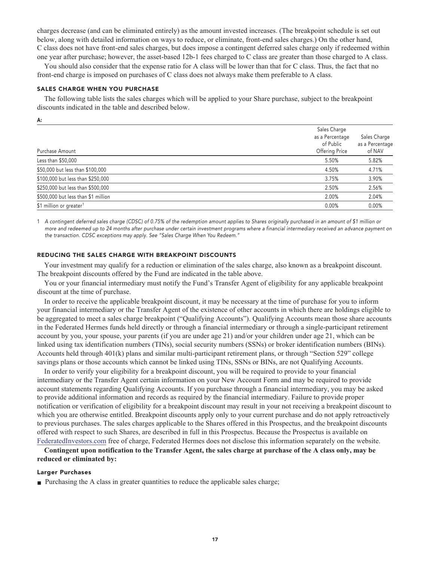**charges decrease (and can be eliminated entirely) as the amount invested increases. (The breakpoint schedule is set out below, along with detailed information on ways to reduce, or eliminate, front-end sales charges.) On the other hand, C class does not have front-end sales charges, but does impose a contingent deferred sales charge only if redeemed within one year after purchase; however, the asset-based 12b-1 fees charged to C class are greater than those charged to A class.**

**You should also consider that the expense ratio for A class will be lower than that for C class. Thus, the fact that no front-end charge is imposed on purchases of C class does not always make them preferable to A class.**

#### **SALES CHARGE WHEN YOU PURCHASE**

**The following table lists the sales charges which will be applied to your Share purchase, subject to the breakpoint discounts indicated in the table and described below.**

**A:**

| Purchase Amount                     | Sales Charge<br>as a Percentage<br>of Public<br>Offering Price | Sales Charge<br>as a Percentage<br>of NAV |
|-------------------------------------|----------------------------------------------------------------|-------------------------------------------|
| Less than \$50,000                  | 5.50%                                                          | 5.82%                                     |
| \$50,000 but less than \$100,000    | 4.50%                                                          | 4.71%                                     |
| \$100,000 but less than \$250,000   | 3.75%                                                          | 3.90%                                     |
| \$250,000 but less than \$500,000   | 2.50%                                                          | 2.56%                                     |
| \$500,000 but less than \$1 million | 2.00%                                                          | 2.04%                                     |
| \$1 million or greater <sup>1</sup> | 0.00%                                                          | 0.00%                                     |

**1 A contingent deferred sales charge (CDSC) of 0.75% of the redemption amount applies to Shares originally purchased in an amount of \$1 million or more and redeemed up to 24 months after purchase under certain investment programs where a financial intermediary received an advance payment on the transaction. CDSC exceptions may apply. See "Sales Charge When You Redeem."**

### **REDUCING THE SALES CHARGE WITH BREAKPOINT DISCOUNTS**

**Your investment may qualify for a reduction or elimination of the sales charge, also known as a breakpoint discount. The breakpoint discounts offered by the Fund are indicated in the table above.**

**You or your financial intermediary must notify the Fund's Transfer Agent of eligibility for any applicable breakpoint discount at the time of purchase.**

**In order to receive the applicable breakpoint discount, it may be necessary at the time of purchase for you to inform your financial intermediary or the Transfer Agent of the existence of other accounts in which there are holdings eligible to be aggregated to meet a sales charge breakpoint ("Qualifying Accounts"). Qualifying Accounts mean those share accounts in the Federated Hermes funds held directly or through a financial intermediary or through a single-participant retirement account by you, your spouse, your parents (if you are under age 21) and/or your children under age 21, which can be linked using tax identification numbers (TINs), social security numbers (SSNs) or broker identification numbers (BINs). Accounts held through 401(k) plans and similar multi-participant retirement plans, or through "Section 529" college savings plans or those accounts which cannot be linked using TINs, SSNs or BINs, are not Qualifying Accounts.**

**In order to verify your eligibility for a breakpoint discount, you will be required to provide to your financial intermediary or the Transfer Agent certain information on your New Account Form and may be required to provide account statements regarding Qualifying Accounts. If you purchase through a financial intermediary, you may be asked to provide additional information and records as required by the financial intermediary. Failure to provide proper notification or verification of eligibility for a breakpoint discount may result in your not receiving a breakpoint discount to which you are otherwise entitled. Breakpoint discounts apply only to your current purchase and do not apply retroactively to previous purchases. The sales charges applicable to the Shares offered in this Prospectus, and the breakpoint discounts offered with respect to such Shares, are described in full in this Prospectus. Because the Prospectus is available on [FederatedInvestors.com](https://www.federatedinvestors.com/home.do) free of charge, Federated Hermes does not disclose this information separately on the website.**

**Contingent upon notification to the Transfer Agent, the sales charge at purchase of the A class only, may be reduced or eliminated by:**

#### **Larger Purchases**

**■ Purchasing the A class in greater quantities to reduce the applicable sales charge;**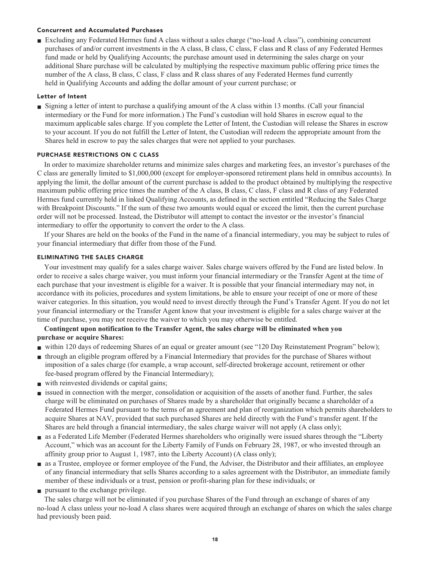### **Concurrent and Accumulated Purchases**

**■ Excluding any Federated Hermes fund A class without a sales charge ("no-load A class"), combining concurrent purchases of and/or current investments in the A class, B class, C class, F class and R class of any Federated Hermes fund made or held by Qualifying Accounts; the purchase amount used in determining the sales charge on your additional Share purchase will be calculated by multiplying the respective maximum public offering price times the number of the A class, B class, C class, F class and R class shares of any Federated Hermes fund currently held in Qualifying Accounts and adding the dollar amount of your current purchase; or**

### **Letter of Intent**

**■ Signing a letter of intent to purchase a qualifying amount of the A class within 13 months. (Call your financial intermediary or the Fund for more information.) The Fund's custodian will hold Shares in escrow equal to the maximum applicable sales charge. If you complete the Letter of Intent, the Custodian will release the Shares in escrow to your account. If you do not fulfill the Letter of Intent, the Custodian will redeem the appropriate amount from the Shares held in escrow to pay the sales charges that were not applied to your purchases.**

### **PURCHASE RESTRICTIONS ON C CLASS**

**In order to maximize shareholder returns and minimize sales charges and marketing fees, an investor's purchases of the C class are generally limited to \$1,000,000 (except for employer-sponsored retirement plans held in omnibus accounts). In applying the limit, the dollar amount of the current purchase is added to the product obtained by multiplying the respective maximum public offering price times the number of the A class, B class, C class, F class and R class of any Federated Hermes fund currently held in linked Qualifying Accounts, as defined in the section entitled "Reducing the Sales Charge with Breakpoint Discounts." If the sum of these two amounts would equal or exceed the limit, then the current purchase order will not be processed. Instead, the Distributor will attempt to contact the investor or the investor's financial intermediary to offer the opportunity to convert the order to the A class.**

**If your Shares are held on the books of the Fund in the name of a financial intermediary, you may be subject to rules of your financial intermediary that differ from those of the Fund.**

### **ELIMINATING THE SALES CHARGE**

**Your investment may qualify for a sales charge waiver. Sales charge waivers offered by the Fund are listed below. In order to receive a sales charge waiver, you must inform your financial intermediary or the Transfer Agent at the time of each purchase that your investment is eligible for a waiver. It is possible that your financial intermediary may not, in accordance with its policies, procedures and system limitations, be able to ensure your receipt of one or more of these waiver categories. In this situation, you would need to invest directly through the Fund's Transfer Agent. If you do not let your financial intermediary or the Transfer Agent know that your investment is eligible for a sales charge waiver at the time of purchase, you may not receive the waiver to which you may otherwise be entitled.**

### **Contingent upon notification to the Transfer Agent, the sales charge will be eliminated when you purchase or acquire Shares:**

- **■ within 120 days of redeeming Shares of an equal or greater amount (see "120 Day Reinstatement Program" below);**
- **■ through an eligible program offered by a Financial Intermediary that provides for the purchase of Shares without imposition of a sales charge (for example, a wrap account, self-directed brokerage account, retirement or other fee-based program offered by the Financial Intermediary);**
- **■ with reinvested dividends or capital gains;**
- **■ issued in connection with the merger, consolidation or acquisition of the assets of another fund. Further, the sales charge will be eliminated on purchases of Shares made by a shareholder that originally became a shareholder of a Federated Hermes Fund pursuant to the terms of an agreement and plan of reorganization which permits shareholders to acquire Shares at NAV, provided that such purchased Shares are held directly with the Fund's transfer agent. If the Shares are held through a financial intermediary, the sales charge waiver will not apply (A class only);**
- **■ as a Federated Life Member (Federated Hermes shareholders who originally were issued shares through the "Liberty Account," which was an account for the Liberty Family of Funds on February 28, 1987, or who invested through an affinity group prior to August 1, 1987, into the Liberty Account) (A class only);**
- **■ as a Trustee, employee or former employee of the Fund, the Adviser, the Distributor and their affiliates, an employee of any financial intermediary that sells Shares according to a sales agreement with the Distributor, an immediate family member of these individuals or a trust, pension or profit-sharing plan for these individuals; or**
- **■ pursuant to the exchange privilege.**

**The sales charge will not be eliminated if you purchase Shares of the Fund through an exchange of shares of any no-load A class unless your no-load A class shares were acquired through an exchange of shares on which the sales charge had previously been paid.**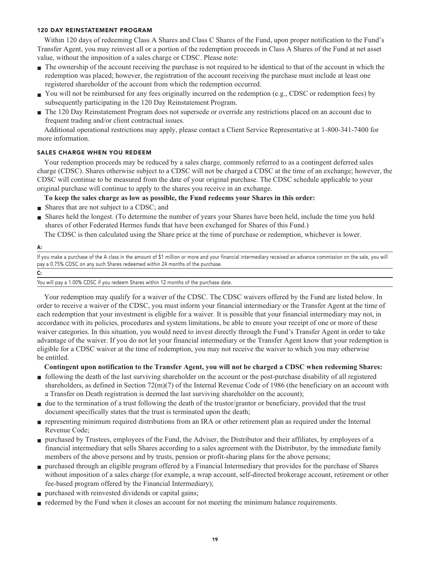### **120 DAY REINSTATEMENT PROGRAM**

**Within 120 days of redeeming Class A Shares and Class C Shares of the Fund, upon proper notification to the Fund's Transfer Agent, you may reinvest all or a portion of the redemption proceeds in Class A Shares of the Fund at net asset value, without the imposition of a sales charge or CDSC. Please note:**

- **■ The ownership of the account receiving the purchase is not required to be identical to that of the account in which the redemption was placed; however, the registration of the account receiving the purchase must include at least one registered shareholder of the account from which the redemption occurred.**
- You will not be reimbursed for any fees originally incurred on the redemption (e.g., CDSC or redemption fees) by **subsequently participating in the 120 Day Reinstatement Program.**
- **■ The 120 Day Reinstatement Program does not supersede or override any restrictions placed on an account due to frequent trading and/or client contractual issues.**

**Additional operational restrictions may apply, please contact a Client Service Representative at 1-800-341-7400 for more information.**

### **SALES CHARGE WHEN YOU REDEEM**

**Your redemption proceeds may be reduced by a sales charge, commonly referred to as a contingent deferred sales charge (CDSC). Shares otherwise subject to a CDSC will not be charged a CDSC at the time of an exchange; however, the CDSC will continue to be measured from the date of your original purchase. The CDSC schedule applicable to your original purchase will continue to apply to the shares you receive in an exchange.**

**To keep the sales charge as low as possible, the Fund redeems your Shares in this order:**

- **Shares that are not subject to a CDSC; and**
- **■ Shares held the longest. (To determine the number of years your Shares have been held, include the time you held shares of other Federated Hermes funds that have been exchanged for Shares of this Fund.)**

**The CDSC is then calculated using the Share price at the time of purchase or redemption, whichever is lower.**

#### **A:**

**If you make a purchase of the A class in the amount of \$1 million or more and your financial intermediary received an advance commission on the sale, you will pay a 0.75% CDSC on any such Shares redeemed within 24 months of the purchase.**

| ۰,<br>I |  |
|---------|--|
| ×<br>۰, |  |
| $-$     |  |

**You will pay a 1.00% CDSC if you redeem Shares within 12 months of the purchase date.**

**Your redemption may qualify for a waiver of the CDSC. The CDSC waivers offered by the Fund are listed below. In order to receive a waiver of the CDSC, you must inform your financial intermediary or the Transfer Agent at the time of each redemption that your investment is eligible for a waiver. It is possible that your financial intermediary may not, in accordance with its policies, procedures and system limitations, be able to ensure your receipt of one or more of these waiver categories. In this situation, you would need to invest directly through the Fund's Transfer Agent in order to take advantage of the waiver. If you do not let your financial intermediary or the Transfer Agent know that your redemption is eligible for a CDSC waiver at the time of redemption, you may not receive the waiver to which you may otherwise be entitled.**

**Contingent upon notification to the Transfer Agent, you will not be charged a CDSC when redeeming Shares:**

- **■ following the death of the last surviving shareholder on the account or the post-purchase disability of all registered shareholders, as defined in Section 72(m)(7) of the Internal Revenue Code of 1986 (the beneficiary on an account with a Transfer on Death registration is deemed the last surviving shareholder on the account);**
- due to the termination of a trust following the death of the trustor/grantor or beneficiary, provided that the trust **document specifically states that the trust is terminated upon the death;**
- **■ representing minimum required distributions from an IRA or other retirement plan as required under the Internal Revenue Code;**
- **■ purchased by Trustees, employees of the Fund, the Adviser, the Distributor and their affiliates, by employees of a financial intermediary that sells Shares according to a sales agreement with the Distributor, by the immediate family members of the above persons and by trusts, pension or profit-sharing plans for the above persons;**
- **■ purchased through an eligible program offered by a Financial Intermediary that provides for the purchase of Shares without imposition of a sales charge (for example, a wrap account, self-directed brokerage account, retirement or other fee-based program offered by the Financial Intermediary);**
- **■ purchased with reinvested dividends or capital gains;**
- **redeemed by the Fund when it closes an account for not meeting the minimum balance requirements.**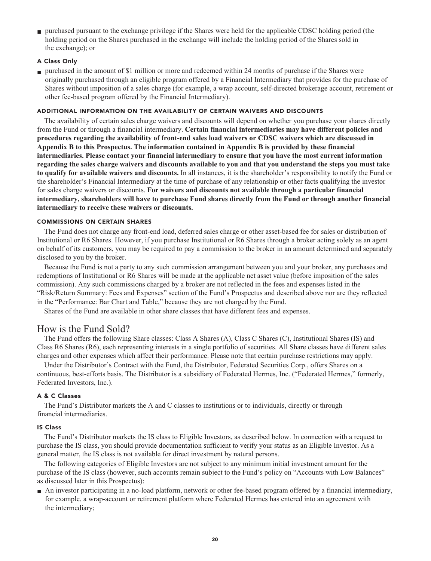**■ purchased pursuant to the exchange privilege if the Shares were held for the applicable CDSC holding period (the holding period on the Shares purchased in the exchange will include the holding period of the Shares sold in the exchange); or**

### **A Class Only**

**■ purchased in the amount of \$1 million or more and redeemed within 24 months of purchase if the Shares were originally purchased through an eligible program offered by a Financial Intermediary that provides for the purchase of Shares without imposition of a sales charge (for example, a wrap account, self-directed brokerage account, retirement or other fee-based program offered by the Financial Intermediary).**

### **ADDITIONAL INFORMATION ON THE AVAILABILITY OF CERTAIN WAIVERS AND DISCOUNTS**

**The availability of certain sales charge waivers and discounts will depend on whether you purchase your shares directly from the Fund or through a financial intermediary. Certain financial intermediaries may have different policies and procedures regarding the availability of front-end sales load waivers or CDSC waivers which are discussed in Appendix B to this Prospectus. The information contained in Appendix B is provided by these financial intermediaries. Please contact your financial intermediary to ensure that you have the most current information regarding the sales charge waivers and discounts available to you and that you understand the steps you must take to qualify for available waivers and discounts. In all instances, it is the shareholder's responsibility to notify the Fund or the shareholder's Financial Intermediary at the time of purchase of any relationship or other facts qualifying the investor for sales charge waivers or discounts. For waivers and discounts not available through a particular financial intermediary, shareholders will have to purchase Fund shares directly from the Fund or through another financial intermediary to receive these waivers or discounts.**

### **COMMISSIONS ON CERTAIN SHARES**

**The Fund does not charge any front-end load, deferred sales charge or other asset-based fee for sales or distribution of Institutional or R6 Shares. However, if you purchase Institutional or R6 Shares through a broker acting solely as an agent on behalf of its customers, you may be required to pay a commission to the broker in an amount determined and separately disclosed to you by the broker.**

**Because the Fund is not a party to any such commission arrangement between you and your broker, any purchases and redemptions of Institutional or R6 Shares will be made at the applicable net asset value (before imposition of the sales commission). Any such commissions charged by a broker are not reflected in the fees and expenses listed in the "Risk/Return Summary: Fees and Expenses" section of the Fund's Prospectus and described above nor are they reflected in the "Performance: Bar Chart and Table," because they are not charged by the Fund.**

**Shares of the Fund are available in other share classes that have different fees and expenses.**

### **How is the Fund Sold?**

**The Fund offers the following Share classes: Class A Shares (A), Class C Shares (C), Institutional Shares (IS) and Class R6 Shares (R6), each representing interests in a single portfolio of securities. All Share classes have different sales charges and other expenses which affect their performance. Please note that certain purchase restrictions may apply.**

**Under the Distributor's Contract with the Fund, the Distributor, Federated Securities Corp., offers Shares on a continuous, best-efforts basis. The Distributor is a subsidiary of Federated Hermes, Inc. ("Federated Hermes," formerly, Federated Investors, Inc.).**

### **A & C Classes**

**The Fund's Distributor markets the A and C classes to institutions or to individuals, directly or through financial intermediaries.**

### **IS Class**

**The Fund's Distributor markets the IS class to Eligible Investors, as described below. In connection with a request to purchase the IS class, you should provide documentation sufficient to verify your status as an Eligible Investor. As a general matter, the IS class is not available for direct investment by natural persons.**

**The following categories of Eligible Investors are not subject to any minimum initial investment amount for the purchase of the IS class (however, such accounts remain subject to the Fund's policy on "Accounts with Low Balances" as discussed later in this Prospectus):**

**■ An investor participating in a no-load platform, network or other fee-based program offered by a financial intermediary, for example, a wrap-account or retirement platform where Federated Hermes has entered into an agreement with the intermediary;**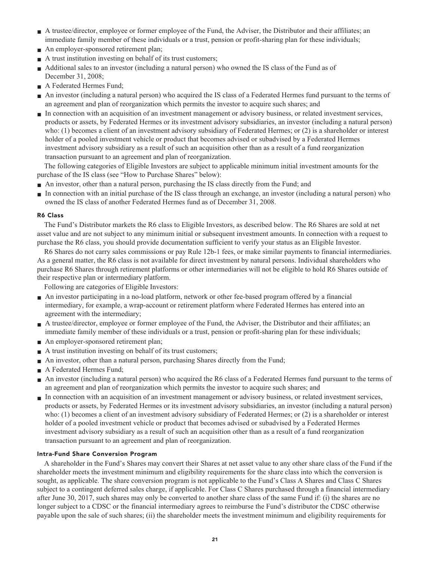- **■ A trustee/director, employee or former employee of the Fund, the Adviser, the Distributor and their affiliates; an immediate family member of these individuals or a trust, pension or profit-sharing plan for these individuals;**
- **An employer-sponsored retirement plan;**
- **A** trust institution investing on behalf of its trust customers;
- **Additional sales to an investor (including a natural person)** who owned the IS class of the Fund as of **December 31, 2008;**
- **■ A Federated Hermes Fund;**
- **■ An investor (including a natural person) who acquired the IS class of a Federated Hermes fund pursuant to the terms of an agreement and plan of reorganization which permits the investor to acquire such shares; and**
- **■ In connection with an acquisition of an investment management or advisory business, or related investment services, products or assets, by Federated Hermes or its investment advisory subsidiaries, an investor (including a natural person) who: (1) becomes a client of an investment advisory subsidiary of Federated Hermes; or (2) is a shareholder or interest holder of a pooled investment vehicle or product that becomes advised or subadvised by a Federated Hermes investment advisory subsidiary as a result of such an acquisition other than as a result of a fund reorganization transaction pursuant to an agreement and plan of reorganization.**

**The following categories of Eligible Investors are subject to applicable minimum initial investment amounts for the purchase of the IS class (see "How to Purchase Shares" below):**

- **■ An investor, other than a natural person, purchasing the IS class directly from the Fund; and**
- **■ In connection with an initial purchase of the IS class through an exchange, an investor (including a natural person) who owned the IS class of another Federated Hermes fund as of December 31, 2008.**

### **R6 Class**

**The Fund's Distributor markets the R6 class to Eligible Investors, as described below. The R6 Shares are sold at net asset value and are not subject to any minimum initial or subsequent investment amounts. In connection with a request to purchase the R6 class, you should provide documentation sufficient to verify your status as an Eligible Investor.**

**R6 Shares do not carry sales commissions or pay Rule 12b-1 fees, or make similar payments to financial intermediaries. As a general matter, the R6 class is not available for direct investment by natural persons. Individual shareholders who purchase R6 Shares through retirement platforms or other intermediaries will not be eligible to hold R6 Shares outside of their respective plan or intermediary platform.**

**Following are categories of Eligible Investors:**

- **■ An investor participating in a no-load platform, network or other fee-based program offered by a financial intermediary, for example, a wrap-account or retirement platform where Federated Hermes has entered into an agreement with the intermediary;**
- A trustee/director, employee or former employee of the Fund, the Adviser, the Distributor and their affiliates; an **immediate family member of these individuals or a trust, pension or profit-sharing plan for these individuals;**
- **An employer-sponsored retirement plan;**
- **■ A trust institution investing on behalf of its trust customers;**
- An investor, other than a natural person, purchasing Shares directly from the Fund;
- **■ A Federated Hermes Fund;**
- **■ An investor (including a natural person) who acquired the R6 class of a Federated Hermes fund pursuant to the terms of an agreement and plan of reorganization which permits the investor to acquire such shares; and**
- **■ In connection with an acquisition of an investment management or advisory business, or related investment services, products or assets, by Federated Hermes or its investment advisory subsidiaries, an investor (including a natural person) who: (1) becomes a client of an investment advisory subsidiary of Federated Hermes; or (2) is a shareholder or interest holder of a pooled investment vehicle or product that becomes advised or subadvised by a Federated Hermes investment advisory subsidiary as a result of such an acquisition other than as a result of a fund reorganization transaction pursuant to an agreement and plan of reorganization.**

### **Intra-Fund Share Conversion Program**

**A shareholder in the Fund's Shares may convert their Shares at net asset value to any other share class of the Fund if the shareholder meets the investment minimum and eligibility requirements for the share class into which the conversion is sought, as applicable. The share conversion program is not applicable to the Fund's Class A Shares and Class C Shares subject to a contingent deferred sales charge, if applicable. For Class C Shares purchased through a financial intermediary after June 30, 2017, such shares may only be converted to another share class of the same Fund if: (i) the shares are no longer subject to a CDSC or the financial intermediary agrees to reimburse the Fund's distributor the CDSC otherwise payable upon the sale of such shares; (ii) the shareholder meets the investment minimum and eligibility requirements for**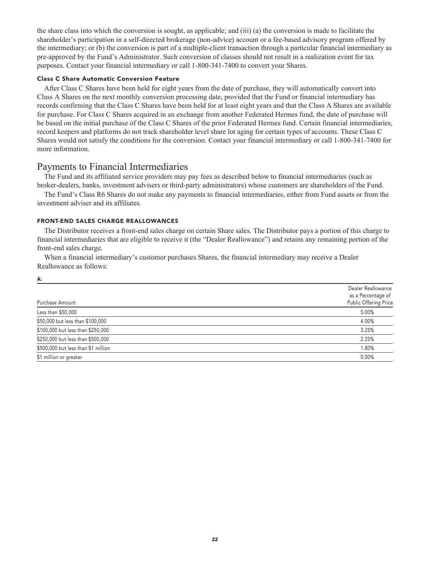**the share class into which the conversion is sought, as applicable; and (iii) (a) the conversion is made to facilitate the shareholder's participation in a self-directed brokerage (non-advice) account or a fee-based advisory program offered by the intermediary; or (b) the conversion is part of a multiple-client transaction through a particular financial intermediary as pre-approved by the Fund's Administrator. Such conversion of classes should not result in a realization event for tax purposes. Contact your financial intermediary or call 1-800-341-7400 to convert your Shares.**

### **Class C Share Automatic Conversion Feature**

**After Class C Shares have been held for eight years from the date of purchase, they will automatically convert into Class A Shares on the next monthly conversion processing date, provided that the Fund or financial intermediary has records confirming that the Class C Shares have been held for at least eight years and that the Class A Shares are available for purchase. For Class C Shares acquired in an exchange from another Federated Hermes fund, the date of purchase will be based on the initial purchase of the Class C Shares of the prior Federated Hermes fund. Certain financial intermediaries, record keepers and platforms do not track shareholder level share lot aging for certain types of accounts. These Class C Shares would not satisfy the conditions for the conversion. Contact your financial intermediary or call 1-800-341-7400 for more information.**

### **Payments to Financial Intermediaries**

**The Fund and its affiliated service providers may pay fees as described below to financial intermediaries (such as broker-dealers, banks, investment advisers or third-party administrators) whose customers are shareholders of the Fund.**

**The Fund's Class R6 Shares do not make any payments to financial intermediaries, either from Fund assets or from the investment adviser and its affiliates.**

### **FRONT-END SALES CHARGE REALLOWANCES**

**A:**

**The Distributor receives a front-end sales charge on certain Share sales. The Distributor pays a portion of this charge to financial intermediaries that are eligible to receive it (the "Dealer Reallowance") and retains any remaining portion of the front-end sales charge.**

**When a financial intermediary's customer purchases Shares, the financial intermediary may receive a Dealer Reallowance as follows:**

| Purchase Amount                     | Dealer Reallowance<br>as a Percentage of<br>Public Offering Price |
|-------------------------------------|-------------------------------------------------------------------|
| Less than \$50,000                  | 5.00%                                                             |
| \$50,000 but less than \$100,000    | 4.00%                                                             |
| \$100,000 but less than \$250,000   | 3.25%                                                             |
| \$250,000 but less than \$500,000   | 2.25%                                                             |
| \$500,000 but less than \$1 million | 1.80%                                                             |
| \$1 million or greater              | 0.00%                                                             |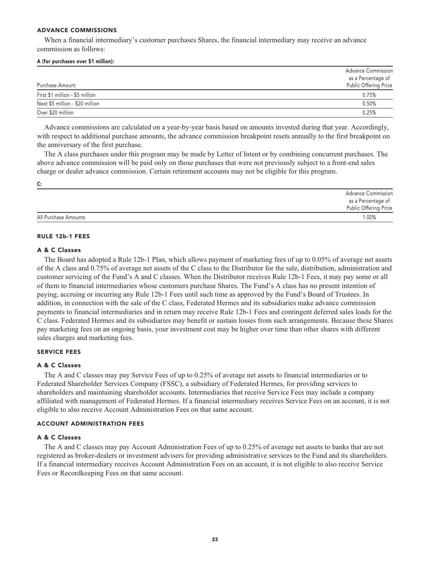#### **ADVANCE COMMISSIONS**

**When a financial intermediary's customer purchases Shares, the financial intermediary may receive an advance commission as follows:**

#### **A (for purchases over \$1 million):**

|                                 | <b>Advance Commission</b> |
|---------------------------------|---------------------------|
|                                 | as a Percentage of        |
| Purchase Amount                 | Public Offering Price     |
| First \$1 million - \$5 million | 0.75%                     |
| Next \$5 million - \$20 million | 0.50%                     |
| Over \$20 million               | 0.25%                     |

**Advance commissions are calculated on a year-by-year basis based on amounts invested during that year. Accordingly, with respect to additional purchase amounts, the advance commission breakpoint resets annually to the first breakpoint on the anniversary of the first purchase.**

**The A class purchases under this program may be made by Letter of Intent or by combining concurrent purchases. The above advance commission will be paid only on those purchases that were not previously subject to a front-end sales charge or dealer advance commission. Certain retirement accounts may not be eligible for this program.**

**C:**

|                      | <b>Advance Commission</b> |
|----------------------|---------------------------|
|                      | as a Percentage of        |
|                      | Public Offering Price     |
| All Purchase Amounts | 1.00%                     |

#### **RULE 12b-1 FEES**

#### **A & C Classes**

**The Board has adopted a Rule 12b-1 Plan, which allows payment of marketing fees of up to 0.05% of average net assets of the A class and 0.75% of average net assets of the C class to the Distributor for the sale, distribution, administration and customer servicing of the Fund's A and C classes. When the Distributor receives Rule 12b-1 Fees, it may pay some or all of them to financial intermediaries whose customers purchase Shares. The Fund's A class has no present intention of paying, accruing or incurring any Rule 12b-1 Fees until such time as approved by the Fund's Board of Trustees. In addition, in connection with the sale of the C class, Federated Hermes and its subsidiaries make advance commission payments to financial intermediaries and in return may receive Rule 12b-1 Fees and contingent deferred sales loads for the C class. Federated Hermes and its subsidiaries may benefit or sustain losses from such arrangements. Because these Shares pay marketing fees on an ongoing basis, your investment cost may be higher over time than other shares with different sales charges and marketing fees.**

### **SERVICE FEES**

### **A & C Classes**

**The A and C classes may pay Service Fees of up to 0.25% of average net assets to financial intermediaries or to Federated Shareholder Services Company (FSSC), a subsidiary of Federated Hermes, for providing services to shareholders and maintaining shareholder accounts. Intermediaries that receive Service Fees may include a company affiliated with management of Federated Hermes. If a financial intermediary receives Service Fees on an account, it is not eligible to also receive Account Administration Fees on that same account.**

#### **ACCOUNT ADMINISTRATION FEES**

### **A & C Classes**

**The A and C classes may pay Account Administration Fees of up to 0.25% of average net assets to banks that are not registered as broker-dealers or investment advisers for providing administrative services to the Fund and its shareholders. If a financial intermediary receives Account Administration Fees on an account, it is not eligible to also receive Service Fees or Recordkeeping Fees on that same account.**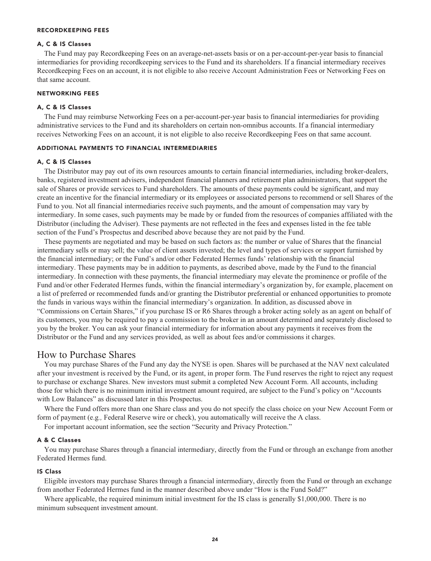#### **RECORDKEEPING FEES**

### **A, C & IS Classes**

**The Fund may pay Recordkeeping Fees on an average-net-assets basis or on a per-account-per-year basis to financial intermediaries for providing recordkeeping services to the Fund and its shareholders. If a financial intermediary receives Recordkeeping Fees on an account, it is not eligible to also receive Account Administration Fees or Networking Fees on that same account.**

#### **NETWORKING FEES**

### **A, C & IS Classes**

**The Fund may reimburse Networking Fees on a per-account-per-year basis to financial intermediaries for providing administrative services to the Fund and its shareholders on certain non-omnibus accounts. If a financial intermediary receives Networking Fees on an account, it is not eligible to also receive Recordkeeping Fees on that same account.**

#### **ADDITIONAL PAYMENTS TO FINANCIAL INTERMEDIARIES**

#### **A, C & IS Classes**

**The Distributor may pay out of its own resources amounts to certain financial intermediaries, including broker-dealers, banks, registered investment advisers, independent financial planners and retirement plan administrators, that support the sale of Shares or provide services to Fund shareholders. The amounts of these payments could be significant, and may create an incentive for the financial intermediary or its employees or associated persons to recommend or sell Shares of the Fund to you. Not all financial intermediaries receive such payments, and the amount of compensation may vary by intermediary. In some cases, such payments may be made by or funded from the resources of companies affiliated with the Distributor (including the Adviser). These payments are not reflected in the fees and expenses listed in the fee table section of the Fund's Prospectus and described above because they are not paid by the Fund.**

**These payments are negotiated and may be based on such factors as: the number or value of Shares that the financial intermediary sells or may sell; the value of client assets invested; the level and types of services or support furnished by the financial intermediary; or the Fund's and/or other Federated Hermes funds' relationship with the financial intermediary. These payments may be in addition to payments, as described above, made by the Fund to the financial intermediary. In connection with these payments, the financial intermediary may elevate the prominence or profile of the Fund and/or other Federated Hermes funds, within the financial intermediary's organization by, for example, placement on a list of preferred or recommended funds and/or granting the Distributor preferential or enhanced opportunities to promote the funds in various ways within the financial intermediary's organization. In addition, as discussed above in "Commissions on Certain Shares," if you purchase IS or R6 Shares through a broker acting solely as an agent on behalf of its customers, you may be required to pay a commission to the broker in an amount determined and separately disclosed to you by the broker. You can ask your financial intermediary for information about any payments it receives from the Distributor or the Fund and any services provided, as well as about fees and/or commissions it charges.**

### **How to Purchase Shares**

**You may purchase Shares of the Fund any day the NYSE is open. Shares will be purchased at the NAV next calculated after your investment is received by the Fund, or its agent, in proper form. The Fund reserves the right to reject any request to purchase or exchange Shares. New investors must submit a completed New Account Form. All accounts, including those for which there is no minimum initial investment amount required, are subject to the Fund's policy on "Accounts with Low Balances" as discussed later in this Prospectus.**

**Where the Fund offers more than one Share class and you do not specify the class choice on your New Account Form or form of payment (e.g***.,* **Federal Reserve wire or check), you automatically will receive the A class.**

**For important account information, see the section "Security and Privacy Protection."**

#### **A & C Classes**

**You may purchase Shares through a financial intermediary, directly from the Fund or through an exchange from another Federated Hermes fund.**

#### **IS Class**

**Eligible investors may purchase Shares through a financial intermediary, directly from the Fund or through an exchange from another Federated Hermes fund in the manner described above under "How is the Fund Sold?"**

**Where applicable, the required minimum initial investment for the IS class is generally \$1,000,000. There is no minimum subsequent investment amount.**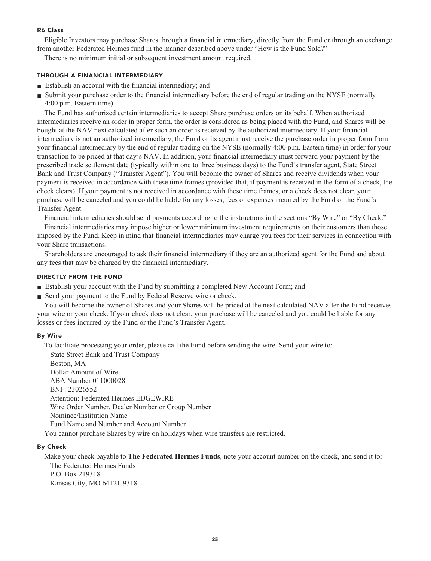### **R6 Class**

**Eligible Investors may purchase Shares through a financial intermediary, directly from the Fund or through an exchange from another Federated Hermes fund in the manner described above under "How is the Fund Sold?"**

**There is no minimum initial or subsequent investment amount required.**

### **THROUGH A FINANCIAL INTERMEDIARY**

- **■ Establish an account with the financial intermediary; and**
- **■ Submit your purchase order to the financial intermediary before the end of regular trading on the NYSE (normally 4:00 p.m. Eastern time).**

**The Fund has authorized certain intermediaries to accept Share purchase orders on its behalf. When authorized intermediaries receive an order in proper form, the order is considered as being placed with the Fund, and Shares will be bought at the NAV next calculated after such an order is received by the authorized intermediary. If your financial intermediary is not an authorized intermediary, the Fund or its agent must receive the purchase order in proper form from your financial intermediary by the end of regular trading on the NYSE (normally 4:00 p.m. Eastern time) in order for your transaction to be priced at that day's NAV. In addition, your financial intermediary must forward your payment by the prescribed trade settlement date (typically within one to three business days) to the Fund's transfer agent, State Street Bank and Trust Company ("Transfer Agent"). You will become the owner of Shares and receive dividends when your payment is received in accordance with these time frames (provided that, if payment is received in the form of a check, the check clears). If your payment is not received in accordance with these time frames, or a check does not clear, your purchase will be canceled and you could be liable for any losses, fees or expenses incurred by the Fund or the Fund's Transfer Agent.**

**Financial intermediaries should send payments according to the instructions in the sections "By Wire" or "By Check."**

**Financial intermediaries may impose higher or lower minimum investment requirements on their customers than those imposed by the Fund. Keep in mind that financial intermediaries may charge you fees for their services in connection with your Share transactions.**

**Shareholders are encouraged to ask their financial intermediary if they are an authorized agent for the Fund and about any fees that may be charged by the financial intermediary.**

### **DIRECTLY FROM THE FUND**

- **■ Establish your account with the Fund by submitting a completed New Account Form; and**
- **Send your payment to the Fund by Federal Reserve wire or check.**

**You will become the owner of Shares and your Shares will be priced at the next calculated NAV after the Fund receives your wire or your check. If your check does not clear, your purchase will be canceled and you could be liable for any losses or fees incurred by the Fund or the Fund's Transfer Agent.**

### **By Wire**

**To facilitate processing your order, please call the Fund before sending the wire. Send your wire to:**

**State Street Bank and Trust Company Boston, MA Dollar Amount of Wire ABA Number 011000028 BNF: 23026552 Attention: Federated Hermes EDGEWIRE Wire Order Number, Dealer Number or Group Number Nominee/Institution Name Fund Name and Number and Account Number**

**You cannot purchase Shares by wire on holidays when wire transfers are restricted.**

### **By Check**

**Make your check payable to The Federated Hermes Funds, note your account number on the check, and send it to: The Federated Hermes Funds P.O. Box 219318 Kansas City, MO 64121-9318**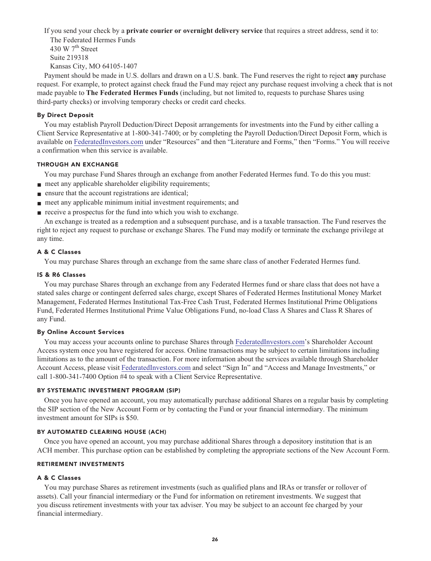**If you send your check by a private courier or overnight delivery service that requires a street address, send it to:**

**The Federated Hermes Funds th 430 W 7 Street Suite 219318 Kansas City, MO 64105-1407**

**Payment should be made in U.S. dollars and drawn on a U.S. bank. The Fund reserves the right to reject any purchase request. For example, to protect against check fraud the Fund may reject any purchase request involving a check that is not made payable to The Federated Hermes Funds (including, but not limited to, requests to purchase Shares using third-party checks) or involving temporary checks or credit card checks.**

### **By Direct Deposit**

**You may establish Payroll Deduction/Direct Deposit arrangements for investments into the Fund by either calling a Client Service Representative at 1-800-341-7400; or by completing the Payroll Deduction/Direct Deposit Form, which is available on [FederatedInvestors.com](https://www.federatedinvestors.com/home.do) under "Resources" and then "Literature and Forms," then "Forms." You will receive a confirmation when this service is available.**

### **THROUGH AN EXCHANGE**

**You may purchase Fund Shares through an exchange from another Federated Hermes fund. To do this you must:**

- **meet any applicable shareholder eligibility requirements;**
- **■ ensure that the account registrations are identical;**
- **meet any applicable minimum initial investment requirements; and**
- **receive a prospectus for the fund into which you wish to exchange.**

**An exchange is treated as a redemption and a subsequent purchase, and is a taxable transaction. The Fund reserves the right to reject any request to purchase or exchange Shares. The Fund may modify or terminate the exchange privilege at any time.**

### **A & C Classes**

**You may purchase Shares through an exchange from the same share class of another Federated Hermes fund.**

### **IS & R6 Classes**

**You may purchase Shares through an exchange from any Federated Hermes fund or share class that does not have a stated sales charge or contingent deferred sales charge, except Shares of Federated Hermes Institutional Money Market Management, Federated Hermes Institutional Tax-Free Cash Trust, Federated Hermes Institutional Prime Obligations Fund, Federated Hermes Institutional Prime Value Obligations Fund, no-load Class A Shares and Class R Shares of any Fund.**

### **By Online Account Services**

**You may access your accounts online to purchase Shares through [FederatedInvestors.com'](https://www.federatedinvestors.com/home.do)s Shareholder Account Access system once you have registered for access. Online transactions may be subject to certain limitations including limitations as to the amount of the transaction. For more information about the services available through Shareholder Account Access, please visit [FederatedInvestors.com](https://www.federatedinvestors.com/home.do) and select "Sign In" and "Access and Manage Investments," or call 1-800-341-7400 Option #4 to speak with a Client Service Representative.**

### **BY SYSTEMATIC INVESTMENT PROGRAM (SIP)**

**Once you have opened an account, you may automatically purchase additional Shares on a regular basis by completing the SIP section of the New Account Form or by contacting the Fund or your financial intermediary. The minimum investment amount for SIPs is \$50.**

### **BY AUTOMATED CLEARING HOUSE (ACH)**

**Once you have opened an account, you may purchase additional Shares through a depository institution that is an ACH member. This purchase option can be established by completing the appropriate sections of the New Account Form.**

### **RETIREMENT INVESTMENTS**

### **A & C Classes**

**You may purchase Shares as retirement investments (such as qualified plans and IRAs or transfer or rollover of assets). Call your financial intermediary or the Fund for information on retirement investments. We suggest that you discuss retirement investments with your tax adviser. You may be subject to an account fee charged by your financial intermediary.**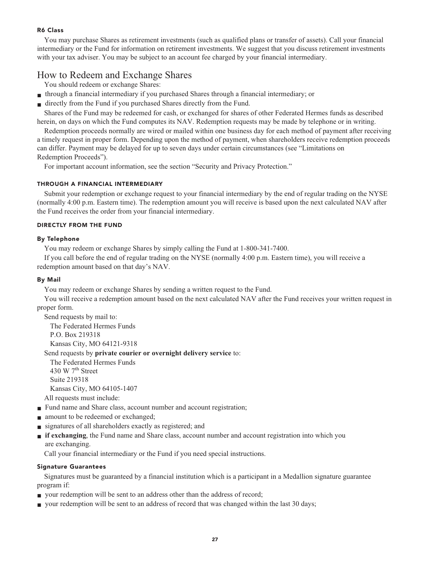### **R6 Class**

**You may purchase Shares as retirement investments (such as qualified plans or transfer of assets). Call your financial intermediary or the Fund for information on retirement investments. We suggest that you discuss retirement investments with your tax adviser. You may be subject to an account fee charged by your financial intermediary.**

# **How to Redeem and Exchange Shares**

**You should redeem or exchange Shares:**

- **■ through a financial intermediary if you purchased Shares through a financial intermediary; or**
- **■ directly from the Fund if you purchased Shares directly from the Fund.**

**Shares of the Fund may be redeemed for cash, or exchanged for shares of other Federated Hermes funds as described herein, on days on which the Fund computes its NAV. Redemption requests may be made by telephone or in writing.**

**Redemption proceeds normally are wired or mailed within one business day for each method of payment after receiving a timely request in proper form. Depending upon the method of payment, when shareholders receive redemption proceeds can differ. Payment may be delayed for up to seven days under certain circumstances (see "Limitations on Redemption Proceeds").**

**For important account information, see the section "Security and Privacy Protection."**

### **THROUGH A FINANCIAL INTERMEDIARY**

**Submit your redemption or exchange request to your financial intermediary by the end of regular trading on the NYSE (normally 4:00 p.m. Eastern time). The redemption amount you will receive is based upon the next calculated NAV after the Fund receives the order from your financial intermediary.**

### **DIRECTLY FROM THE FUND**

### **By Telephone**

**You may redeem or exchange Shares by simply calling the Fund at 1-800-341-7400.**

**If you call before the end of regular trading on the NYSE (normally 4:00 p.m. Eastern time), you will receive a redemption amount based on that day's NAV.**

### **By Mail**

**You may redeem or exchange Shares by sending a written request to the Fund.**

**You will receive a redemption amount based on the next calculated NAV after the Fund receives your written request in proper form.**

**Send requests by mail to: The Federated Hermes Funds P.O. Box 219318 Kansas City, MO 64121-9318**

**Send requests by private courier or overnight delivery service to:**

**The Federated Hermes Funds th 430 W 7 Street Suite 219318 Kansas City, MO 64105-1407**

**All requests must include:**

- **Fund name and Share class, account number and account registration;**
- **amount** to be redeemed or exchanged;
- **■ signatures of all shareholders exactly as registered; and**
- **■ if exchanging, the Fund name and Share class, account number and account registration into which you are exchanging.**

**Call your financial intermediary or the Fund if you need special instructions.**

### **Signature Guarantees**

**Signatures must be guaranteed by a financial institution which is a participant in a Medallion signature guarantee program if:**

- **your redemption will be sent to an address other than the address of record;**
- **your redemption will be sent to an address of record that was changed within the last 30 days;**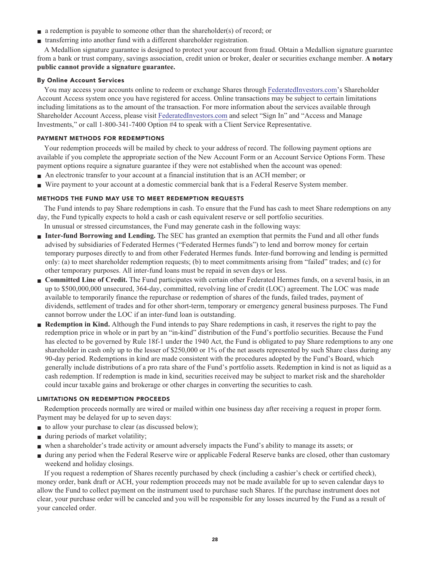- **■ a redemption is payable to someone other than the shareholder(s) of record; or**
- **■ transferring into another fund with a different shareholder registration.**

**A Medallion signature guarantee is designed to protect your account from fraud. Obtain a Medallion signature guarantee from a bank or trust company, savings association, credit union or broker, dealer or securities exchange member. A notary public cannot provide a signature guarantee.**

### **By Online Account Services**

**You may access your accounts online to redeem or exchange Shares through [FederatedInvestors.com'](https://www.federatedinvestors.com/home.do)s Shareholder Account Access system once you have registered for access. Online transactions may be subject to certain limitations including limitations as to the amount of the transaction. For more information about the services available through Shareholder Account Access, please visit [FederatedInvestors.com](https://www.federatedinvestors.com/home.do) and select "Sign In" and "Access and Manage Investments," or call 1-800-341-7400 Option #4 to speak with a Client Service Representative.**

### **PAYMENT METHODS FOR REDEMPTIONS**

**Your redemption proceeds will be mailed by check to your address of record. The following payment options are available if you complete the appropriate section of the New Account Form or an Account Service Options Form. These payment options require a signature guarantee if they were not established when the account was opened:**

- **■ An electronic transfer to your account at a financial institution that is an ACH member; or**
- **■ Wire payment to your account at a domestic commercial bank that is a Federal Reserve System member.**

### **METHODS THE FUND MAY USE TO MEET REDEMPTION REQUESTS**

**The Fund intends to pay Share redemptions in cash. To ensure that the Fund has cash to meet Share redemptions on any day, the Fund typically expects to hold a cash or cash equivalent reserve or sell portfolio securities.**

**In unusual or stressed circumstances, the Fund may generate cash in the following ways:**

- **■ Inter-fund Borrowing and Lending. The SEC has granted an exemption that permits the Fund and all other funds advised by subsidiaries of Federated Hermes ("Federated Hermes funds") to lend and borrow money for certain temporary purposes directly to and from other Federated Hermes funds. Inter-fund borrowing and lending is permitted only: (a) to meet shareholder redemption requests; (b) to meet commitments arising from "failed" trades; and (c) for other temporary purposes. All inter-fund loans must be repaid in seven days or less.**
- **■ Committed Line of Credit. The Fund participates with certain other Federated Hermes funds, on a several basis, in an up to \$500,000,000 unsecured, 364-day, committed, revolving line of credit (LOC) agreement. The LOC was made available to temporarily finance the repurchase or redemption of shares of the funds, failed trades, payment of dividends, settlement of trades and for other short-term, temporary or emergency general business purposes. The Fund cannot borrow under the LOC if an inter-fund loan is outstanding.**
- **Redemption in Kind.** Although the Fund intends to pay Share redemptions in cash, it reserves the right to pay the **redemption price in whole or in part by an "in-kind" distribution of the Fund's portfolio securities. Because the Fund has elected to be governed by Rule 18f-1 under the 1940 Act, the Fund is obligated to pay Share redemptions to any one shareholder in cash only up to the lesser of \$250,000 or 1% of the net assets represented by such Share class during any 90-day period. Redemptions in kind are made consistent with the procedures adopted by the Fund's Board, which generally include distributions of a pro rata share of the Fund's portfolio assets. Redemption in kind is not as liquid as a cash redemption. If redemption is made in kind, securities received may be subject to market risk and the shareholder could incur taxable gains and brokerage or other charges in converting the securities to cash.**

### **LIMITATIONS ON REDEMPTION PROCEEDS**

**Redemption proceeds normally are wired or mailed within one business day after receiving a request in proper form. Payment may be delayed for up to seven days:**

- **to allow your purchase to clear (as discussed below);**
- **■ during periods of market volatility;**
- **■ when a shareholder's trade activity or amount adversely impacts the Fund's ability to manage its assets; or**
- **■ during any period when the Federal Reserve wire or applicable Federal Reserve banks are closed, other than customary weekend and holiday closings.**

**If you request a redemption of Shares recently purchased by check (including a cashier's check or certified check), money order, bank draft or ACH, your redemption proceeds may not be made available for up to seven calendar days to allow the Fund to collect payment on the instrument used to purchase such Shares. If the purchase instrument does not clear, your purchase order will be canceled and you will be responsible for any losses incurred by the Fund as a result of your canceled order.**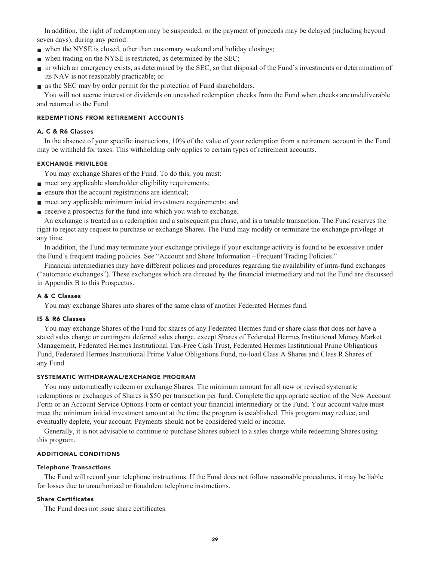**In addition, the right of redemption may be suspended, or the payment of proceeds may be delayed (including beyond seven days), during any period:**

- when the NYSE is closed, other than customary weekend and holiday closings;
- **■ when trading on the NYSE is restricted, as determined by the SEC;**
- **■ in which an emergency exists, as determined by the SEC, so that disposal of the Fund's investments or determination of its NAV is not reasonably practicable; or**
- **■ as the SEC may by order permit for the protection of Fund shareholders.**

**You will not accrue interest or dividends on uncashed redemption checks from the Fund when checks are undeliverable and returned to the Fund.**

### **REDEMPTIONS FROM RETIREMENT ACCOUNTS**

#### **A, C & R6 Classes**

**In the absence of your specific instructions, 10% of the value of your redemption from a retirement account in the Fund may be withheld for taxes. This withholding only applies to certain types of retirement accounts.**

### **EXCHANGE PRIVILEGE**

**You may exchange Shares of the Fund. To do this, you must:**

- **meet any applicable shareholder eligibility requirements;**
- **ensure that the account registrations are identical;**
- **meet any applicable minimum initial investment requirements; and**
- **receive a prospectus for the fund into which you wish to exchange.**

**An exchange is treated as a redemption and a subsequent purchase, and is a taxable transaction. The Fund reserves the right to reject any request to purchase or exchange Shares. The Fund may modify or terminate the exchange privilege at any time.**

**In addition, the Fund may terminate your exchange privilege if your exchange activity is found to be excessive under the Fund's frequent trading policies. See "Account and Share Information – Frequent Trading Policies."**

**Financial intermediaries may have different policies and procedures regarding the availability of intra-fund exchanges ("automatic exchanges"). These exchanges which are directed by the financial intermediary and not the Fund are discussed in Appendix B to this Prospectus.**

### **A & C Classes**

**You may exchange Shares into shares of the same class of another Federated Hermes fund.**

#### **IS & R6 Classes**

**You may exchange Shares of the Fund for shares of any Federated Hermes fund or share class that does not have a stated sales charge or contingent deferred sales charge, except Shares of Federated Hermes Institutional Money Market Management, Federated Hermes Institutional Tax-Free Cash Trust, Federated Hermes Institutional Prime Obligations Fund, Federated Hermes Institutional Prime Value Obligations Fund, no-load Class A Shares and Class R Shares of any Fund.**

#### **SYSTEMATIC WITHDRAWAL/EXCHANGE PROGRAM**

**You may automatically redeem or exchange Shares. The minimum amount for all new or revised systematic redemptions or exchanges of Shares is \$50 per transaction per fund. Complete the appropriate section of the New Account Form or an Account Service Options Form or contact your financial intermediary or the Fund. Your account value must meet the minimum initial investment amount at the time the program is established. This program may reduce, and eventually deplete, your account. Payments should not be considered yield or income.**

**Generally, it is not advisable to continue to purchase Shares subject to a sales charge while redeeming Shares using this program.**

### **ADDITIONAL CONDITIONS**

### **Telephone Transactions**

**The Fund will record your telephone instructions. If the Fund does not follow reasonable procedures, it may be liable for losses due to unauthorized or fraudulent telephone instructions.**

### **Share Certificates**

**The Fund does not issue share certificates.**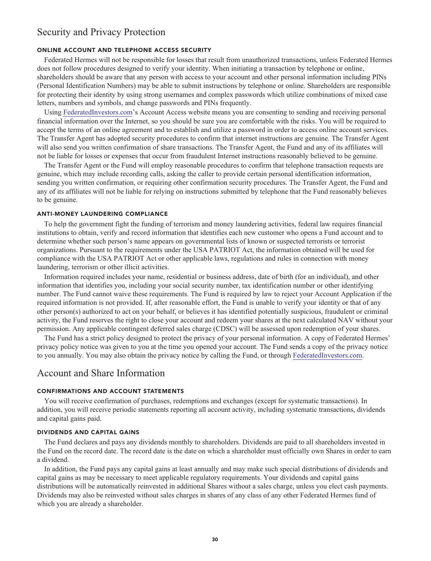# **Security and Privacy Protection**

### **ONLINE ACCOUNT AND TELEPHONE ACCESS SECURITY**

**Federated Hermes will not be responsible for losses that result from unauthorized transactions, unless Federated Hermes does not follow procedures designed to verify your identity. When initiating a transaction by telephone or online, shareholders should be aware that any person with access to your account and other personal information including PINs (Personal Identification Numbers) may be able to submit instructions by telephone or online. Shareholders are responsible for protecting their identity by using strong usernames and complex passwords which utilize combinations of mixed case letters, numbers and symbols, and change passwords and PINs frequently.**

**Using [FederatedInvestors.com'](https://www.federatedinvestors.com/home.do)s Account Access website means you are consenting to sending and receiving personal financial information over the Internet, so you should be sure you are comfortable with the risks. You will be required to accept the terms of an online agreement and to establish and utilize a password in order to access online account services. The Transfer Agent has adopted security procedures to confirm that internet instructions are genuine. The Transfer Agent will also send you written confirmation of share transactions. The Transfer Agent, the Fund and any of its affiliates will not be liable for losses or expenses that occur from fraudulent Internet instructions reasonably believed to be genuine.**

**The Transfer Agent or the Fund will employ reasonable procedures to confirm that telephone transaction requests are genuine, which may include recording calls, asking the caller to provide certain personal identification information, sending you written confirmation, or requiring other confirmation security procedures. The Transfer Agent, the Fund and any of its affiliates will not be liable for relying on instructions submitted by telephone that the Fund reasonably believes to be genuine.**

#### **ANTI-MONEY LAUNDERING COMPLIANCE**

**To help the government fight the funding of terrorism and money laundering activities, federal law requires financial institutions to obtain, verify and record information that identifies each new customer who opens a Fund account and to determine whether such person's name appears on governmental lists of known or suspected terrorists or terrorist organizations. Pursuant to the requirements under the USA PATRIOT Act, the information obtained will be used for compliance with the USA PATRIOT Act or other applicable laws, regulations and rules in connection with money laundering, terrorism or other illicit activities.**

**Information required includes your name, residential or business address, date of birth (for an individual), and other information that identifies you, including your social security number, tax identification number or other identifying number. The Fund cannot waive these requirements. The Fund is required by law to reject your Account Application if the required information is not provided. If, after reasonable effort, the Fund is unable to verify your identity or that of any other person(s) authorized to act on your behalf, or believes it has identified potentially suspicious, fraudulent or criminal activity, the Fund reserves the right to close your account and redeem your shares at the next calculated NAV without your permission. Any applicable contingent deferred sales charge (CDSC) will be assessed upon redemption of your shares.**

**The Fund has a strict policy designed to protect the privacy of your personal information. A copy of Federated Hermes' privacy policy notice was given to you at the time you opened your account. The Fund sends a copy of the privacy notice to you annually. You may also obtain the privacy notice by calling the Fund, or through [FederatedInvestors.com.](https://www.federatedinvestors.com/home.do)**

### **Account and Share Information**

### **CONFIRMATIONS AND ACCOUNT STATEMENTS**

**You will receive confirmation of purchases, redemptions and exchanges (except for systematic transactions). In addition, you will receive periodic statements reporting all account activity, including systematic transactions, dividends and capital gains paid.**

#### **DIVIDENDS AND CAPITAL GAINS**

**The Fund declares and pays any dividends monthly to shareholders. Dividends are paid to all shareholders invested in the Fund on the record date. The record date is the date on which a shareholder must officially own Shares in order to earn a dividend.**

**In addition, the Fund pays any capital gains at least annually and may make such special distributions of dividends and capital gains as may be necessary to meet applicable regulatory requirements. Your dividends and capital gains distributions will be automatically reinvested in additional Shares without a sales charge, unless you elect cash payments. Dividends may also be reinvested without sales charges in shares of any class of any other Federated Hermes fund of which you are already a shareholder.**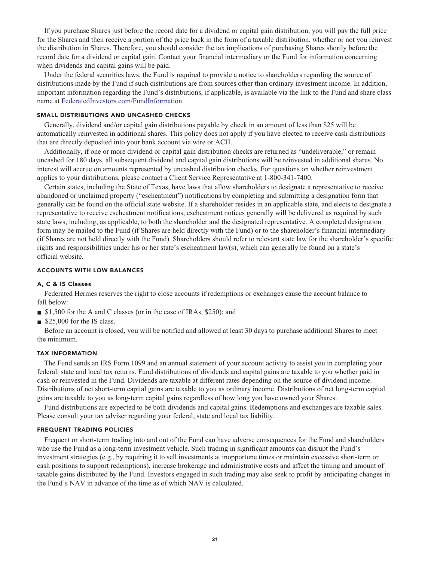**If you purchase Shares just before the record date for a dividend or capital gain distribution, you will pay the full price for the Shares and then receive a portion of the price back in the form of a taxable distribution, whether or not you reinvest the distribution in Shares. Therefore, you should consider the tax implications of purchasing Shares shortly before the record date for a dividend or capital gain. Contact your financial intermediary or the Fund for information concerning when dividends and capital gains will be paid.**

**Under the federal securities laws, the Fund is required to provide a notice to shareholders regarding the source of distributions made by the Fund if such distributions are from sources other than ordinary investment income. In addition, important information regarding the Fund's distributions, if applicable, is available via the link to the Fund and share class name at [FederatedInvestors.com/FundInformation.](https://www.federatedinvestors.com/product-info/prospectuses-and-regulatory-reports.do)**

#### **SMALL DISTRIBUTIONS AND UNCASHED CHECKS**

**Generally, dividend and/or capital gain distributions payable by check in an amount of less than \$25 will be automatically reinvested in additional shares. This policy does not apply if you have elected to receive cash distributions that are directly deposited into your bank account via wire or ACH.**

**Additionally, if one or more dividend or capital gain distribution checks are returned as "undeliverable," or remain uncashed for 180 days, all subsequent dividend and capital gain distributions will be reinvested in additional shares. No interest will accrue on amounts represented by uncashed distribution checks. For questions on whether reinvestment applies to your distributions, please contact a Client Service Representative at 1-800-341-7400.**

**Certain states, including the State of Texas, have laws that allow shareholders to designate a representative to receive abandoned or unclaimed property ("escheatment") notifications by completing and submitting a designation form that generally can be found on the official state website. If a shareholder resides in an applicable state, and elects to designate a representative to receive escheatment notifications, escheatment notices generally will be delivered as required by such state laws, including, as applicable, to both the shareholder and the designated representative. A completed designation form may be mailed to the Fund (if Shares are held directly with the Fund) or to the shareholder's financial intermediary (if Shares are not held directly with the Fund). Shareholders should refer to relevant state law for the shareholder's specific rights and responsibilities under his or her state's escheatment law(s), which can generally be found on a state's official website.**

### **ACCOUNTS WITH LOW BALANCES**

### **A, C & IS Classes**

**Federated Hermes reserves the right to close accounts if redemptions or exchanges cause the account balance to fall below:**

- **■ \$1,500 for the A and C classes (or in the case of IRAs, \$250); and**
- \$25,000 for the IS class.

**Before an account is closed, you will be notified and allowed at least 30 days to purchase additional Shares to meet the minimum.**

#### **TAX INFORMATION**

**The Fund sends an IRS Form 1099 and an annual statement of your account activity to assist you in completing your federal, state and local tax returns. Fund distributions of dividends and capital gains are taxable to you whether paid in cash or reinvested in the Fund. Dividends are taxable at different rates depending on the source of dividend income. Distributions of net short-term capital gains are taxable to you as ordinary income. Distributions of net long-term capital gains are taxable to you as long-term capital gains regardless of how long you have owned your Shares.**

**Fund distributions are expected to be both dividends and capital gains. Redemptions and exchanges are taxable sales. Please consult your tax adviser regarding your federal, state and local tax liability.**

#### **FREQUENT TRADING POLICIES**

**Frequent or short-term trading into and out of the Fund can have adverse consequences for the Fund and shareholders who use the Fund as a long-term investment vehicle. Such trading in significant amounts can disrupt the Fund's investment strategies (e.g., by requiring it to sell investments at inopportune times or maintain excessive short-term or cash positions to support redemptions), increase brokerage and administrative costs and affect the timing and amount of taxable gains distributed by the Fund. Investors engaged in such trading may also seek to profit by anticipating changes in the Fund's NAV in advance of the time as of which NAV is calculated.**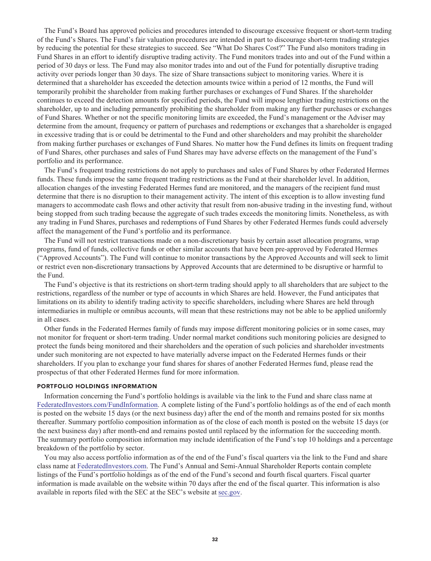**The Fund's Board has approved policies and procedures intended to discourage excessive frequent or short-term trading of the Fund's Shares. The Fund's fair valuation procedures are intended in part to discourage short-term trading strategies by reducing the potential for these strategies to succeed. See "What Do Shares Cost?" The Fund also monitors trading in Fund Shares in an effort to identify disruptive trading activity. The Fund monitors trades into and out of the Fund within a period of 30 days or less. The Fund may also monitor trades into and out of the Fund for potentially disruptive trading activity over periods longer than 30 days. The size of Share transactions subject to monitoring varies. Where it is determined that a shareholder has exceeded the detection amounts twice within a period of 12 months, the Fund will temporarily prohibit the shareholder from making further purchases or exchanges of Fund Shares. If the shareholder continues to exceed the detection amounts for specified periods, the Fund will impose lengthier trading restrictions on the shareholder, up to and including permanently prohibiting the shareholder from making any further purchases or exchanges of Fund Shares. Whether or not the specific monitoring limits are exceeded, the Fund's management or the Adviser may determine from the amount, frequency or pattern of purchases and redemptions or exchanges that a shareholder is engaged in excessive trading that is or could be detrimental to the Fund and other shareholders and may prohibit the shareholder from making further purchases or exchanges of Fund Shares. No matter how the Fund defines its limits on frequent trading of Fund Shares, other purchases and sales of Fund Shares may have adverse effects on the management of the Fund's portfolio and its performance.**

**The Fund's frequent trading restrictions do not apply to purchases and sales of Fund Shares by other Federated Hermes funds. These funds impose the same frequent trading restrictions as the Fund at their shareholder level. In addition, allocation changes of the investing Federated Hermes fund are monitored, and the managers of the recipient fund must determine that there is no disruption to their management activity. The intent of this exception is to allow investing fund managers to accommodate cash flows and other activity that result from non-abusive trading in the investing fund, without being stopped from such trading because the aggregate of such trades exceeds the monitoring limits. Nonetheless, as with any trading in Fund Shares, purchases and redemptions of Fund Shares by other Federated Hermes funds could adversely affect the management of the Fund's portfolio and its performance.**

**The Fund will not restrict transactions made on a non-discretionary basis by certain asset allocation programs, wrap programs, fund of funds, collective funds or other similar accounts that have been pre-approved by Federated Hermes ("Approved Accounts"). The Fund will continue to monitor transactions by the Approved Accounts and will seek to limit or restrict even non-discretionary transactions by Approved Accounts that are determined to be disruptive or harmful to the Fund.**

**The Fund's objective is that its restrictions on short-term trading should apply to all shareholders that are subject to the restrictions, regardless of the number or type of accounts in which Shares are held. However, the Fund anticipates that limitations on its ability to identify trading activity to specific shareholders, including where Shares are held through intermediaries in multiple or omnibus accounts, will mean that these restrictions may not be able to be applied uniformly in all cases.**

**Other funds in the Federated Hermes family of funds may impose different monitoring policies or in some cases, may not monitor for frequent or short-term trading. Under normal market conditions such monitoring policies are designed to protect the funds being monitored and their shareholders and the operation of such policies and shareholder investments under such monitoring are not expected to have materially adverse impact on the Federated Hermes funds or their shareholders. If you plan to exchange your fund shares for shares of another Federated Hermes fund, please read the prospectus of that other Federated Hermes fund for more information.**

#### **PORTFOLIO HOLDINGS INFORMATION**

**Information concerning the Fund's portfolio holdings is available via the link to the Fund and share class name at [FederatedInvestors.com/FundInformation.](https://www.federatedinvestors.com/product-info/prospectuses-and-regulatory-reports.do) A complete listing of the Fund's portfolio holdings as of the end of each month is posted on the website 15 days (or the next business day) after the end of the month and remains posted for six months thereafter. Summary portfolio composition information as of the close of each month is posted on the website 15 days (or the next business day) after month-end and remains posted until replaced by the information for the succeeding month. The summary portfolio composition information may include identification of the Fund's top 10 holdings and a percentage breakdown of the portfolio by sector.**

**You may also access portfolio information as of the end of the Fund's fiscal quarters via the link to the Fund and share class name at [FederatedInvestors.com.](https://www.federatedinvestors.com/home.do) The Fund's Annual and Semi-Annual Shareholder Reports contain complete listings of the Fund's portfolio holdings as of the end of the Fund's second and fourth fiscal quarters. Fiscal quarter information is made available on the website within 70 days after the end of the fiscal quarter. This information is also available in reports filed with the SEC at the SEC's website at [sec.gov.](https://www.sec.gov/)**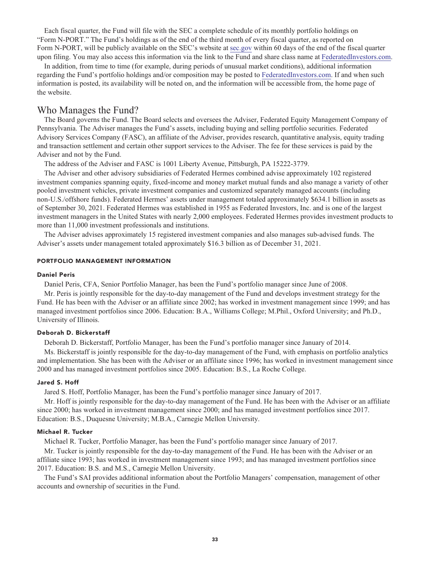**Each fiscal quarter, the Fund will file with the SEC a complete schedule of its monthly portfolio holdings on "Form N-PORT." The Fund's holdings as of the end of the third month of every fiscal quarter, as reported on Form N-PORT, will be publicly available on the SEC's website at [sec.gov](https://www.sec.gov/) within 60 days of the end of the fiscal quarter upon filing. You may also access this information via the link to the Fund and share class name at [FederatedInvestors.com.](https://www.federatedinvestors.com/home.do)**

**In addition, from time to time (for example, during periods of unusual market conditions), additional information regarding the Fund's portfolio holdings and/or composition may be posted to [FederatedInvestors.com.](https://www.federatedinvestors.com/home.do) If and when such information is posted, its availability will be noted on, and the information will be accessible from, the home page of the website.**

### **Who Manages the Fund?**

**The Board governs the Fund. The Board selects and oversees the Adviser, Federated Equity Management Company of Pennsylvania. The Adviser manages the Fund's assets, including buying and selling portfolio securities. Federated Advisory Services Company (FASC), an affiliate of the Adviser, provides research, quantitative analysis, equity trading and transaction settlement and certain other support services to the Adviser. The fee for these services is paid by the Adviser and not by the Fund.**

**The address of the Adviser and FASC is 1001 Liberty Avenue, Pittsburgh, PA 15222-3779.**

**The Adviser and other advisory subsidiaries of Federated Hermes combined advise approximately 102 registered investment companies spanning equity, fixed-income and money market mutual funds and also manage a variety of other pooled investment vehicles, private investment companies and customized separately managed accounts (including non-U.S./offshore funds). Federated Hermes' assets under management totaled approximately \$634.1 billion in assets as of September 30, 2021. Federated Hermes was established in 1955 as Federated Investors, Inc. and is one of the largest investment managers in the United States with nearly 2,000 employees. Federated Hermes provides investment products to more than 11,000 investment professionals and institutions.**

**The Adviser advises approximately 15 registered investment companies and also manages sub-advised funds. The Adviser's assets under management totaled approximately \$16.3 billion as of December 31, 2021.**

#### **PORTFOLIO MANAGEMENT INFORMATION**

### **Daniel Peris**

**Daniel Peris, CFA, Senior Portfolio Manager, has been the Fund's portfolio manager since June of 2008.**

**Mr. Peris is jointly responsible for the day-to-day management of the Fund and develops investment strategy for the Fund. He has been with the Adviser or an affiliate since 2002; has worked in investment management since 1999; and has managed investment portfolios since 2006. Education: B.A., Williams College; M.Phil., Oxford University; and Ph.D., University of Illinois.**

#### **Deborah D. Bickerstaff**

**Deborah D. Bickerstaff, Portfolio Manager, has been the Fund's portfolio manager since January of 2014.**

**Ms. Bickerstaff is jointly responsible for the day-to-day management of the Fund, with emphasis on portfolio analytics and implementation. She has been with the Adviser or an affiliate since 1996; has worked in investment management since 2000 and has managed investment portfolios since 2005. Education: B.S., La Roche College.**

#### **Jared S. Hoff**

**Jared S. Hoff, Portfolio Manager, has been the Fund's portfolio manager since January of 2017.**

**Mr. Hoff is jointly responsible for the day-to-day management of the Fund. He has been with the Adviser or an affiliate since 2000; has worked in investment management since 2000; and has managed investment portfolios since 2017. Education: B.S., Duquesne University; M.B.A., Carnegie Mellon University.**

### **Michael R. Tucker**

**Michael R. Tucker, Portfolio Manager, has been the Fund's portfolio manager since January of 2017.**

**Mr. Tucker is jointly responsible for the day-to-day management of the Fund. He has been with the Adviser or an affiliate since 1993; has worked in investment management since 1993; and has managed investment portfolios since 2017. Education: B.S. and M.S., Carnegie Mellon University.**

**The Fund's SAI provides additional information about the Portfolio Managers' compensation, management of other accounts and ownership of securities in the Fund.**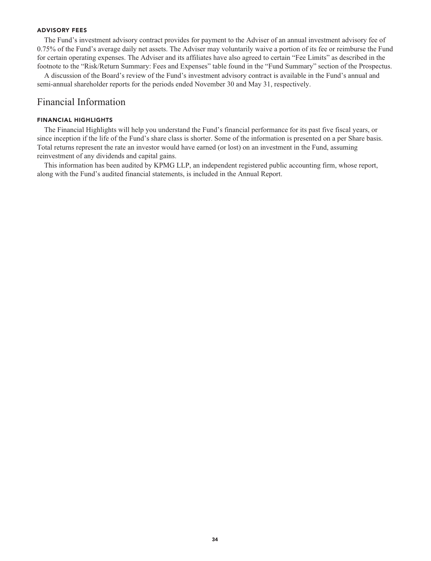### **ADVISORY FEES**

**The Fund's investment advisory contract provides for payment to the Adviser of an annual investment advisory fee of 0.75% of the Fund's average daily net assets. The Adviser may voluntarily waive a portion of its fee or reimburse the Fund for certain operating expenses. The Adviser and its affiliates have also agreed to certain "Fee Limits" as described in the footnote to the "Risk/Return Summary: Fees and Expenses" table found in the "Fund Summary" section of the Prospectus.**

**A discussion of the Board's review of the Fund's investment advisory contract is available in the Fund's annual and semi-annual shareholder reports for the periods ended November 30 and May 31, respectively.**

### **Financial Information**

### **FINANCIAL HIGHLIGHTS**

**The Financial Highlights will help you understand the Fund's financial performance for its past five fiscal years, or since inception if the life of the Fund's share class is shorter. Some of the information is presented on a per Share basis. Total returns represent the rate an investor would have earned (or lost) on an investment in the Fund, assuming reinvestment of any dividends and capital gains.**

**This information has been audited by KPMG LLP, an independent registered public accounting firm, whose report, along with the Fund's audited financial statements, is included in the Annual Report.**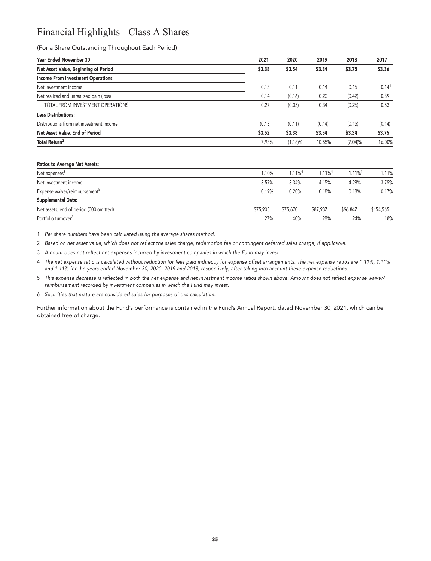# **Financial Highlights – Class A Shares**

**(For a Share Outstanding Throughout Each Period)**

| <b>Year Ended November 30</b>             | 2021   | 2020       | 2019   | 2018       | 2017              |
|-------------------------------------------|--------|------------|--------|------------|-------------------|
| Net Asset Value, Beginning of Period      | \$3.38 | \$3.54     | \$3.34 | \$3.75     | \$3.36            |
| <b>Income From Investment Operations:</b> |        |            |        |            |                   |
| Net investment income                     | 0.13   | 0.11       | 0.14   | 0.16       | 0.14 <sup>1</sup> |
| Net realized and unrealized gain (loss)   | 0.14   | (0.16)     | 0.20   | (0.42)     | 0.39              |
| TOTAL FROM INVESTMENT OPERATIONS          | 0.27   | (0.05)     | 0.34   | (0.26)     | 0.53              |
| <b>Less Distributions:</b>                |        |            |        |            |                   |
| Distributions from net investment income  | (0.13) | (0.11)     | (0.14) | (0.15)     | (0.14)            |
| Net Asset Value, End of Period            | \$3.52 | \$3.38     | \$3.54 | \$3.34     | \$3.75            |
| Total Return <sup>2</sup>                 | 7.93%  | $(1.18)\%$ | 10.55% | $(7.04)\%$ | 16.00%            |
|                                           |        |            |        |            |                   |

#### **Ratios to Average Net Assets:**

| Net expenses <sup>3</sup>                 | 1.10%    | $1.11\%$ <sup>4</sup> | $1.11\%$ <sup>4</sup> | $1.11\%$ <sup>4</sup> | 1.11%     |
|-------------------------------------------|----------|-----------------------|-----------------------|-----------------------|-----------|
| Net investment income                     | 3.57%    | 3.34%                 | 4.15%                 | 4.28%                 | 3.75%     |
| Expense waiver/reimbursement <sup>5</sup> | 0.19%    | 0.20%                 | 0.18%                 | 0.18%                 | 0.17%     |
| Supplemental Data:                        |          |                       |                       |                       |           |
| Net assets, end of period (000 omitted)   | \$75,905 | \$75,670              | \$87,937              | \$96.847              | \$154,565 |
| Portfolio turnover <sup>6</sup>           | 27%      | 40%                   | 28%                   | 24%                   | 18%       |

**1 Per share numbers have been calculated using the average shares method.**

**2 Based on net asset value, which does not reflect the sales charge, redemption fee or contingent deferred sales charge, if applicable.**

**3 Amount does not reflect net expenses incurred by investment companies in which the Fund may invest.**

**4 The net expense ratio is calculated without reduction for fees paid indirectly for expense offset arrangements. The net expense ratios are 1.11%, 1.11% and 1.11% for the years ended November 30, 2020, 2019 and 2018, respectively, after taking into account these expense reductions.**

**5 This expense decrease is reflected in both the net expense and net investment income ratios shown above. Amount does not reflect expense waiver/ reimbursement recorded by investment companies in which the Fund may invest.**

**6 Securities that mature are considered sales for purposes of this calculation.**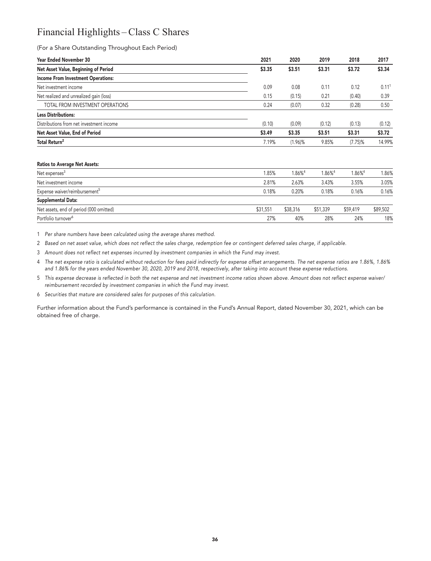# **Financial Highlights – Class C Shares**

### **(For a Share Outstanding Throughout Each Period)**

| <b>Year Ended November 30</b>             | 2021   | 2020    | 2019   | 2018       | 2017                |
|-------------------------------------------|--------|---------|--------|------------|---------------------|
| Net Asset Value, Beginning of Period      | \$3.35 | \$3.51  | \$3.31 | \$3.72     | \$3.34              |
| <b>Income From Investment Operations:</b> |        |         |        |            |                     |
| Net investment income                     | 0.09   | 0.08    | 0.11   | 0.12       | $0.11$ <sup>1</sup> |
| Net realized and unrealized gain (loss)   | 0.15   | (0.15)  | 0.21   | (0.40)     | 0.39                |
| TOTAL FROM INVESTMENT OPERATIONS          | 0.24   | (0.07)  | 0.32   | (0.28)     | 0.50                |
| <b>Less Distributions:</b>                |        |         |        |            |                     |
| Distributions from net investment income  | (0.10) | (0.09)  | (0.12) | (0.13)     | (0.12)              |
| Net Asset Value, End of Period            | \$3.49 | \$3.35  | \$3.51 | \$3.31     | \$3.72              |
| Total Return <sup>2</sup>                 | 7.19%  | (1.96)% | 9.85%  | $(7.75)\%$ | 14.99%              |
|                                           |        |         |        |            |                     |

#### **Ratios to Average Net Assets:**

| Net expenses <sup>3</sup>                 | 1.85%    | $1.86\%$ <sup>4</sup> | $1.86\%$ <sup>4</sup> | 1.86% <sup>4</sup> | 1.86%    |
|-------------------------------------------|----------|-----------------------|-----------------------|--------------------|----------|
| Net investment income                     | 2.81%    | 2.63%                 | 3.43%                 | 3.55%              | 3.05%    |
| Expense waiver/reimbursement <sup>5</sup> | 0.18%    | 0.20%                 | 0.18%                 | 0.16%              | 0.16%    |
| Supplemental Data:                        |          |                       |                       |                    |          |
| Net assets, end of period (000 omitted)   | \$31,551 | \$38,316              | \$51,339              | \$59,419           | \$89,502 |
| Portfolio turnover <sup>6</sup>           | 27%      | 40%                   | 28%                   | 24%                | 18%      |

**1 Per share numbers have been calculated using the average shares method.**

**2 Based on net asset value, which does not reflect the sales charge, redemption fee or contingent deferred sales charge, if applicable.**

**3 Amount does not reflect net expenses incurred by investment companies in which the Fund may invest.**

**4 The net expense ratio is calculated without reduction for fees paid indirectly for expense offset arrangements. The net expense ratios are 1.86%, 1.86% and 1.86% for the years ended November 30, 2020, 2019 and 2018, respectively, after taking into account these expense reductions.**

**5 This expense decrease is reflected in both the net expense and net investment income ratios shown above. Amount does not reflect expense waiver/ reimbursement recorded by investment companies in which the Fund may invest.**

**6 Securities that mature are considered sales for purposes of this calculation.**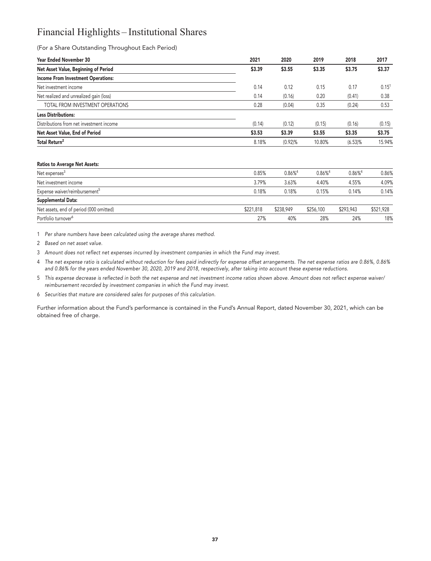# **Financial Highlights – Institutional Shares**

### **(For a Share Outstanding Throughout Each Period)**

| <b>Year Ended November 30</b>             | 2021   | 2020    | 2019   | 2018    | 2017       |
|-------------------------------------------|--------|---------|--------|---------|------------|
| Net Asset Value, Beginning of Period      | \$3.39 | \$3.55  | \$3.35 | \$3.75  | \$3.37     |
| <b>Income From Investment Operations:</b> |        |         |        |         |            |
| Net investment income                     | 0.14   | 0.12    | 0.15   | 0.17    | $0.15^{1}$ |
| Net realized and unrealized gain (loss)   | 0.14   | (0.16)  | 0.20   | (0.41)  | 0.38       |
| TOTAL FROM INVESTMENT OPERATIONS          | 0.28   | (0.04)  | 0.35   | (0.24)  | 0.53       |
| <b>Less Distributions:</b>                |        |         |        |         |            |
| Distributions from net investment income  | (0.14) | (0.12)  | (0.15) | (0.16)  | (0.15)     |
| Net Asset Value, End of Period            | \$3.53 | \$3.39  | \$3.55 | \$3.35  | \$3.75     |
| Total Return <sup>2</sup>                 | 8.18%  | (0.92)% | 10.80% | (6.53)% | 15.94%     |
|                                           |        |         |        |         |            |

#### **Ratios to Average Net Assets:**

| Net expenses <sup>3</sup>                 | 0.85%     | $0.86\%$ <sup>4</sup> | $0.86\%$ <sup>4</sup> | $0.86\%$ <sup>4</sup> | 0.86%     |
|-------------------------------------------|-----------|-----------------------|-----------------------|-----------------------|-----------|
| Net investment income                     | 3.79%     | 3.63%                 | 4.40%                 | 4.55%                 | 4.09%     |
| Expense waiver/reimbursement <sup>5</sup> | 0.18%     | 0.18%                 | 0.15%                 | 0.14%                 | 0.14%     |
| <b>Supplemental Data:</b>                 |           |                       |                       |                       |           |
| Net assets, end of period (000 omitted)   | \$221,818 | \$238,949             | \$256,100             | \$293,943             | \$521,928 |
| Portfolio turnover <sup>6</sup>           | 27%       | 40%                   | 28%                   | 24%                   | 18%       |

**1 Per share numbers have been calculated using the average shares method.**

**2 Based on net asset value.**

**3 Amount does not reflect net expenses incurred by investment companies in which the Fund may invest.**

**4 The net expense ratio is calculated without reduction for fees paid indirectly for expense offset arrangements. The net expense ratios are 0.86%, 0.86% and 0.86% for the years ended November 30, 2020, 2019 and 2018, respectively, after taking into account these expense reductions.**

**5 This expense decrease is reflected in both the net expense and net investment income ratios shown above. Amount does not reflect expense waiver/ reimbursement recorded by investment companies in which the Fund may invest.**

**6 Securities that mature are considered sales for purposes of this calculation.**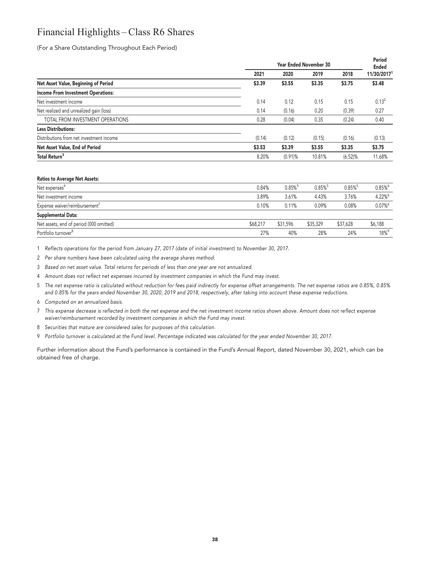# **Financial Highlights – Class R6 Shares**

**(For a Share Outstanding Throughout Each Period)**

|                                           |        | <b>Year Ended November 30</b> |        |         |                   |  |
|-------------------------------------------|--------|-------------------------------|--------|---------|-------------------|--|
|                                           | 2021   | 2020                          | 2019   | 2018    | 11/30/20171       |  |
| Net Asset Value, Beginning of Period      | \$3.39 | \$3.55                        | \$3.35 | \$3.75  | \$3.48            |  |
| <b>Income From Investment Operations:</b> |        |                               |        |         |                   |  |
| Net investment income                     | 0.14   | 0.12                          | 0.15   | 0.15    | 0.13 <sup>2</sup> |  |
| Net realized and unrealized gain (loss)   | 0.14   | (0.16)                        | 0.20   | (0.39)  | 0.27              |  |
| TOTAL FROM INVESTMENT OPERATIONS          | 0.28   | (0.04)                        | 0.35   | (0.24)  | 0.40              |  |
| <b>Less Distributions:</b>                |        |                               |        |         |                   |  |
| Distributions from net investment income  | (0.14) | (0.12)                        | (0.15) | (0.16)  | (0.13)            |  |
| Net Asset Value, End of Period            | \$3.53 | \$3.39                        | \$3.55 | \$3.35  | \$3.75            |  |
| Total Return <sup>3</sup>                 | 8.20%  | $(0.91)$ %                    | 10.81% | (6.52)% | 11.68%            |  |
|                                           |        |                               |        |         |                   |  |

#### **Ratios to Average Net Assets:**

| Net expenses <sup>4</sup>                 | 0.84%    | $0.85\%$ <sup>5</sup> | $0.85\%$ <sup>5</sup> | $0.85\%$ <sup>5</sup> | 0.85%   |
|-------------------------------------------|----------|-----------------------|-----------------------|-----------------------|---------|
|                                           |          |                       |                       |                       |         |
| Net investment income                     | 3.89%    | 3.61%                 | 4.43%                 | 3.76%                 | 4.22%   |
| Expense waiver/reimbursement <sup>7</sup> | 0.10%    | 0.11%                 | 0.09%                 | 0.08%                 | 0.07%   |
| <b>Supplemental Data:</b>                 |          |                       |                       |                       |         |
| Net assets, end of period (000 omitted)   | \$68,217 | \$31,596              | \$35,329              | \$37,628              | \$6,188 |
| Portfolio turnover <sup>8</sup>           | 27%      | 40%                   | 28%                   | 24%                   | 18%     |

**1 Reflects operations for the period from January 27, 2017 (date of initial investment) to November 30, 2017.**

**2 Per share numbers have been calculated using the average shares method.**

**3 Based on net asset value. Total returns for periods of less than one year are not annualized.**

**4 Amount does not reflect net expenses incurred by investment companies in which the Fund may invest.**

**5 The net expense ratio is calculated without reduction for fees paid indirectly for expense offset arrangements. The net expense ratios are 0.85%, 0.85% and 0.85% for the years ended November 30, 2020, 2019 and 2018, respectively, after taking into account these expense reductions.**

**6 Computed on an annualized basis.**

**7 This expense decrease is reflected in both the net expense and the net investment income ratios shown above. Amount does not reflect expense waiver/reimbursement recorded by investment companies in which the Fund may invest.**

**8 Securities that mature are considered sales for purposes of this calculation.**

**9 Portfolio turnover is calculated at the Fund level. Percentage indicated was calculated for the year ended November 30, 2017.**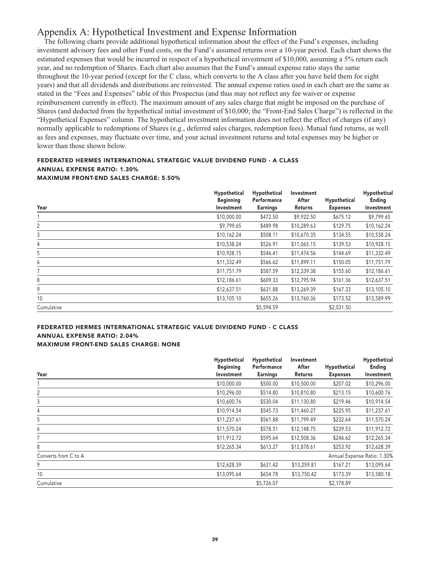# **Appendix A: Hypothetical Investment and Expense Information**

**The following charts provide additional hypothetical information about the effect of the Fund's expenses, including investment advisory fees and other Fund costs, on the Fund's assumed returns over a 10-year period. Each chart shows the estimated expenses that would be incurred in respect of a hypothetical investment of \$10,000, assuming a 5% return each year, and no redemption of Shares. Each chart also assumes that the Fund's annual expense ratio stays the same throughout the 10-year period (except for the C class, which converts to the A class after you have held them for eight years) and that all dividends and distributions are reinvested. The annual expense ratios used in each chart are the same as stated in the "Fees and Expenses" table of this Prospectus (and thus may not reflect any fee waiver or expense reimbursement currently in effect). The maximum amount of any sales charge that might be imposed on the purchase of Shares (and deducted from the hypothetical initial investment of \$10,000; the "Front-End Sales Charge") is reflected in the "Hypothetical Expenses" column. The hypothetical investment information does not reflect the effect of charges (if any) normally applicable to redemptions of Shares (e.g., deferred sales charges, redemption fees). Mutual fund returns, as well as fees and expenses, may fluctuate over time, and your actual investment returns and total expenses may be higher or lower than those shown below.**

### **FEDERATED HERMES INTERNATIONAL STRATEGIC VALUE DIVIDEND FUND - A CLASS ANNUAL EXPENSE RATIO: 1.30% MAXIMUM FRONT-END SALES CHARGE: 5.50%**

| Year       | Hypothetical<br><b>Beginning</b><br>Investment | Hypothetical<br>Performance<br><b>Earnings</b> | Investment<br>After<br>Returns | Hypothetical<br><b>Expenses</b> | Hypothetical<br>Ending<br>Investment |
|------------|------------------------------------------------|------------------------------------------------|--------------------------------|---------------------------------|--------------------------------------|
|            | \$10,000.00                                    | \$472.50                                       | \$9,922.50                     | \$675.12                        | \$9,799.65                           |
| 2          | \$9,799.65                                     | \$489.98                                       | \$10,289.63                    | \$129.75                        | \$10,162.24                          |
| 3          | \$10,162.24                                    | \$508.11                                       | \$10,670.35                    | \$134.55                        | \$10,538.24                          |
| 4          | \$10,538.24                                    | \$526.91                                       | \$11,065.15                    | \$139.53                        | \$10,928.15                          |
| 5          | \$10,928.15                                    | \$546.41                                       | \$11,474.56                    | \$144.69                        | \$11,332.49                          |
| 6          | \$11,332.49                                    | \$566.62                                       | \$11,899.11                    | \$150.05                        | \$11,751.79                          |
| 7          | \$11,751.79                                    | \$587.59                                       | \$12,339.38                    | \$155.60                        | \$12,186.61                          |
| 8          | \$12,186.61                                    | \$609.33                                       | \$12,795.94                    | \$161.36                        | \$12,637.51                          |
| 9          | \$12,637.51                                    | \$631.88                                       | \$13,269.39                    | \$167.33                        | \$13,105.10                          |
| 10         | \$13,105.10                                    | \$655.26                                       | \$13,760.36                    | \$173.52                        | \$13,589.99                          |
| Cumulative |                                                | \$5,594.59                                     |                                | \$2,031.50                      |                                      |

### **FEDERATED HERMES INTERNATIONAL STRATEGIC VALUE DIVIDEND FUND - C CLASS ANNUAL EXPENSE RATIO: 2.04% MAXIMUM FRONT-END SALES CHARGE: NONE**

|                      | Hypothetical     | Hypothetical    | Investment     |                 | Hypothetical                |
|----------------------|------------------|-----------------|----------------|-----------------|-----------------------------|
|                      | <b>Beginning</b> | Performance     | After          | Hypothetical    | Ending                      |
| Year                 | Investment       | <b>Earnings</b> | <b>Returns</b> | <b>Expenses</b> | Investment                  |
|                      | \$10,000.00      | \$500.00        | \$10,500.00    | \$207.02        | \$10,296.00                 |
| 2                    | \$10,296.00      | \$514.80        | \$10,810.80    | \$213.15        | \$10,600.76                 |
| 3                    | \$10,600.76      | \$530.04        | \$11,130.80    | \$219.46        | \$10,914.54                 |
| 4                    | \$10,914.54      | \$545.73        | \$11,460.27    | \$225.95        | \$11,237.61                 |
| 5                    | \$11,237.61      | \$561.88        | \$11,799.49    | \$232.64        | \$11,570.24                 |
| 6                    | \$11,570.24      | \$578.51        | \$12,148.75    | \$239.53        | \$11,912.72                 |
|                      | \$11,912.72      | \$595.64        | \$12,508.36    | \$246.62        | \$12,265.34                 |
| 8                    | \$12,265.34      | \$613.27        | \$12,878.61    | \$253.92        | \$12,628.39                 |
| Converts from C to A |                  |                 |                |                 | Annual Expense Ratio: 1.30% |
| 9                    | \$12,628.39      | \$631.42        | \$13,259.81    | \$167.21        | \$13,095.64                 |
| 10                   | \$13,095.64      | \$654.78        | \$13,750.42    | \$173.39        | \$13,580.18                 |
| Cumulative           |                  | \$5,726.07      |                | \$2,178.89      |                             |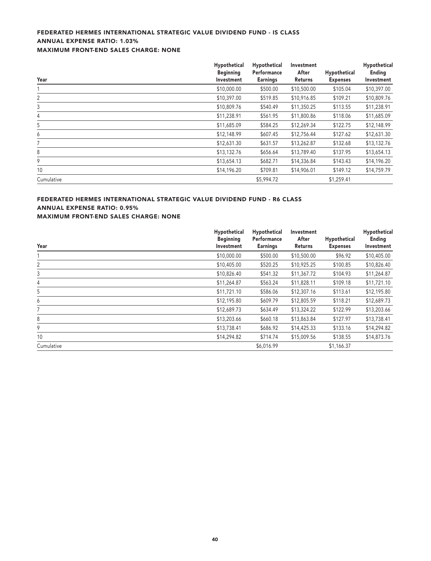### **FEDERATED HERMES INTERNATIONAL STRATEGIC VALUE DIVIDEND FUND - IS CLASS ANNUAL EXPENSE RATIO: 1.03% MAXIMUM FRONT-END SALES CHARGE: NONE**

|            | Hypothetical<br><b>Beginning</b> | Hypothetical<br>Performance | Investment<br>After | Hypothetical    | Hypothetical<br>Ending |
|------------|----------------------------------|-----------------------------|---------------------|-----------------|------------------------|
| Year       | Investment                       | <b>Earnings</b>             | Returns             | <b>Expenses</b> | Investment             |
|            | \$10,000.00                      | \$500.00                    | \$10,500.00         | \$105.04        | \$10,397.00            |
| 2          | \$10,397.00                      | \$519.85                    | \$10,916.85         | \$109.21        | \$10,809.76            |
| 3          | \$10,809.76                      | \$540.49                    | \$11,350.25         | \$113.55        | \$11,238.91            |
| 4          | \$11,238.91                      | \$561.95                    | \$11,800.86         | \$118.06        | \$11,685.09            |
| 5          | \$11,685.09                      | \$584.25                    | \$12,269.34         | \$122.75        | \$12,148.99            |
| 6          | \$12,148.99                      | \$607.45                    | \$12,756.44         | \$127.62        | \$12,631.30            |
|            | \$12,631.30                      | \$631.57                    | \$13,262.87         | \$132.68        | \$13,132.76            |
| 8          | \$13,132.76                      | \$656.64                    | \$13,789.40         | \$137.95        | \$13,654.13            |
| 9          | \$13,654.13                      | \$682.71                    | \$14,336.84         | \$143.43        | \$14,196.20            |
| 10         | \$14,196.20                      | \$709.81                    | \$14,906.01         | \$149.12        | \$14,759.79            |
| Cumulative |                                  | \$5,994.72                  |                     | \$1,259.41      |                        |

### **FEDERATED HERMES INTERNATIONAL STRATEGIC VALUE DIVIDEND FUND - R6 CLASS ANNUAL EXPENSE RATIO: 0.95%**

**MAXIMUM FRONT-END SALES CHARGE: NONE**

|            | Hypothetical                   | Hypothetical                   | Investment       |                                 | Hypothetical         |
|------------|--------------------------------|--------------------------------|------------------|---------------------------------|----------------------|
| Year       | <b>Beginning</b><br>Investment | Performance<br><b>Earnings</b> | After<br>Returns | Hypothetical<br><b>Expenses</b> | Ending<br>Investment |
|            | \$10,000.00                    | \$500.00                       | \$10,500.00      | \$96.92                         | \$10,405.00          |
| 2          | \$10,405.00                    | \$520.25                       | \$10,925.25      | \$100.85                        | \$10,826.40          |
| 3          | \$10,826.40                    | \$541.32                       | \$11,367.72      | \$104.93                        | \$11,264.87          |
| 4          | \$11,264.87                    | \$563.24                       | \$11,828.11      | \$109.18                        | \$11,721.10          |
| 5          | \$11,721.10                    | \$586.06                       | \$12,307.16      | \$113.61                        | \$12,195.80          |
| 6          | \$12,195.80                    | \$609.79                       | \$12,805.59      | \$118.21                        | \$12,689.73          |
|            | \$12,689.73                    | \$634.49                       | \$13,324.22      | \$122.99                        | \$13,203.66          |
| 8          | \$13,203.66                    | \$660.18                       | \$13,863.84      | \$127.97                        | \$13,738.41          |
| 9          | \$13,738.41                    | \$686.92                       | \$14,425.33      | \$133.16                        | \$14,294.82          |
| 10         | \$14,294.82                    | \$714.74                       | \$15,009.56      | \$138.55                        | \$14,873.76          |
| Cumulative |                                | \$6,016.99                     |                  | \$1,166.37                      |                      |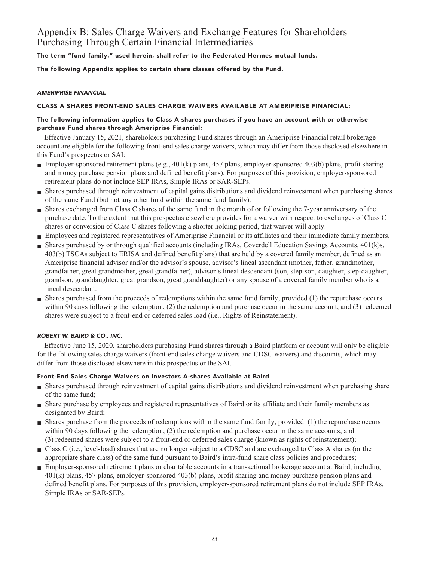# **Appendix B: Sales Charge Waivers and Exchange Features for Shareholders Purchasing Through Certain Financial Intermediaries**

**The term "fund family," used herein, shall refer to the Federated Hermes mutual funds.**

**The following Appendix applies to certain share classes offered by the Fund.**

### **AMERIPRISE FINANCIAL**

### **CLASS A SHARES FRONT-END SALES CHARGE WAIVERS AVAILABLE AT AMERIPRISE FINANCIAL:**

### **The following information applies to Class A shares purchases if you have an account with or otherwise purchase Fund shares through Ameriprise Financial:**

**Effective January 15, 2021, shareholders purchasing Fund shares through an Ameriprise Financial retail brokerage account are eligible for the following front-end sales charge waivers, which may differ from those disclosed elsewhere in this Fund's prospectus or SAI:**

- **Employer-sponsored retirement plans (e.g., 401(k) plans, 457 plans, employer-sponsored 403(b) plans, profit sharing and money purchase pension plans and defined benefit plans). For purposes of this provision, employer-sponsored retirement plans do not include SEP IRAs, Simple IRAs or SAR-SEPs.**
- **■ Shares purchased through reinvestment of capital gains distributions and dividend reinvestment when purchasing shares of the same Fund (but not any other fund within the same fund family).**
- **■ Shares exchanged from Class C shares of the same fund in the month of or following the 7-year anniversary of the purchase date. To the extent that this prospectus elsewhere provides for a waiver with respect to exchanges of Class C shares or conversion of Class C shares following a shorter holding period, that waiver will apply.**
- **■ Employees and registered representatives of Ameriprise Financial or its affiliates and their immediate family members.**
- **■ Shares purchased by or through qualified accounts (including IRAs, Coverdell Education Savings Accounts, 401(k)s, 403(b) TSCAs subject to ERISA and defined benefit plans) that are held by a covered family member, defined as an Ameriprise financial advisor and/or the advisor's spouse, advisor's lineal ascendant (mother, father, grandmother, grandfather, great grandmother, great grandfather), advisor's lineal descendant (son, step-son, daughter, step-daughter, grandson, granddaughter, great grandson, great granddaughter) or any spouse of a covered family member who is a lineal descendant.**
- **■ Shares purchased from the proceeds of redemptions within the same fund family, provided (1) the repurchase occurs within 90 days following the redemption, (2) the redemption and purchase occur in the same account, and (3) redeemed shares were subject to a front-end or deferred sales load (i.e., Rights of Reinstatement).**

### **ROBERT W. BAIRD & CO., INC.**

**Effective June 15, 2020, shareholders purchasing Fund shares through a Baird platform or account will only be eligible for the following sales charge waivers (front-end sales charge waivers and CDSC waivers) and discounts, which may differ from those disclosed elsewhere in this prospectus or the SAI.**

### **Front-End Sales Charge Waivers on Investors A-shares Available at Baird**

- **■ Shares purchased through reinvestment of capital gains distributions and dividend reinvestment when purchasing share of the same fund;**
- **■ Share purchase by employees and registered representatives of Baird or its affiliate and their family members as designated by Baird;**
- **■ Shares purchase from the proceeds of redemptions within the same fund family, provided: (1) the repurchase occurs within 90 days following the redemption; (2) the redemption and purchase occur in the same accounts; and (3) redeemed shares were subject to a front-end or deferred sales charge (known as rights of reinstatement);**
- **■ Class C (i.e., level-load) shares that are no longer subject to a CDSC and are exchanged to Class A shares (or the appropriate share class) of the same fund pursuant to Baird's intra-fund share class policies and procedures;**
- **Employer-sponsored retirement plans or charitable accounts in a transactional brokerage account at Baird, including 401(k) plans, 457 plans, employer-sponsored 403(b) plans, profit sharing and money purchase pension plans and defined benefit plans. For purposes of this provision, employer-sponsored retirement plans do not include SEP IRAs, Simple IRAs or SAR-SEPs.**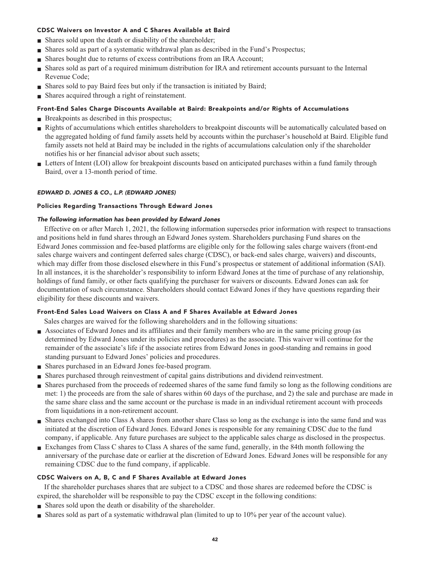### **CDSC Waivers on Investor A and C Shares Available at Baird**

- **■ Shares sold upon the death or disability of the shareholder;**
- **■ Shares sold as part of a systematic withdrawal plan as described in the Fund's Prospectus;**
- **Shares bought due to returns of excess contributions from an IRA Account;**
- **■ Shares sold as part of a required minimum distribution for IRA and retirement accounts pursuant to the Internal Revenue Code;**
- **Shares sold to pay Baird fees but only if the transaction is initiated by Baird;**
- **■ Shares acquired through a right of reinstatement.**

### **Front-End Sales Charge Discounts Available at Baird: Breakpoints and/or Rights of Accumulations**

- **Breakpoints as described in this prospectus;**
- **Rights of accumulations which entitles shareholders to breakpoint discounts will be automatically calculated based on the aggregated holding of fund family assets held by accounts within the purchaser's household at Baird. Eligible fund family assets not held at Baird may be included in the rights of accumulations calculation only if the shareholder notifies his or her financial advisor about such assets;**
- Letters of Intent (LOI) allow for breakpoint discounts based on anticipated purchases within a fund family through **Baird, over a 13-month period of time.**

### **EDWARD D. JONES & CO., L.P. (EDWARD JONES)**

### **Policies Regarding Transactions Through Edward Jones**

### **The following information has been provided by Edward Jones**

**Effective on or after March 1, 2021, the following information supersedes prior information with respect to transactions and positions held in fund shares through an Edward Jones system. Shareholders purchasing Fund shares on the Edward Jones commission and fee-based platforms are eligible only for the following sales charge waivers (front-end sales charge waivers and contingent deferred sales charge (CDSC), or back-end sales charge, waivers) and discounts, which may differ from those disclosed elsewhere in this Fund's prospectus or statement of additional information (SAI). In all instances, it is the shareholder's responsibility to inform Edward Jones at the time of purchase of any relationship, holdings of fund family, or other facts qualifying the purchaser for waivers or discounts. Edward Jones can ask for documentation of such circumstance. Shareholders should contact Edward Jones if they have questions regarding their eligibility for these discounts and waivers.**

### **Front-End Sales Load Waivers on Class A and F Shares Available at Edward Jones**

**Sales charges are waived for the following shareholders and in the following situations:**

- **■ Associates of Edward Jones and its affiliates and their family members who are in the same pricing group (as determined by Edward Jones under its policies and procedures) as the associate. This waiver will continue for the remainder of the associate's life if the associate retires from Edward Jones in good-standing and remains in good standing pursuant to Edward Jones' policies and procedures.**
- **■ Shares purchased in an Edward Jones fee-based program.**
- **■ Shares purchased through reinvestment of capital gains distributions and dividend reinvestment.**
- **■ Shares purchased from the proceeds of redeemed shares of the same fund family so long as the following conditions are met: 1) the proceeds are from the sale of shares within 60 days of the purchase, and 2) the sale and purchase are made in the same share class and the same account or the purchase is made in an individual retirement account with proceeds from liquidations in a non-retirement account.**
- **■ Shares exchanged into Class A shares from another share Class so long as the exchange is into the same fund and was initiated at the discretion of Edward Jones. Edward Jones is responsible for any remaining CDSC due to the fund company, if applicable. Any future purchases are subject to the applicable sales charge as disclosed in the prospectus.**
- **Exchanges from Class C shares to Class A shares of the same fund, generally, in the 84th month following the anniversary of the purchase date or earlier at the discretion of Edward Jones. Edward Jones will be responsible for any remaining CDSC due to the fund company, if applicable.**

### **CDSC Waivers on A, B, C and F Shares Available at Edward Jones**

**If the shareholder purchases shares that are subject to a CDSC and those shares are redeemed before the CDSC is expired, the shareholder will be responsible to pay the CDSC except in the following conditions:**

- **■ Shares sold upon the death or disability of the shareholder.**
- **■ Shares sold as part of a systematic withdrawal plan (limited to up to 10% per year of the account value).**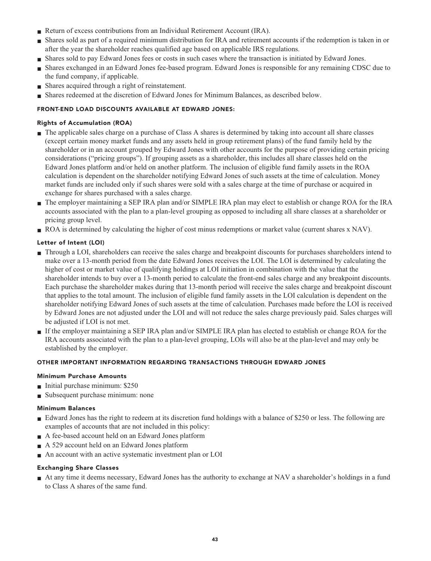- **Return of excess contributions from an Individual Retirement Account (IRA).**
- **■ Shares sold as part of a required minimum distribution for IRA and retirement accounts if the redemption is taken in or after the year the shareholder reaches qualified age based on applicable IRS regulations.**
- **■ Shares sold to pay Edward Jones fees or costs in such cases where the transaction is initiated by Edward Jones.**
- **■ Shares exchanged in an Edward Jones fee-based program. Edward Jones is responsible for any remaining CDSC due to the fund company, if applicable.**
- **Shares acquired through a right of reinstatement.**
- **■ Shares redeemed at the discretion of Edward Jones for Minimum Balances, as described below.**

### **FRONT-END LOAD DISCOUNTS AVAILABLE AT EDWARD JONES:**

### **Rights of Accumulation (ROA)**

- **■ The applicable sales charge on a purchase of Class A shares is determined by taking into account all share classes (except certain money market funds and any assets held in group retirement plans) of the fund family held by the shareholder or in an account grouped by Edward Jones with other accounts for the purpose of providing certain pricing considerations ("pricing groups"). If grouping assets as a shareholder, this includes all share classes held on the Edward Jones platform and/or held on another platform. The inclusion of eligible fund family assets in the ROA calculation is dependent on the shareholder notifying Edward Jones of such assets at the time of calculation. Money market funds are included only if such shares were sold with a sales charge at the time of purchase or acquired in exchange for shares purchased with a sales charge.**
- **■ The employer maintaining a SEP IRA plan and/or SIMPLE IRA plan may elect to establish or change ROA for the IRA accounts associated with the plan to a plan-level grouping as opposed to including all share classes at a shareholder or pricing group level.**
- **ROA** is determined by calculating the higher of cost minus redemptions or market value (current shares x NAV).

### **Letter of Intent (LOI)**

- **■ Through a LOI, shareholders can receive the sales charge and breakpoint discounts for purchases shareholders intend to make over a 13-month period from the date Edward Jones receives the LOI. The LOI is determined by calculating the higher of cost or market value of qualifying holdings at LOI initiation in combination with the value that the shareholder intends to buy over a 13-month period to calculate the front-end sales charge and any breakpoint discounts. Each purchase the shareholder makes during that 13-month period will receive the sales charge and breakpoint discount that applies to the total amount. The inclusion of eligible fund family assets in the LOI calculation is dependent on the shareholder notifying Edward Jones of such assets at the time of calculation. Purchases made before the LOI is received by Edward Jones are not adjusted under the LOI and will not reduce the sales charge previously paid. Sales charges will be adjusted if LOI is not met.**
- **■ If the employer maintaining a SEP IRA plan and/or SIMPLE IRA plan has elected to establish or change ROA for the IRA accounts associated with the plan to a plan-level grouping, LOIs will also be at the plan-level and may only be established by the employer.**

### **OTHER IMPORTANT INFORMATION REGARDING TRANSACTIONS THROUGH EDWARD JONES**

### **Minimum Purchase Amounts**

- **■ Initial purchase minimum: \$250**
- **■ Subsequent purchase minimum: none**

### **Minimum Balances**

- **Edward Jones has the right to redeem at its discretion fund holdings with a balance of \$250 or less. The following are examples of accounts that are not included in this policy:**
- **■ A fee-based account held on an Edward Jones platform**
- **■ A 529 account held on an Edward Jones platform**
- **■ An account with an active systematic investment plan or LOI**

### **Exchanging Share Classes**

**■ At any time it deems necessary, Edward Jones has the authority to exchange at NAV a shareholder's holdings in a fund to Class A shares of the same fund.**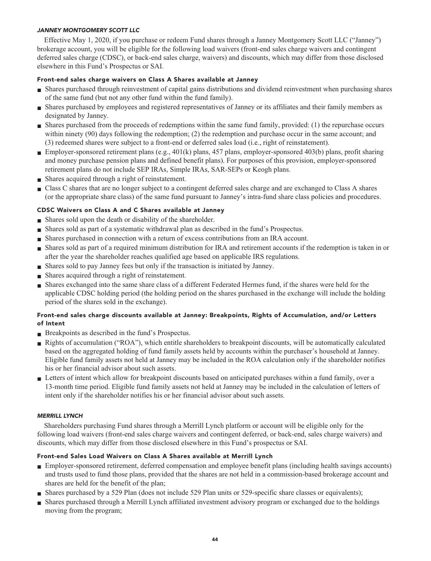### **JANNEY MONTGOMERY SCOTT LLC**

**Effective May 1, 2020, if you purchase or redeem Fund shares through a Janney Montgomery Scott LLC ("Janney") brokerage account, you will be eligible for the following load waivers (front-end sales charge waivers and contingent deferred sales charge (CDSC), or back-end sales charge, waivers) and discounts, which may differ from those disclosed elsewhere in this Fund's Prospectus or SAI.**

### **Front-end sales charge waivers on Class A Shares available at Janney**

- **■ Shares purchased through reinvestment of capital gains distributions and dividend reinvestment when purchasing shares of the same fund (but not any other fund within the fund family).**
- **■ Shares purchased by employees and registered representatives of Janney or its affiliates and their family members as designated by Janney.**
- **■ Shares purchased from the proceeds of redemptions within the same fund family, provided: (1) the repurchase occurs within ninety (90) days following the redemption; (2) the redemption and purchase occur in the same account; and (3) redeemed shares were subject to a front-end or deferred sales load (i.e., right of reinstatement).**
- **Employer-sponsored retirement plans (e.g., 401(k) plans, 457 plans, employer-sponsored 403(b) plans, profit sharing and money purchase pension plans and defined benefit plans). For purposes of this provision, employer-sponsored retirement plans do not include SEP IRAs, Simple IRAs, SAR-SEPs or Keogh plans.**
- **■ Shares acquired through a right of reinstatement.**
- **■ Class C shares that are no longer subject to a contingent deferred sales charge and are exchanged to Class A shares (or the appropriate share class) of the same fund pursuant to Janney's intra-fund share class policies and procedures.**

### **CDSC Waivers on Class A and C Shares available at Janney**

- **■ Shares sold upon the death or disability of the shareholder.**
- **■ Shares sold as part of a systematic withdrawal plan as described in the fund's Prospectus.**
- **■ Shares purchased in connection with a return of excess contributions from an IRA account.**
- **■ Shares sold as part of a required minimum distribution for IRA and retirement accounts if the redemption is taken in or after the year the shareholder reaches qualified age based on applicable IRS regulations.**
- **■ Shares sold to pay Janney fees but only if the transaction is initiated by Janney.**
- **■ Shares acquired through a right of reinstatement.**
- **■ Shares exchanged into the same share class of a different Federated Hermes fund, if the shares were held for the applicable CDSC holding period (the holding period on the shares purchased in the exchange will include the holding period of the shares sold in the exchange).**

### **Front-end sales charge discounts available at Janney: Breakpoints, Rights of Accumulation, and/or Letters of Intent**

- **■ Breakpoints as described in the fund's Prospectus.**
- **■ Rights of accumulation ("ROA"), which entitle shareholders to breakpoint discounts, will be automatically calculated based on the aggregated holding of fund family assets held by accounts within the purchaser's household at Janney. Eligible fund family assets not held at Janney may be included in the ROA calculation only if the shareholder notifies his or her financial advisor about such assets.**
- **■ Letters of intent which allow for breakpoint discounts based on anticipated purchases within a fund family, over a 13-month time period. Eligible fund family assets not held at Janney may be included in the calculation of letters of intent only if the shareholder notifies his or her financial advisor about such assets.**

### **MERRILL LYNCH**

**Shareholders purchasing Fund shares through a Merrill Lynch platform or account will be eligible only for the following load waivers (front-end sales charge waivers and contingent deferred, or back-end, sales charge waivers) and discounts, which may differ from those disclosed elsewhere in this Fund's prospectus or SAI.**

### **Front-end Sales Load Waivers on Class A Shares available at Merrill Lynch**

- **■ Employer-sponsored retirement, deferred compensation and employee benefit plans (including health savings accounts) and trusts used to fund those plans, provided that the shares are not held in a commission-based brokerage account and shares are held for the benefit of the plan;**
- **Shares purchased by a 529 Plan (does not include 529 Plan units or 529-specific share classes or equivalents);**
- **■ Shares purchased through a Merrill Lynch affiliated investment advisory program or exchanged due to the holdings moving from the program;**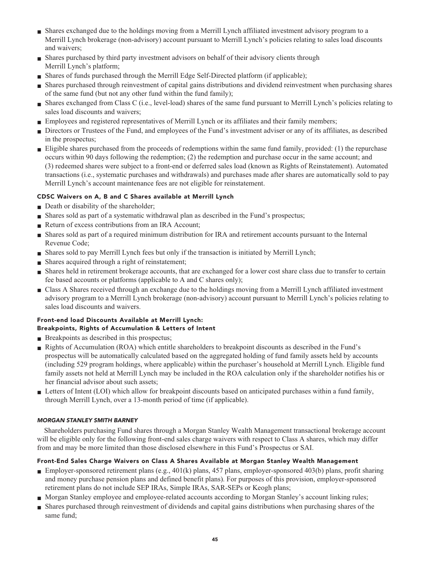- **■ Shares exchanged due to the holdings moving from a Merrill Lynch affiliated investment advisory program to a Merrill Lynch brokerage (non-advisory) account pursuant to Merrill Lynch's policies relating to sales load discounts and waivers;**
- **■ Shares purchased by third party investment advisors on behalf of their advisory clients through Merrill Lynch's platform;**
- **Shares of funds purchased through the Merrill Edge Self-Directed platform (if applicable);**
- **■ Shares purchased through reinvestment of capital gains distributions and dividend reinvestment when purchasing shares of the same fund (but not any other fund within the fund family);**
- **■ Shares exchanged from Class C (i.e., level-load) shares of the same fund pursuant to Merrill Lynch's policies relating to sales load discounts and waivers;**
- **Employees and registered representatives of Merrill Lynch or its affiliates and their family members;**
- **■ Directors or Trustees of the Fund, and employees of the Fund's investment adviser or any of its affiliates, as described in the prospectus;**
- **■ Eligible shares purchased from the proceeds of redemptions within the same fund family, provided: (1) the repurchase occurs within 90 days following the redemption; (2) the redemption and purchase occur in the same account; and (3) redeemed shares were subject to a front-end or deferred sales load (known as Rights of Reinstatement). Automated transactions (i.e., systematic purchases and withdrawals) and purchases made after shares are automatically sold to pay Merrill Lynch's account maintenance fees are not eligible for reinstatement.**

### **CDSC Waivers on A, B and C Shares available at Merrill Lynch**

- **Death or disability of the shareholder;**
- **■ Shares sold as part of a systematic withdrawal plan as described in the Fund's prospectus;**
- **Return of excess contributions from an IRA Account;**
- **■ Shares sold as part of a required minimum distribution for IRA and retirement accounts pursuant to the Internal Revenue Code;**
- **■ Shares sold to pay Merrill Lynch fees but only if the transaction is initiated by Merrill Lynch;**
- **■ Shares acquired through a right of reinstatement;**
- **Shares held in retirement brokerage accounts, that are exchanged for a lower cost share class due to transfer to certain fee based accounts or platforms (applicable to A and C shares only);**
- **■ Class A Shares received through an exchange due to the holdings moving from a Merrill Lynch affiliated investment advisory program to a Merrill Lynch brokerage (non-advisory) account pursuant to Merrill Lynch's policies relating to sales load discounts and waivers.**

### **Front-end load Discounts Available at Merrill Lynch: Breakpoints, Rights of Accumulation & Letters of Intent**

- **■ Breakpoints as described in this prospectus;**
- **■ Rights of Accumulation (ROA) which entitle shareholders to breakpoint discounts as described in the Fund's prospectus will be automatically calculated based on the aggregated holding of fund family assets held by accounts (including 529 program holdings, where applicable) within the purchaser's household at Merrill Lynch. Eligible fund family assets not held at Merrill Lynch may be included in the ROA calculation only if the shareholder notifies his or her financial advisor about such assets;**
- Letters of Intent (LOI) which allow for breakpoint discounts based on anticipated purchases within a fund family, **through Merrill Lynch, over a 13-month period of time (if applicable).**

### **MORGAN STANLEY SMITH BARNEY**

**Shareholders purchasing Fund shares through a Morgan Stanley Wealth Management transactional brokerage account will be eligible only for the following front-end sales charge waivers with respect to Class A shares, which may differ from and may be more limited than those disclosed elsewhere in this Fund's Prospectus or SAI.**

### **Front-End Sales Charge Waivers on Class A Shares Available at Morgan Stanley Wealth Management**

- **Employer-sponsored retirement plans (e.g., 401(k) plans, 457 plans, employer-sponsored 403(b) plans, profit sharing and money purchase pension plans and defined benefit plans). For purposes of this provision, employer-sponsored retirement plans do not include SEP IRAs, Simple IRAs, SAR-SEPs or Keogh plans;**
- **■ Morgan Stanley employee and employee-related accounts according to Morgan Stanley's account linking rules;**
- **■ Shares purchased through reinvestment of dividends and capital gains distributions when purchasing shares of the same fund;**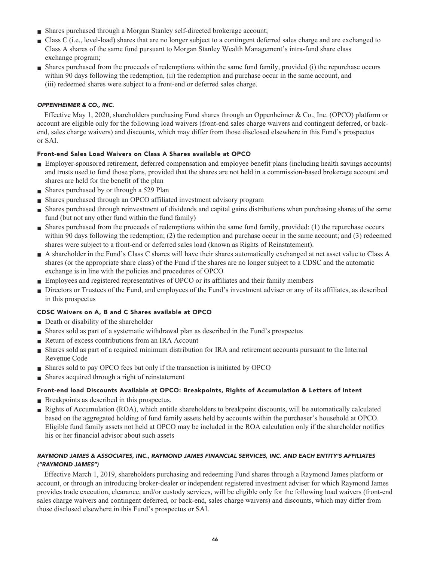- **■ Shares purchased through a Morgan Stanley self-directed brokerage account;**
- **■ Class C (i.e., level-load) shares that are no longer subject to a contingent deferred sales charge and are exchanged to Class A shares of the same fund pursuant to Morgan Stanley Wealth Management's intra-fund share class exchange program;**
- **■ Shares purchased from the proceeds of redemptions within the same fund family, provided (i) the repurchase occurs within 90 days following the redemption, (ii) the redemption and purchase occur in the same account, and (iii) redeemed shares were subject to a front-end or deferred sales charge.**

### **OPPENHEIMER & CO., INC.**

**Effective May 1, 2020, shareholders purchasing Fund shares through an Oppenheimer & Co., Inc. (OPCO) platform or account are eligible only for the following load waivers (front-end sales charge waivers and contingent deferred, or backend, sales charge waivers) and discounts, which may differ from those disclosed elsewhere in this Fund's prospectus or SAI.**

### **Front-end Sales Load Waivers on Class A Shares available at OPCO**

- **■ Employer-sponsored retirement, deferred compensation and employee benefit plans (including health savings accounts) and trusts used to fund those plans, provided that the shares are not held in a commission-based brokerage account and shares are held for the benefit of the plan**
- **■ Shares purchased by or through a 529 Plan**
- **■ Shares purchased through an OPCO affiliated investment advisory program**
- **■ Shares purchased through reinvestment of dividends and capital gains distributions when purchasing shares of the same fund (but not any other fund within the fund family)**
- **■ Shares purchased from the proceeds of redemptions within the same fund family, provided: (1) the repurchase occurs within 90 days following the redemption; (2) the redemption and purchase occur in the same account; and (3) redeemed shares were subject to a front-end or deferred sales load (known as Rights of Reinstatement).**
- **■ A shareholder in the Fund's Class C shares will have their shares automatically exchanged at net asset value to Class A shares (or the appropriate share class) of the Fund if the shares are no longer subject to a CDSC and the automatic exchange is in line with the policies and procedures of OPCO**
- **■ Employees and registered representatives of OPCO or its affiliates and their family members**
- **■ Directors or Trustees of the Fund, and employees of the Fund's investment adviser or any of its affiliates, as described in this prospectus**

### **CDSC Waivers on A, B and C Shares available at OPCO**

- **Death or disability of the shareholder**
- **■ Shares sold as part of a systematic withdrawal plan as described in the Fund's prospectus**
- **Return of excess contributions from an IRA Account**
- **■ Shares sold as part of a required minimum distribution for IRA and retirement accounts pursuant to the Internal Revenue Code**
- **■ Shares sold to pay OPCO fees but only if the transaction is initiated by OPCO**
- **Shares acquired through a right of reinstatement**

### **Front-end load Discounts Available at OPCO: Breakpoints, Rights of Accumulation & Letters of Intent**

- **Breakpoints as described in this prospectus.**
- **Rights of Accumulation (ROA), which entitle shareholders to breakpoint discounts, will be automatically calculated based on the aggregated holding of fund family assets held by accounts within the purchaser's household at OPCO. Eligible fund family assets not held at OPCO may be included in the ROA calculation only if the shareholder notifies his or her financial advisor about such assets**

### **RAYMOND JAMES & ASSOCIATES, INC., RAYMOND JAMES FINANCIAL SERVICES, INC. AND EACH ENTITY'S AFFILIATES ("RAYMOND JAMES")**

**Effective March 1, 2019, shareholders purchasing and redeeming Fund shares through a Raymond James platform or account, or through an introducing broker-dealer or independent registered investment adviser for which Raymond James provides trade execution, clearance, and/or custody services, will be eligible only for the following load waivers (front-end sales charge waivers and contingent deferred, or back-end, sales charge waivers) and discounts, which may differ from those disclosed elsewhere in this Fund's prospectus or SAI.**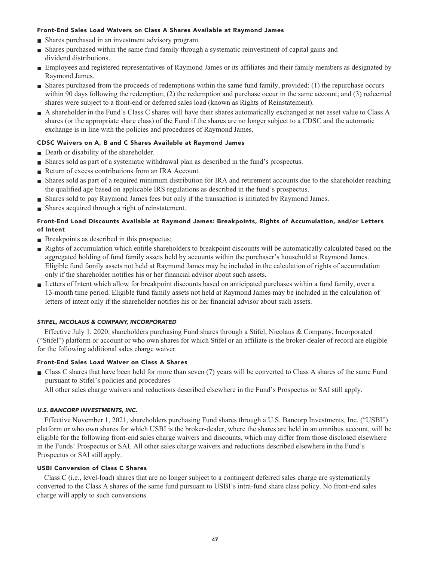### **Front-End Sales Load Waivers on Class A Shares Available at Raymond James**

- **■ Shares purchased in an investment advisory program.**
- **■ Shares purchased within the same fund family through a systematic reinvestment of capital gains and dividend distributions.**
- **■ Employees and registered representatives of Raymond James or its affiliates and their family members as designated by Raymond James.**
- **■ Shares purchased from the proceeds of redemptions within the same fund family, provided: (1) the repurchase occurs within 90 days following the redemption; (2) the redemption and purchase occur in the same account; and (3) redeemed shares were subject to a front-end or deferred sales load (known as Rights of Reinstatement).**
- **■ A shareholder in the Fund's Class C shares will have their shares automatically exchanged at net asset value to Class A shares (or the appropriate share class) of the Fund if the shares are no longer subject to a CDSC and the automatic exchange is in line with the policies and procedures of Raymond James.**

### **CDSC Waivers on A, B and C Shares Available at Raymond James**

- **Death or disability of the shareholder.**
- **■ Shares sold as part of a systematic withdrawal plan as described in the fund's prospectus.**
- **■ Return of excess contributions from an IRA Account.**
- **■ Shares sold as part of a required minimum distribution for IRA and retirement accounts due to the shareholder reaching the qualified age based on applicable IRS regulations as described in the fund's prospectus.**
- **■ Shares sold to pay Raymond James fees but only if the transaction is initiated by Raymond James.**
- **■ Shares acquired through a right of reinstatement.**

### **Front-End Load Discounts Available at Raymond James: Breakpoints, Rights of Accumulation, and/or Letters of Intent**

- **Breakpoints as described in this prospectus;**
- **■ Rights of accumulation which entitle shareholders to breakpoint discounts will be automatically calculated based on the aggregated holding of fund family assets held by accounts within the purchaser's household at Raymond James. Eligible fund family assets not held at Raymond James may be included in the calculation of rights of accumulation only if the shareholder notifies his or her financial advisor about such assets.**
- **■ Letters of Intent which allow for breakpoint discounts based on anticipated purchases within a fund family, over a 13-month time period. Eligible fund family assets not held at Raymond James may be included in the calculation of letters of intent only if the shareholder notifies his or her financial advisor about such assets.**

### **STIFEL, NICOLAUS & COMPANY, INCORPORATED**

**Effective July 1, 2020, shareholders purchasing Fund shares through a Stifel, Nicolaus & Company, Incorporated ("Stifel") platform or account or who own shares for which Stifel or an affiliate is the broker-dealer of record are eligible for the following additional sales charge waiver.**

### **Front-End Sales Load Waiver on Class A Shares**

- **■ Class C shares that have been held for more than seven (7) years will be converted to Class A shares of the same Fund pursuant to Stifel's policies and procedures**
	- **All other sales charge waivers and reductions described elsewhere in the Fund's Prospectus or SAI still apply.**

### **U.S. BANCORP INVESTMENTS, INC.**

**Effective November 1, 2021, shareholders purchasing Fund shares through a U.S. Bancorp Investments, Inc. ("USBI") platform or who own shares for which USBI is the broker-dealer, where the shares are held in an omnibus account, will be eligible for the following front-end sales charge waivers and discounts, which may differ from those disclosed elsewhere in the Funds' Prospectus or SAI. All other sales charge waivers and reductions described elsewhere in the Fund's Prospectus or SAI still apply.**

### **USBI Conversion of Class C Shares**

**Class C (i.e., level-load) shares that are no longer subject to a contingent deferred sales charge are systematically converted to the Class A shares of the same fund pursuant to USBI's intra-fund share class policy. No front-end sales charge will apply to such conversions.**